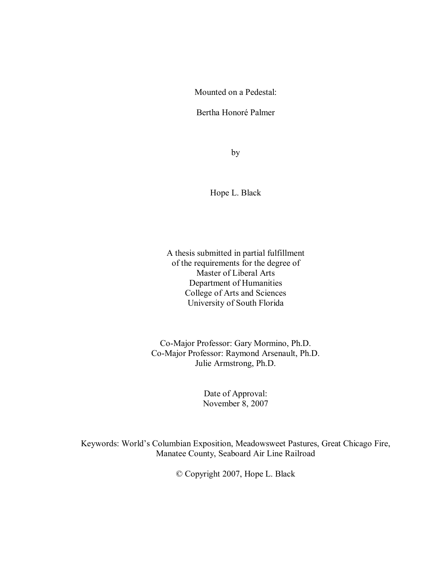Mounted on a Pedestal:

Bertha Honoré Palmer

by

Hope L. Black

A thesis submitted in partial fulfillment of the requirements for the degree of Master of Liberal Arts Department of Humanities College of Arts and Sciences University of South Florida

Co-Major Professor: Gary Mormino, Ph.D. Co-Major Professor: Raymond Arsenault, Ph.D. Julie Armstrong, Ph.D.

> Date of Approval: November 8, 2007

Keywords: World's Columbian Exposition, Meadowsweet Pastures, Great Chicago Fire, Manatee County, Seaboard Air Line Railroad

© Copyright 2007, Hope L. Black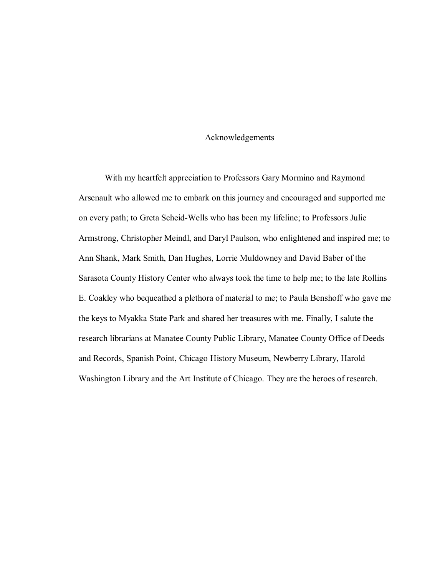# Acknowledgements

With my heartfelt appreciation to Professors Gary Mormino and Raymond Arsenault who allowed me to embark on this journey and encouraged and supported me on every path; to Greta Scheid-Wells who has been my lifeline; to Professors Julie Armstrong, Christopher Meindl, and Daryl Paulson, who enlightened and inspired me; to Ann Shank, Mark Smith, Dan Hughes, Lorrie Muldowney and David Baber of the Sarasota County History Center who always took the time to help me; to the late Rollins E. Coakley who bequeathed a plethora of material to me; to Paula Benshoff who gave me the keys to Myakka State Park and shared her treasures with me. Finally, I salute the research librarians at Manatee County Public Library, Manatee County Office of Deeds and Records, Spanish Point, Chicago History Museum, Newberry Library, Harold Washington Library and the Art Institute of Chicago. They are the heroes of research.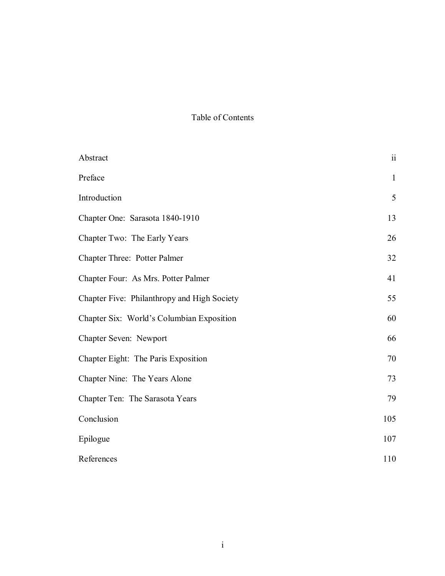# Table of Contents

| Abstract                                    | $\ddot{\rm ii}$ |
|---------------------------------------------|-----------------|
| Preface                                     | $\mathbf{1}$    |
| Introduction                                | 5               |
| Chapter One: Sarasota 1840-1910             | 13              |
| Chapter Two: The Early Years                | 26              |
| Chapter Three: Potter Palmer                | 32              |
| Chapter Four: As Mrs. Potter Palmer         | 41              |
| Chapter Five: Philanthropy and High Society | 55              |
| Chapter Six: World's Columbian Exposition   | 60              |
| Chapter Seven: Newport                      | 66              |
| Chapter Eight: The Paris Exposition         | 70              |
| Chapter Nine: The Years Alone               | 73              |
| Chapter Ten: The Sarasota Years             | 79              |
| Conclusion                                  | 105             |
| Epilogue                                    | 107             |
| References                                  | 110             |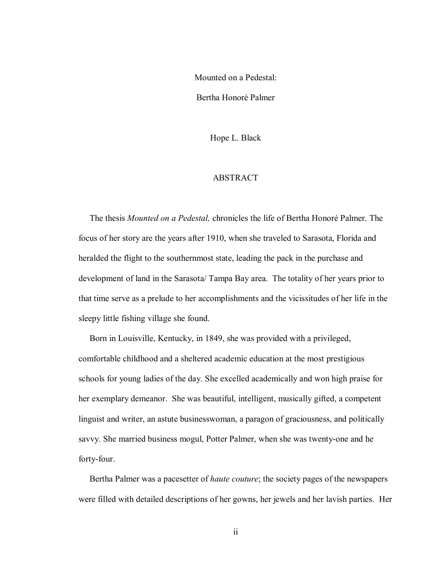Mounted on a Pedestal:

Bertha Honoré Palmer

Hope L. Black

## ABSTRACT

The thesis *Mounted on a Pedestal,* chronicles the life of Bertha Honoré Palmer. The focus of her story are the years after 1910, when she traveled to Sarasota, Florida and heralded the flight to the southernmost state, leading the pack in the purchase and development of land in the Sarasota/ Tampa Bay area. The totality of her years prior to that time serve as a prelude to her accomplishments and the vicissitudes of her life in the sleepy little fishing village she found.

Born in Louisville, Kentucky, in 1849, she was provided with a privileged, comfortable childhood and a sheltered academic education at the most prestigious schools for young ladies of the day. She excelled academically and won high praise for her exemplary demeanor. She was beautiful, intelligent, musically gifted, a competent linguist and writer, an astute businesswoman, a paragon of graciousness, and politically savvy. She married business mogul, Potter Palmer, when she was twenty-one and he forty-four.

Bertha Palmer was a pacesetter of *haute couture*; the society pages of the newspapers were filled with detailed descriptions of her gowns, her jewels and her lavish parties. Her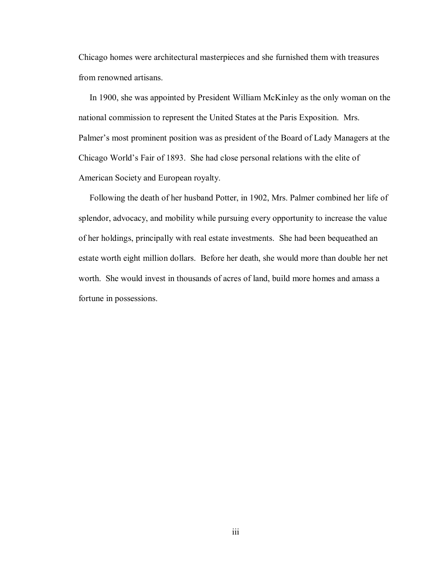Chicago homes were architectural masterpieces and she furnished them with treasures from renowned artisans.

In 1900, she was appointed by President William McKinley as the only woman on the national commission to represent the United States at the Paris Exposition. Mrs. Palmer's most prominent position was as president of the Board of Lady Managers at the Chicago World's Fair of 1893. She had close personal relations with the elite of American Society and European royalty.

Following the death of her husband Potter, in 1902, Mrs. Palmer combined her life of splendor, advocacy, and mobility while pursuing every opportunity to increase the value of her holdings, principally with real estate investments. She had been bequeathed an estate worth eight million dollars. Before her death, she would more than double her net worth. She would invest in thousands of acres of land, build more homes and amass a fortune in possessions.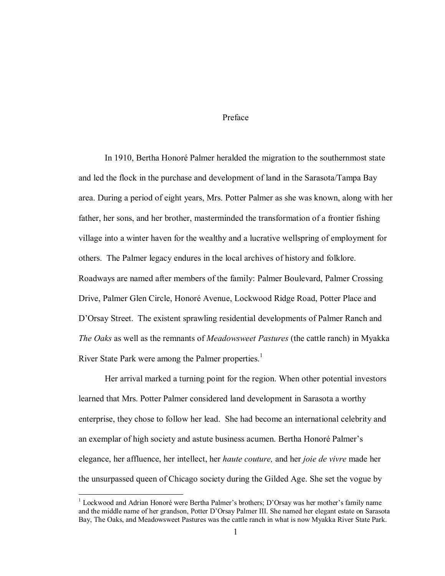### Preface

In 1910, Bertha Honoré Palmer heralded the migration to the southernmost state and led the flock in the purchase and development of land in the Sarasota/Tampa Bay area. During a period of eight years, Mrs. Potter Palmer as she was known, along with her father, her sons, and her brother, masterminded the transformation of a frontier fishing village into a winter haven for the wealthy and a lucrative wellspring of employment for others. The Palmer legacy endures in the local archives of history and folklore. Roadways are named after members of the family: Palmer Boulevard, Palmer Crossing Drive, Palmer Glen Circle, Honoré Avenue, Lockwood Ridge Road, Potter Place and D'Orsay Street. The existent sprawling residential developments of Palmer Ranch and *The Oaks* as well as the remnants of *Meadowsweet Pastures* (the cattle ranch) in Myakka River State Park were among the Palmer properties.<sup>1</sup>

Her arrival marked a turning point for the region. When other potential investors learned that Mrs. Potter Palmer considered land development in Sarasota a worthy enterprise, they chose to follow her lead. She had become an international celebrity and an exemplar of high society and astute business acumen. Bertha Honoré Palmer's elegance, her affluence, her intellect, her *haute couture,* and her *joie de vivre* made her the unsurpassed queen of Chicago society during the Gilded Age. She set the vogue by

<sup>&</sup>lt;sup>1</sup> Lockwood and Adrian Honoré were Bertha Palmer's brothers; D'Orsay was her mother's family name and the middle name of her grandson, Potter D'Orsay Palmer III. She named her elegant estate on Sarasota Bay, The Oaks, and Meadowsweet Pastures was the cattle ranch in what is now Myakka River State Park.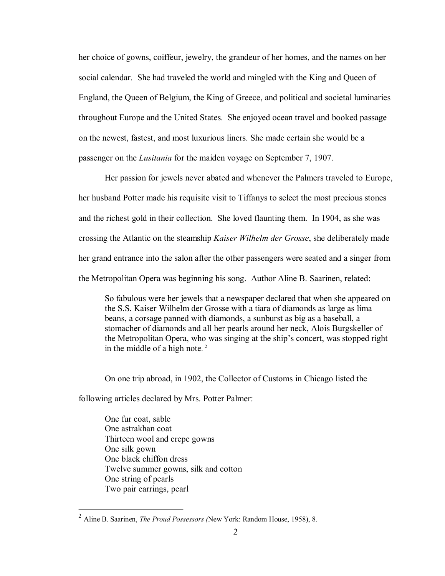her choice of gowns, coiffeur, jewelry, the grandeur of her homes, and the names on her social calendar. She had traveled the world and mingled with the King and Queen of England, the Queen of Belgium, the King of Greece, and political and societal luminaries throughout Europe and the United States. She enjoyed ocean travel and booked passage on the newest, fastest, and most luxurious liners. She made certain she would be a passenger on the *Lusitania* for the maiden voyage on September 7, 1907.

Her passion for jewels never abated and whenever the Palmers traveled to Europe, her husband Potter made his requisite visit to Tiffanys to select the most precious stones and the richest gold in their collection. She loved flaunting them. In 1904, as she was crossing the Atlantic on the steamship *Kaiser Wilhelm der Grosse*, she deliberately made her grand entrance into the salon after the other passengers were seated and a singer from the Metropolitan Opera was beginning his song. Author Aline B. Saarinen, related:

So fabulous were her jewels that a newspaper declared that when she appeared on the S.S. Kaiser Wilhelm der Grosse with a tiara of diamonds as large as lima beans, a corsage panned with diamonds, a sunburst as big as a baseball, a stomacher of diamonds and all her pearls around her neck, Alois Burgskeller of the Metropolitan Opera, who was singing at the ship's concert, was stopped right in the middle of a high note.<sup>2</sup>

On one trip abroad, in 1902, the Collector of Customs in Chicago listed the

following articles declared by Mrs. Potter Palmer:

One fur coat, sable One astrakhan coat Thirteen wool and crepe gowns One silk gown One black chiffon dress Twelve summer gowns, silk and cotton One string of pearls Two pair earrings, pearl

<sup>2</sup> Aline B. Saarinen, *The Proud Possessors (*New York: Random House, 1958), 8.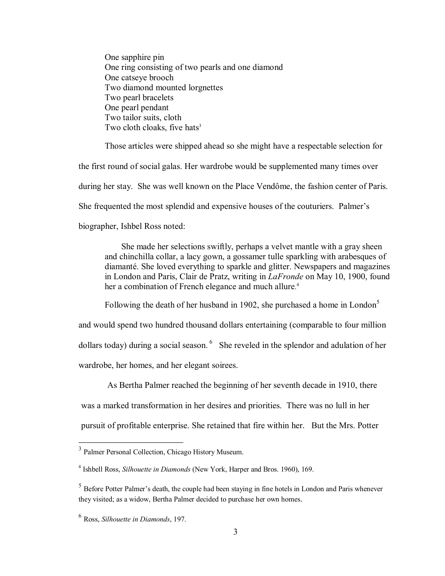One sapphire pin One ring consisting of two pearls and one diamond One catseye brooch Two diamond mounted lorgnettes Two pearl bracelets One pearl pendant Two tailor suits, cloth Two cloth cloaks, five hats<sup>3</sup>

Those articles were shipped ahead so she might have a respectable selection for the first round of social galas. Her wardrobe would be supplemented many times over during her stay. She was well known on the Place Vendôme, the fashion center of Paris. She frequented the most splendid and expensive houses of the couturiers. Palmer's biographer, Ishbel Ross noted:

She made her selections swiftly, perhaps a velvet mantle with a gray sheen and chinchilla collar, a lacy gown, a gossamer tulle sparkling with arabesques of diamanté. She loved everything to sparkle and glitter. Newspapers and magazines in London and Paris, Clair de Pratz, writing in *LaFronde* on May 10, 1900, found her a combination of French elegance and much allure.<sup>4</sup>

Following the death of her husband in 1902, she purchased a home in London<sup>5</sup>

and would spend two hundred thousand dollars entertaining (comparable to four million dollars today) during a social season.  $6\text{ S}$  She reveled in the splendor and adulation of her wardrobe, her homes, and her elegant soirees.

As Bertha Palmer reached the beginning of her seventh decade in 1910, there was a marked transformation in her desires and priorities. There was no lull in her pursuit of profitable enterprise. She retained that fire within her. But the Mrs. Potter

<sup>3</sup> Palmer Personal Collection, Chicago History Museum.

<sup>4</sup> Ishbell Ross, *Silhouette in Diamonds* (New York, Harper and Bros. 1960), 169.

<sup>5</sup> Before Potter Palmer's death, the couple had been staying in fine hotels in London and Paris whenever they visited; as a widow, Bertha Palmer decided to purchase her own homes.

<sup>6</sup> Ross, *Silhouette in Diamonds*, 197.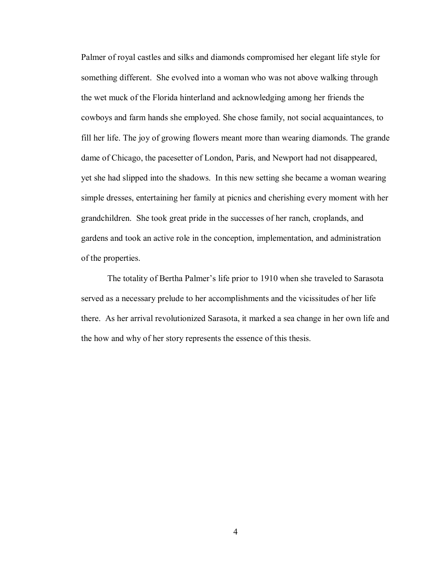Palmer of royal castles and silks and diamonds compromised her elegant life style for something different. She evolved into a woman who was not above walking through the wet muck of the Florida hinterland and acknowledging among her friends the cowboys and farm hands she employed. She chose family, not social acquaintances, to fill her life. The joy of growing flowers meant more than wearing diamonds. The grande dame of Chicago, the pacesetter of London, Paris, and Newport had not disappeared, yet she had slipped into the shadows. In this new setting she became a woman wearing simple dresses, entertaining her family at picnics and cherishing every moment with her grandchildren. She took great pride in the successes of her ranch, croplands, and gardens and took an active role in the conception, implementation, and administration of the properties.

The totality of Bertha Palmer's life prior to 1910 when she traveled to Sarasota served as a necessary prelude to her accomplishments and the vicissitudes of her life there. As her arrival revolutionized Sarasota, it marked a sea change in her own life and the how and why of her story represents the essence of this thesis.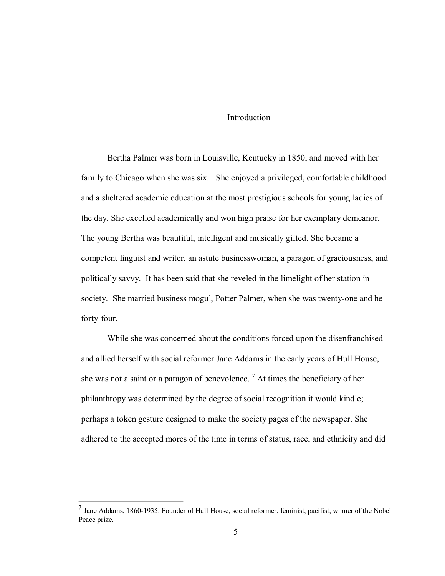### **Introduction**

Bertha Palmer was born in Louisville, Kentucky in 1850, and moved with her family to Chicago when she was six. She enjoyed a privileged, comfortable childhood and a sheltered academic education at the most prestigious schools for young ladies of the day. She excelled academically and won high praise for her exemplary demeanor. The young Bertha was beautiful, intelligent and musically gifted. She became a competent linguist and writer, an astute businesswoman, a paragon of graciousness, and politically savvy. It has been said that she reveled in the limelight of her station in society. She married business mogul, Potter Palmer, when she was twenty-one and he forty-four.

While she was concerned about the conditions forced upon the disenfranchised and allied herself with social reformer Jane Addams in the early years of Hull House, she was not a saint or a paragon of benevolence.<sup>7</sup> At times the beneficiary of her philanthropy was determined by the degree of social recognition it would kindle; perhaps a token gesture designed to make the society pages of the newspaper. She adhered to the accepted mores of the time in terms of status, race, and ethnicity and did

 $<sup>7</sup>$  Jane Addams, 1860-1935. Founder of Hull House, social reformer, feminist, pacifist, winner of the Nobel</sup> Peace prize.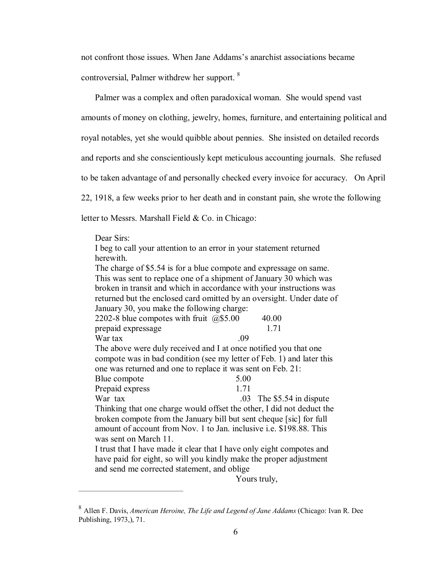not confront those issues. When Jane Addams's anarchist associations became controversial, Palmer withdrew her support. <sup>8</sup>

Palmer was a complex and often paradoxical woman. She would spend vast amounts of money on clothing, jewelry, homes, furniture, and entertaining political and royal notables, yet she would quibble about pennies. She insisted on detailed records and reports and she conscientiously kept meticulous accounting journals. She refused to be taken advantage of and personally checked every invoice for accuracy. On April 22, 1918, a few weeks prior to her death and in constant pain, she wrote the following letter to Messrs. Marshall Field  $& Co.$  in Chicago:

Dear Sirs:

I beg to call your attention to an error in your statement returned herewith.

The charge of \$5.54 is for a blue compote and expressage on same. This was sent to replace one of a shipment of January 30 which was broken in transit and which in accordance with your instructions was returned but the enclosed card omitted by an oversight. Under date of January 30, you make the following charge:

| 2202-8 blue compotes with fruit $(2)$ \$5.00                          |      | 40.00                       |  |
|-----------------------------------------------------------------------|------|-----------------------------|--|
| prepaid expressage                                                    |      | 1.71                        |  |
| War tax                                                               | .09  |                             |  |
| The above were duly received and I at once notified you that one      |      |                             |  |
| compote was in bad condition (see my letter of Feb. 1) and later this |      |                             |  |
| one was returned and one to replace it was sent on Feb. 21:           |      |                             |  |
| Blue compote                                                          | 5.00 |                             |  |
| Prepaid express                                                       | 1.71 |                             |  |
| War tax                                                               |      | $.03$ The \$5.54 in dispute |  |
| Thinking that one charge would offset the other, I did not deduct the |      |                             |  |
| broken compote from the January bill but sent cheque [sic] for full   |      |                             |  |
| amount of account from Nov. 1 to Jan. inclusive i.e. \$198.88. This   |      |                             |  |
| was sent on March 11.                                                 |      |                             |  |
| I trust that I have made it clear that I have only eight compotes and |      |                             |  |
| have paid for eight, so will you kindly make the proper adjustment    |      |                             |  |
| and send me corrected statement, and oblige                           |      |                             |  |

Yours truly,

<sup>8</sup> Allen F. Davis, *American Heroine, The Life and Legend of Jane Addams* (Chicago: Ivan R. Dee Publishing, 1973,), 71.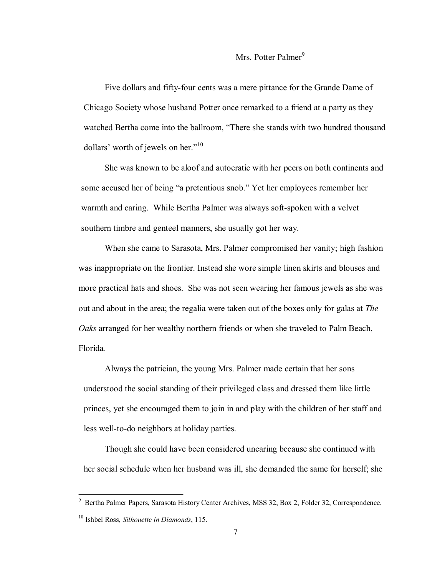# Mrs. Potter Palmer<sup>9</sup>

Five dollars and fifty-four cents was a mere pittance for the Grande Dame of Chicago Society whose husband Potter once remarked to a friend at a party as they watched Bertha come into the ballroom, "There she stands with two hundred thousand dollars' worth of jewels on her." $10$ 

She was known to be aloof and autocratic with her peers on both continents and some accused her of being "a pretentious snob." Yet her employees remember her warmth and caring. While Bertha Palmer was always soft-spoken with a velvet southern timbre and genteel manners, she usually got her way.

When she came to Sarasota, Mrs. Palmer compromised her vanity; high fashion was inappropriate on the frontier. Instead she wore simple linen skirts and blouses and more practical hats and shoes. She was not seen wearing her famous jewels as she was out and about in the area; the regalia were taken out of the boxes only for galas at *The Oaks* arranged for her wealthy northern friends or when she traveled to Palm Beach, Florida*.*

Always the patrician, the young Mrs. Palmer made certain that her sons understood the social standing of their privileged class and dressed them like little princes, yet she encouraged them to join in and play with the children of her staff and less well-to-do neighbors at holiday parties.

Though she could have been considered uncaring because she continued with her social schedule when her husband was ill, she demanded the same for herself; she

<sup>&</sup>lt;sup>9</sup> Bertha Palmer Papers, Sarasota History Center Archives, MSS 32, Box 2, Folder 32, Correspondence.

<sup>10</sup> Ishbel Ross*, Silhouette in Diamonds*, 115.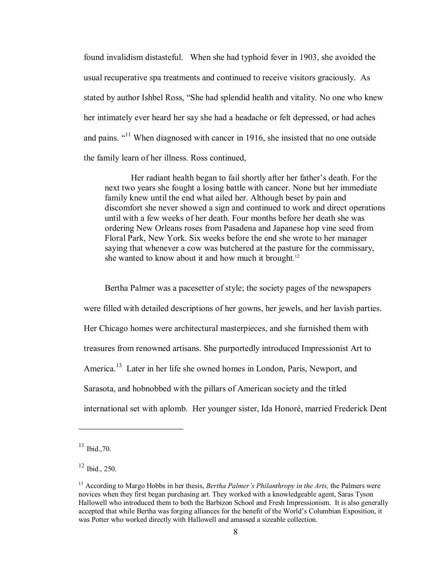found invalidism distasteful. When she had typhoid fever in 1903, she avoided the usual recuperative spa treatments and continued to receive visitors graciously. As stated by author Ishbel Ross, "She had splendid health and vitality. No one who knew her intimately ever heard her say she had a headache or felt depressed, or had aches and pains. "<sup>11</sup> When diagnosed with cancer in 1916, she insisted that no one outside the family learn of her illness. Ross continued,

Her radiant health began to fail shortly after her father's death. For the next two years she fought a losing battle with cancer. None but her immediate family knew until the end what ailed her. Although beset by pain and discomfort she never showed a sign and continued to work and direct operations until with a few weeks of her death. Four months before her death she was ordering New Orleans roses from Pasadena and Japanese hop vine seed from Floral Park, New York. Six weeks before the end she wrote to her manager saying that whenever a cow was butchered at the pasture for the commissary, she wanted to know about it and how much it brought. $12$ 

Bertha Palmer was a pacesetter of style; the society pages of the newspapers were filled with detailed descriptions of her gowns, her jewels, and her lavish parties. Her Chicago homes were architectural masterpieces, and she furnished them with treasures from renowned artisans. She purportedly introduced Impressionist Art to America.<sup>13</sup> Later in her life she owned homes in London, Paris, Newport, and Sarasota, and hobnobbed with the pillars of American society and the titled international set with aplomb. Her younger sister, Ida Honoré, married Frederick Dent

 $^{11}$  Ibid., 70.

<sup>12</sup> Ibid., 250.

<sup>13</sup> According to Margo Hobbs in her thesis, *Bertha Palmer's Philanthropy in the Arts,* the Palmers were novices when they first began purchasing art. They worked with a knowledgeable agent, Saras Tyson Hallowell who introduced them to both the Barbizon School and Fresh Impressionism. It is also generally accepted that while Bertha was forging alliances for the benefit of the World's Columbian Exposition, it was Potter who worked directly with Hallowell and amassed a sizeable collection.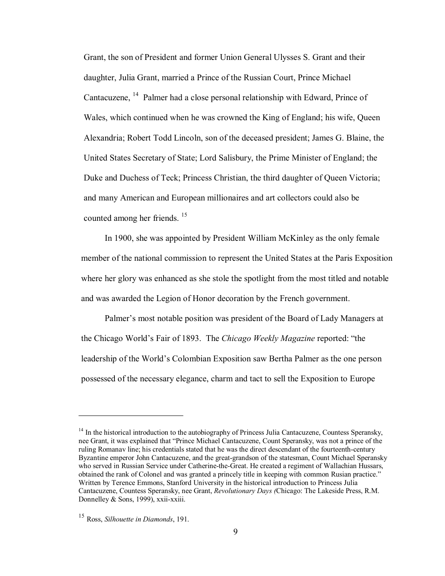Grant, the son of President and former Union General Ulysses S. Grant and their daughter, Julia Grant, married a Prince of the Russian Court, Prince Michael Cantacuzene, <sup>14</sup> Palmer had a close personal relationship with Edward, Prince of Wales, which continued when he was crowned the King of England; his wife, Queen Alexandria; Robert Todd Lincoln, son of the deceased president; James G. Blaine, the United States Secretary of State; Lord Salisbury, the Prime Minister of England; the Duke and Duchess of Teck; Princess Christian, the third daughter of Queen Victoria; and many American and European millionaires and art collectors could also be counted among her friends. <sup>15</sup>

In 1900, she was appointed by President William McKinley as the only female member of the national commission to represent the United States at the Paris Exposition where her glory was enhanced as she stole the spotlight from the most titled and notable and was awarded the Legion of Honor decoration by the French government.

Palmer's most notable position was president of the Board of Lady Managers at the Chicago World's Fair of 1893. The *Chicago Weekly Magazine* reported: "the leadership of the World's Colombian Exposition saw Bertha Palmer as the one person possessed of the necessary elegance, charm and tact to sell the Exposition to Europe

 $14$  In the historical introduction to the autobiography of Princess Julia Cantacuzene, Countess Speransky, nee Grant, it was explained that "Prince Michael Cantacuzene, Count Speransky, was not a prince of the ruling Romanav line; his credentials stated that he was the direct descendant of the fourteenth-century Byzantine emperor John Cantacuzene, and the great-grandson of the statesman, Count Michael Speransky who served in Russian Service under Catherine-the-Great. He created a regiment of Wallachian Hussars, obtained the rank of Colonel and was granted a princely title in keeping with common Rusian practice." Written by Terence Emmons, Stanford University in the historical introduction to Princess Julia Cantacuzene, Countess Speransky, nee Grant, *Revolutionary Days (*Chicago: The Lakeside Press, R.M. Donnelley  $&$  Sons, 1999), xxii-xxiii.

<sup>15</sup> Ross, *Silhouette in Diamonds*, 191.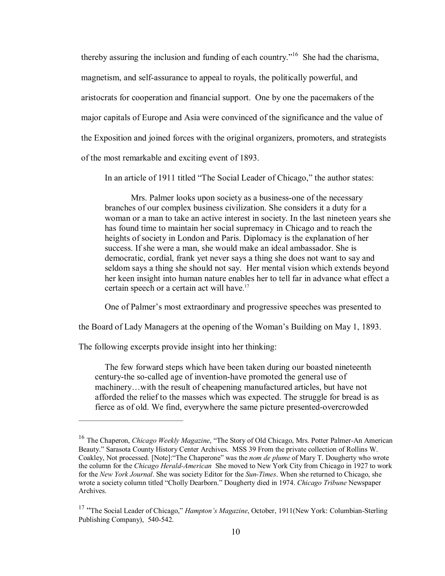thereby assuring the inclusion and funding of each country.<sup> $16$ </sup> She had the charisma, magnetism, and self-assurance to appeal to royals, the politically powerful, and aristocrats for cooperation and financial support. One by one the pacemakers of the major capitals of Europe and Asia were convinced of the significance and the value of the Exposition and joined forces with the original organizers, promoters, and strategists of the most remarkable and exciting event of 1893.

In an article of 1911 titled "The Social Leader of Chicago," the author states:

Mrs. Palmer looks upon society as a business-one of the necessary branches of our complex business civilization. She considers it a duty for a woman or a man to take an active interest in society. In the last nineteen years she has found time to maintain her social supremacy in Chicago and to reach the heights of society in London and Paris. Diplomacy is the explanation of her success. If she were a man, she would make an ideal ambassador. She is democratic, cordial, frank yet never says a thing she does not want to say and seldom says a thing she should not say. Her mental vision which extends beyond her keen insight into human nature enables her to tell far in advance what effect a certain speech or a certain act will have.<sup>17</sup>

One of Palmer's most extraordinary and progressive speeches was presented to

the Board of Lady Managers at the opening of the Woman's Building on May 1, 1893.

The following excerpts provide insight into her thinking:

The few forward steps which have been taken during our boasted nineteenth century-the so-called age of invention-have promoted the general use of machinery…with the result of cheapening manufactured articles, but have not afforded the relief to the masses which was expected. The struggle for bread is as fierce as of old. We find, everywhere the same picture presented-overcrowded

<sup>&</sup>lt;sup>16</sup> The Chaperon, *Chicago Weekly Magazine*, "The Story of Old Chicago, Mrs. Potter Palmer-An American Beauty." Sarasota County History Center Archives. MSS 39 From the private collection of Rollins W. Coakley, Not processed. [Note]:"The Chaperone" was the *nom de plume* of Mary T. Dougherty who wrote the column for the *Chicago HeraldAmerican* She moved to New York City from Chicago in 1927 to work for the *New York Journal*. She was society Editor for the *Sun-Times*. When she returned to Chicago, she wrote a society column titled "Cholly Dearborn." Dougherty died in 1974. *Chicago Tribune* Newspaper Archives.

<sup>&</sup>lt;sup>17</sup> "The Social Leader of Chicago," *Hampton's Magazine*, October, 1911(New York: Columbian-Sterling Publishing Company), 540-542.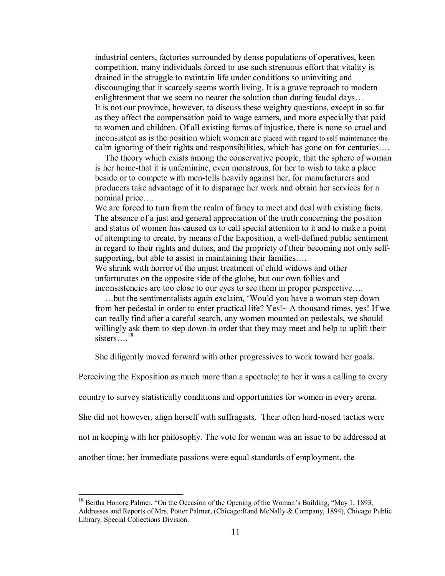industrial centers, factories surrounded by dense populations of operatives, keen competition, many individuals forced to use such strenuous effort that vitality is drained in the struggle to maintain life under conditions so uninviting and discouraging that it scarcely seems worth living. It is a grave reproach to modern enlightenment that we seem no nearer the solution than during feudal days… It is not our province, however, to discuss these weighty questions, except in so far as they affect the compensation paid to wage earners, and more especially that paid to women and children. Of all existing forms of injustice, there is none so cruel and inconsistent as is the position which women are placed with regard to self-maintenance-the calm ignoring of their rights and responsibilities, which has gone on for centuries….

The theory which exists among the conservative people, that the sphere of woman is her home-that it is unfeminine, even monstrous, for her to wish to take a place beside or to compete with men-tells heavily against her, for manufacturers and producers take advantage of it to disparage her work and obtain her services for a nominal price….

We are forced to turn from the realm of fancy to meet and deal with existing facts. The absence of a just and general appreciation of the truth concerning the position and status of women has caused us to call special attention to it and to make a point of attempting to create, by means of the Exposition, a well-defined public sentiment in regard to their rights and duties, and the propriety of their becoming not only self supporting, but able to assist in maintaining their families....

We shrink with horror of the unjust treatment of child widows and other unfortunates on the opposite side of the globe, but our own follies and inconsistencies are too close to our eyes to see them in proper perspective….

…but the sentimentalists again exclaim, 'Would you have a woman step down from her pedestal in order to enter practical life? Yes!~ A thousand times, yes! If we can really find after a careful search, any women mounted on pedestals, we should willingly ask them to step down-in order that they may meet and help to uplift their sisters... $^{18}$ 

She diligently moved forward with other progressives to work toward her goals.

Perceiving the Exposition as much more than a spectacle; to her it was a calling to every

country to survey statistically conditions and opportunities for women in every arena.

She did not however, align herself with suffragists. Their often hard-nosed tactics were

not in keeping with her philosophy. The vote for woman was an issue to be addressed at

another time; her immediate passions were equal standards of employment, the

<sup>&</sup>lt;sup>18</sup> Bertha Honore Palmer, "On the Occasion of the Opening of the Woman's Building, "May 1, 1893, Addresses and Reports of Mrs. Potter Palmer, (Chicago:Rand McNally & Company, 1894), Chicago Public Library, Special Collections Division.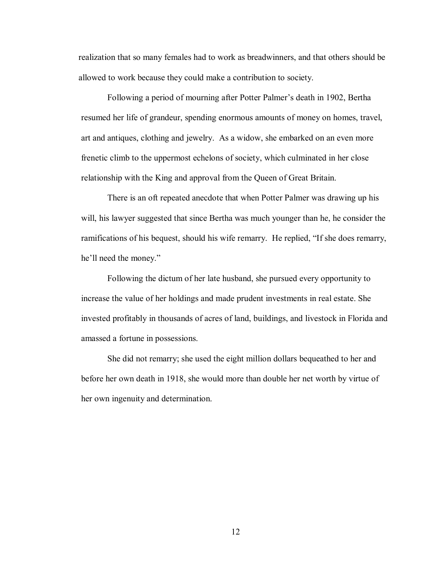realization that so many females had to work as breadwinners, and that others should be allowed to work because they could make a contribution to society.

Following a period of mourning after Potter Palmer's death in 1902, Bertha resumed her life of grandeur, spending enormous amounts of money on homes, travel, art and antiques, clothing and jewelry. As a widow, she embarked on an even more frenetic climb to the uppermost echelons of society, which culminated in her close relationship with the King and approval from the Queen of Great Britain.

There is an oft repeated anecdote that when Potter Palmer was drawing up his will, his lawyer suggested that since Bertha was much younger than he, he consider the ramifications of his bequest, should his wife remarry. He replied, "If she does remarry, he'll need the money."

Following the dictum of her late husband, she pursued every opportunity to increase the value of her holdings and made prudent investments in real estate. She invested profitably in thousands of acres of land, buildings, and livestock in Florida and amassed a fortune in possessions.

She did not remarry; she used the eight million dollars bequeathed to her and before her own death in 1918, she would more than double her net worth by virtue of her own ingenuity and determination.

12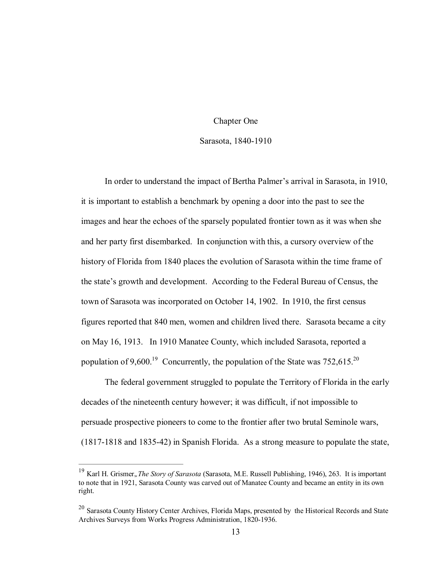#### Chapter One

#### Sarasota, 1840-1910

In order to understand the impact of Bertha Palmer's arrival in Sarasota, in 1910, it is important to establish a benchmark by opening a door into the past to see the images and hear the echoes of the sparsely populated frontier town as it was when she and her party first disembarked. In conjunction with this, a cursory overview of the history of Florida from 1840 places the evolution of Sarasota within the time frame of the state's growth and development. According to the Federal Bureau of Census, the town of Sarasota was incorporated on October 14, 1902. In 1910, the first census figures reported that 840 men, women and children lived there. Sarasota became a city on May 16, 1913. In 1910 Manatee County, which included Sarasota, reported a population of 9,600.<sup>19</sup> Concurrently, the population of the State was  $752,615.^{20}$ 

The federal government struggled to populate the Territory of Florida in the early decades of the nineteenth century however; it was difficult, if not impossible to persuade prospective pioneers to come to the frontier after two brutal Seminole wars,  $(1817-1818$  and  $1835-42)$  in Spanish Florida. As a strong measure to populate the state,

<sup>19</sup> Karl H. Grismer,*,The Story of Sarasota* (Sarasota, M.E. Russell Publishing, 1946), 263. It is important to note that in 1921, Sarasota County was carved out of Manatee County and became an entity in its own right.

<sup>&</sup>lt;sup>20</sup> Sarasota County History Center Archives, Florida Maps, presented by the Historical Records and State Archives Surveys from Works Progress Administration, 1820-1936.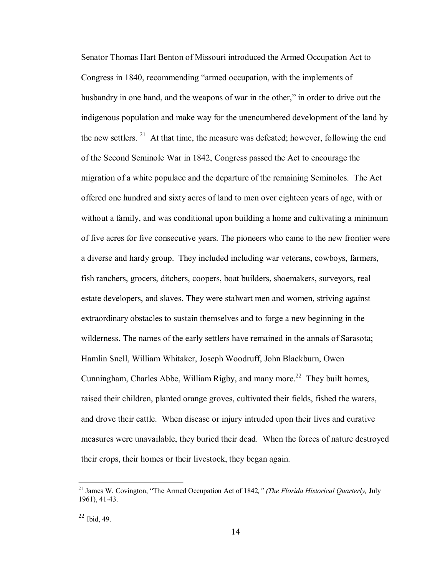Senator Thomas Hart Benton of Missouri introduced the Armed Occupation Act to Congress in 1840, recommending "armed occupation, with the implements of husbandry in one hand, and the weapons of war in the other," in order to drive out the indigenous population and make way for the unencumbered development of the land by the new settlers. <sup>21</sup> At that time, the measure was defeated; however, following the end of the Second Seminole War in 1842, Congress passed the Act to encourage the migration of a white populace and the departure of the remaining Seminoles. The Act offered one hundred and sixty acres of land to men over eighteen years of age, with or without a family, and was conditional upon building a home and cultivating a minimum of five acres for five consecutive years. The pioneers who came to the new frontier were a diverse and hardy group. They included including war veterans, cowboys, farmers, fish ranchers, grocers, ditchers, coopers, boat builders, shoemakers, surveyors, real estate developers, and slaves. They were stalwart men and women, striving against extraordinary obstacles to sustain themselves and to forge a new beginning in the wilderness. The names of the early settlers have remained in the annals of Sarasota; Hamlin Snell, William Whitaker, Joseph Woodruff, John Blackburn, Owen Cunningham, Charles Abbe, William Rigby, and many more.<sup>22</sup> They built homes, raised their children, planted orange groves, cultivated their fields, fished the waters, and drove their cattle. When disease or injury intruded upon their lives and curative measures were unavailable, they buried their dead. When the forces of nature destroyed their crops, their homes or their livestock, they began again.

<sup>21</sup> James W. Covington, "The Armed Occupation Act of 1842*," (The Florida Historical Quarterly,* July 1961), 41-43.

 $22$  Ibid, 49.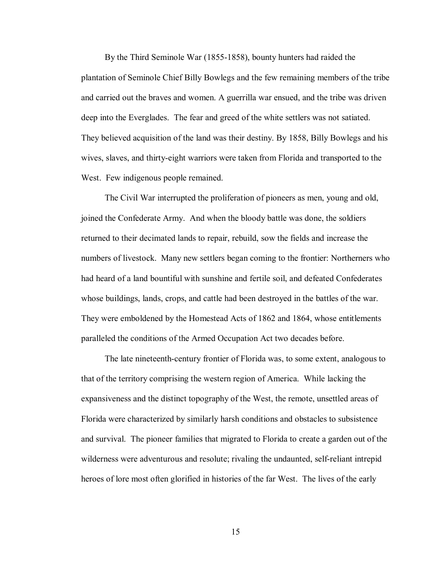By the Third Seminole War (1855-1858), bounty hunters had raided the plantation of Seminole Chief Billy Bowlegs and the few remaining members of the tribe and carried out the braves and women. A guerrilla war ensued, and the tribe was driven deep into the Everglades. The fear and greed of the white settlers was not satiated. They believed acquisition of the land was their destiny. By 1858, Billy Bowlegs and his wives, slaves, and thirtyeight warriors were taken from Florida and transported to the West. Few indigenous people remained.

The Civil War interrupted the proliferation of pioneers as men, young and old, joined the Confederate Army. And when the bloody battle was done, the soldiers returned to their decimated lands to repair, rebuild, sow the fields and increase the numbers of livestock. Many new settlers began coming to the frontier: Northerners who had heard of a land bountiful with sunshine and fertile soil, and defeated Confederates whose buildings, lands, crops, and cattle had been destroyed in the battles of the war. They were emboldened by the Homestead Acts of 1862 and 1864, whose entitlements paralleled the conditions of the Armed Occupation Act two decades before.

The late nineteenth-century frontier of Florida was, to some extent, analogous to that of the territory comprising the western region of America. While lacking the expansiveness and the distinct topography of the West, the remote, unsettled areas of Florida were characterized by similarly harsh conditions and obstacles to subsistence and survival. The pioneer families that migrated to Florida to create a garden out of the wilderness were adventurous and resolute; rivaling the undaunted, self-reliant intrepid heroes of lore most often glorified in histories of the far West. The lives of the early

15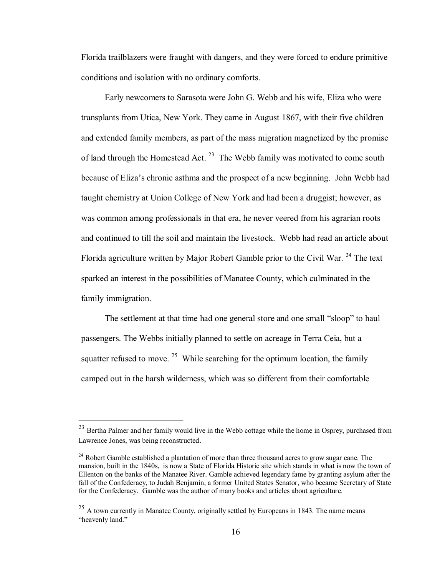Florida trailblazers were fraught with dangers, and they were forced to endure primitive conditions and isolation with no ordinary comforts.

Early newcomers to Sarasota were John G. Webb and his wife, Eliza who were transplants from Utica, New York. They came in August 1867, with their five children and extended family members, as part of the mass migration magnetized by the promise of land through the Homestead Act.  $2<sup>3</sup>$  The Webb family was motivated to come south because of Eliza's chronic asthma and the prospect of a new beginning. John Webb had taught chemistry at Union College of New York and had been a druggist; however, as was common among professionals in that era, he never veered from his agrarian roots and continued to till the soil and maintain the livestock. Webb had read an article about Florida agriculture written by Major Robert Gamble prior to the Civil War.  $^{24}$  The text sparked an interest in the possibilities of Manatee County, which culminated in the family immigration.

The settlement at that time had one general store and one small "sloop" to haul passengers. The Webbs initially planned to settle on acreage in Terra Ceia, but a squatter refused to move. <sup>25</sup> While searching for the optimum location, the family camped out in the harsh wilderness, which was so different from their comfortable

<sup>&</sup>lt;sup>23</sup> Bertha Palmer and her family would live in the Webb cottage while the home in Osprey, purchased from Lawrence Jones, was being reconstructed.

<sup>&</sup>lt;sup>24</sup> Robert Gamble established a plantation of more than three thousand acres to grow sugar cane. The mansion, built in the 1840s, is now a State of Florida Historic site which stands in what is now the town of Ellenton on the banks of the Manatee River. Gamble achieved legendary fame by granting asylum after the fall of the Confederacy, to Judah Benjamin, a former United States Senator, who became Secretary of State for the Confederacy. Gamble was the author of many books and articles about agriculture.

 $^{25}$  A town currently in Manatee County, originally settled by Europeans in 1843. The name means "heavenly land."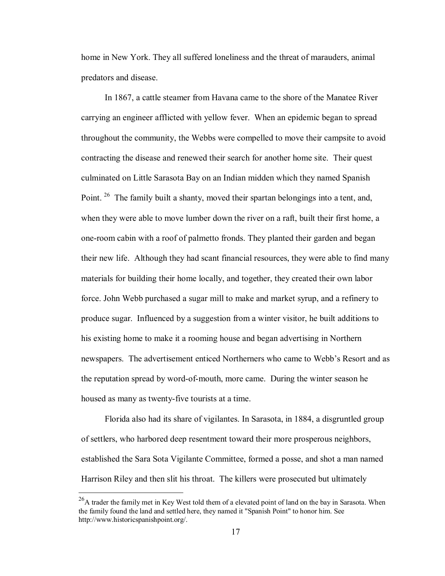home in New York. They all suffered loneliness and the threat of marauders, animal predators and disease.

In 1867, a cattle steamer from Havana came to the shore of the Manatee River carrying an engineer afflicted with yellow fever. When an epidemic began to spread throughout the community, the Webbs were compelled to move their campsite to avoid contracting the disease and renewed their search for another home site. Their quest culminated on Little Sarasota Bay on an Indian midden which they named Spanish Point. <sup>26</sup> The family built a shanty, moved their spartan belongings into a tent, and, when they were able to move lumber down the river on a raft, built their first home, a one-room cabin with a roof of palmetto fronds. They planted their garden and began their new life. Although they had scant financial resources, they were able to find many materials for building their home locally, and together, they created their own labor force. John Webb purchased a sugar mill to make and market syrup, and a refinery to produce sugar. Influenced by a suggestion from a winter visitor, he built additions to his existing home to make it a rooming house and began advertising in Northern newspapers. The advertisement enticed Northerners who came to Webb's Resort and as the reputation spread by word-of-mouth, more came. During the winter season he housed as many as twenty-five tourists at a time.

Florida also had its share of vigilantes. In Sarasota, in 1884, a disgruntled group of settlers, who harbored deep resentment toward their more prosperous neighbors, established the Sara Sota Vigilante Committee, formed a posse, and shot a man named Harrison Riley and then slit his throat. The killers were prosecuted but ultimately

<sup>&</sup>lt;sup>26</sup>A trader the family met in Key West told them of a elevated point of land on the bay in Sarasota. When the family found the land and settled here, they named it "Spanish Point" to honor him. See http://www.historicspanishpoint.org/.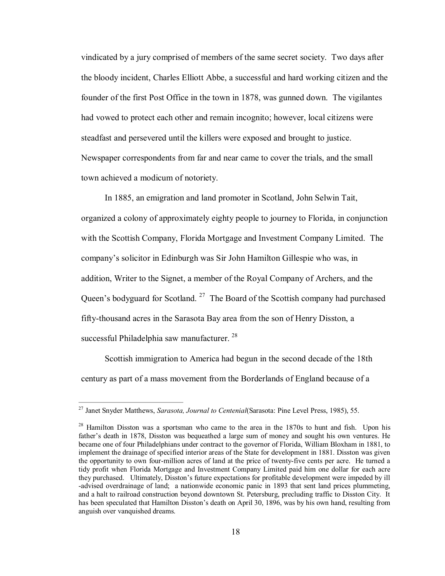vindicated by a jury comprised of members of the same secret society. Two days after the bloody incident, Charles Elliott Abbe, a successful and hard working citizen and the founder of the first Post Office in the town in 1878, was gunned down. The vigilantes had vowed to protect each other and remain incognito; however, local citizens were steadfast and persevered until the killers were exposed and brought to justice. Newspaper correspondents from far and near came to cover the trials, and the small town achieved a modicum of notoriety.

In 1885, an emigration and land promoter in Scotland, John Selwin Tait, organized a colony of approximately eighty people to journey to Florida, in conjunction with the Scottish Company, Florida Mortgage and Investment Company Limited. The company's solicitor in Edinburgh was Sir John Hamilton Gillespie who was, in addition, Writer to the Signet, a member of the Royal Company of Archers, and the Queen's bodyguard for Scotland. <sup>27</sup> The Board of the Scottish company had purchased fifty-thousand acres in the Sarasota Bay area from the son of Henry Disston, a successful Philadelphia saw manufacturer.<sup>28</sup>

Scottish immigration to America had begun in the second decade of the 18th century as part of a mass movement from the Borderlands of England because of a

<sup>27</sup> Janet Snyder Matthews, *Sarasota, Journal to Centenial*(Sarasota: Pine Level Press, 1985), 55.

<sup>&</sup>lt;sup>28</sup> Hamilton Disston was a sportsman who came to the area in the 1870s to hunt and fish. Upon his father's death in 1878, Disston was bequeathed a large sum of money and sought his own ventures. He became one of four Philadelphians under contract to the governor of Florida, William Bloxham in 1881, to implement the drainage of specified interior areas of the State for development in 1881. Disston was given the opportunity to own four-million acres of land at the price of twenty-five cents per acre. He turned a tidy profit when Florida Mortgage and Investment Company Limited paid him one dollar for each acre they purchased. Ultimately, Disston's future expectations for profitable development were impeded by ill advised overdrainage of land; a nationwide economic panic in 1893 that sent land prices plummeting, and a halt to railroad construction beyond downtown St. Petersburg, precluding traffic to Disston City. It has been speculated that Hamilton Disston's death on April 30, 1896, was by his own hand, resulting from anguish over vanquished dreams.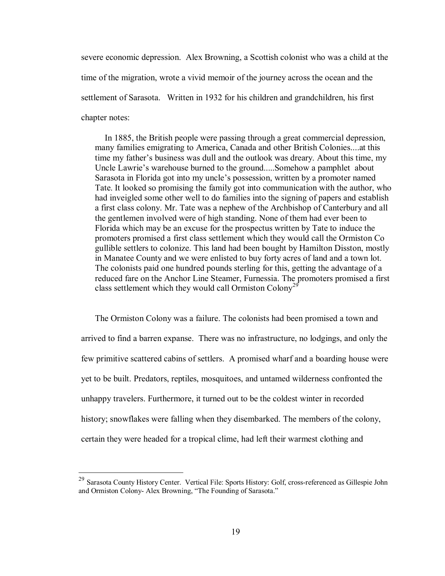severe economic depression. Alex Browning, a Scottish colonist who was a child at the time of the migration, wrote a vivid memoir of the journey across the ocean and the settlement of Sarasota. Written in 1932 for his children and grandchildren, his first chapter notes:

In 1885, the British people were passing through a great commercial depression, many families emigrating to America, Canada and other British Colonies....at this time my father's business was dull and the outlook was dreary. About this time, my Uncle Lawrie's warehouse burned to the ground.....Somehow a pamphlet about Sarasota in Florida got into my uncle's possession, written by a promoter named Tate. It looked so promising the family got into communication with the author, who had inveigled some other well to do families into the signing of papers and establish a first class colony. Mr. Tate was a nephew of the Archbishop of Canterbury and all the gentlemen involved were of high standing. None of them had ever been to Florida which may be an excuse for the prospectus written by Tate to induce the promoters promised a first class settlement which they would call the Ormiston Co gullible settlers to colonize. This land had been bought by Hamilton Disston, mostly in Manatee County and we were enlisted to buy forty acres of land and a town lot. The colonists paid one hundred pounds sterling for this, getting the advantage of a reduced fare on the Anchor Line Steamer, Furnessia. The promoters promised a first class settlement which they would call Ormiston Colony<sup>29</sup>

The Ormiston Colony was a failure. The colonists had been promised a town and arrived to find a barren expanse. There was no infrastructure, no lodgings, and only the few primitive scattered cabins of settlers. A promised wharf and a boarding house were yet to be built. Predators, reptiles, mosquitoes, and untamed wilderness confronted the unhappy travelers. Furthermore, it turned out to be the coldest winter in recorded history; snowflakes were falling when they disembarked. The members of the colony, certain they were headed for a tropical clime, had left their warmest clothing and

<sup>&</sup>lt;sup>29</sup> Sarasota County History Center. Vertical File: Sports History: Golf, cross-referenced as Gillespie John and Ormiston Colony- Alex Browning, "The Founding of Sarasota."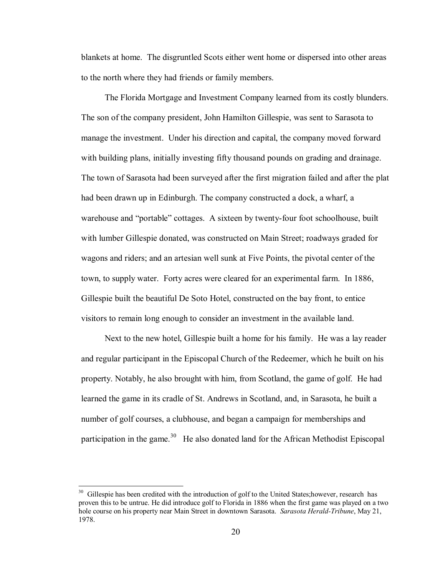blankets at home. The disgruntled Scots either went home or dispersed into other areas to the north where they had friends or family members.

The Florida Mortgage and Investment Company learned from its costly blunders. The son of the company president, John Hamilton Gillespie, was sent to Sarasota to manage the investment. Under his direction and capital, the company moved forward with building plans, initially investing fifty thousand pounds on grading and drainage. The town of Sarasota had been surveyed after the first migration failed and after the plat had been drawn up in Edinburgh. The company constructed a dock, a wharf, a warehouse and "portable" cottages. A sixteen by twenty-four foot schoolhouse, built with lumber Gillespie donated, was constructed on Main Street; roadways graded for wagons and riders; and an artesian well sunk at Five Points, the pivotal center of the town, to supply water. Forty acres were cleared for an experimental farm. In 1886, Gillespie built the beautiful De Soto Hotel, constructed on the bay front, to entice visitors to remain long enough to consider an investment in the available land.

Next to the new hotel, Gillespie built a home for his family. He was a lay reader and regular participant in the Episcopal Church of the Redeemer, which he built on his property. Notably, he also brought with him, from Scotland, the game of golf. He had learned the game in its cradle of St. Andrews in Scotland, and, in Sarasota, he built a number of golf courses, a clubhouse, and began a campaign for memberships and participation in the game.<sup>30</sup> He also donated land for the African Methodist Episcopal

<sup>&</sup>lt;sup>30</sup> Gillespie has been credited with the introduction of golf to the United States; however, research has proven this to be untrue. He did introduce golf to Florida in 1886 when the first game was played on a two hole course on his property near Main Street in downtown Sarasota. *Sarasota Herald-Tribune*, May 21, 1978.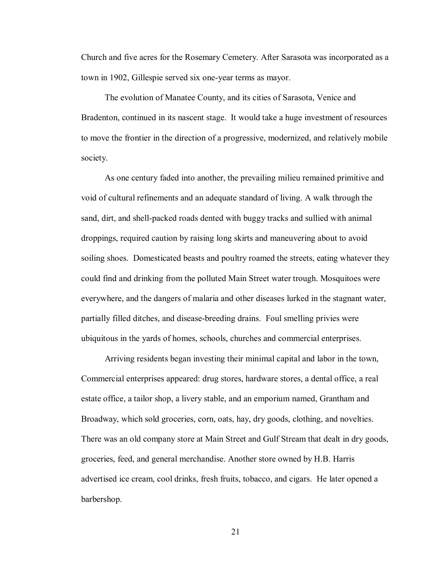Church and five acres for the Rosemary Cemetery. After Sarasota was incorporated as a town in 1902, Gillespie served six one-year terms as mayor.

The evolution of Manatee County, and its cities of Sarasota, Venice and Bradenton, continued in its nascent stage. It would take a huge investment of resources to move the frontier in the direction of a progressive, modernized, and relatively mobile society.

As one century faded into another, the prevailing milieu remained primitive and void of cultural refinements and an adequate standard of living. A walk through the sand, dirt, and shell-packed roads dented with buggy tracks and sullied with animal droppings, required caution by raising long skirts and maneuvering about to avoid soiling shoes. Domesticated beasts and poultry roamed the streets, eating whatever they could find and drinking from the polluted Main Street water trough. Mosquitoes were everywhere, and the dangers of malaria and other diseases lurked in the stagnant water, partially filled ditches, and diseasebreeding drains. Foul smelling privies were ubiquitous in the yards of homes, schools, churches and commercial enterprises.

Arriving residents began investing their minimal capital and labor in the town, Commercial enterprises appeared: drug stores, hardware stores, a dental office, a real estate office, a tailor shop, a livery stable, and an emporium named, Grantham and Broadway, which sold groceries, corn, oats, hay, dry goods, clothing, and novelties. There was an old company store at Main Street and Gulf Stream that dealt in dry goods, groceries, feed, and general merchandise. Another store owned by H.B. Harris advertised ice cream, cool drinks, fresh fruits, tobacco, and cigars. He later opened a barbershop.

21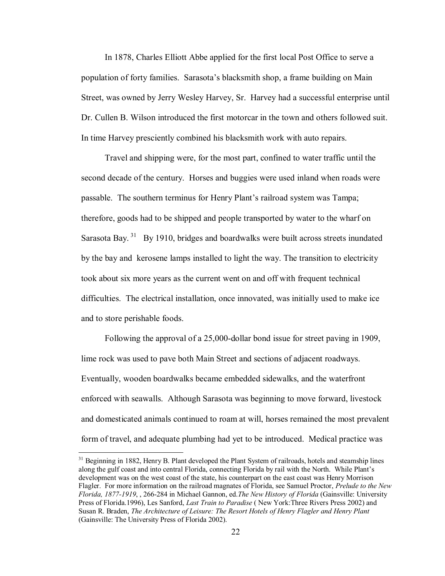In 1878, Charles Elliott Abbe applied for the first local Post Office to serve a population of forty families. Sarasota's blacksmith shop, a frame building on Main Street, was owned by Jerry Wesley Harvey, Sr. Harvey had a successful enterprise until Dr. Cullen B. Wilson introduced the first motorcar in the town and others followed suit. In time Harvey presciently combined his blacksmith work with auto repairs.

Travel and shipping were, for the most part, confined to water traffic until the second decade of the century. Horses and buggies were used inland when roads were passable. The southern terminus for Henry Plant's railroad system was Tampa; therefore, goods had to be shipped and people transported by water to the wharf on Sarasota Bay.<sup>31</sup> By 1910, bridges and boardwalks were built across streets inundated by the bay and kerosene lamps installed to light the way. The transition to electricity took about six more years as the current went on and off with frequent technical difficulties. The electrical installation, once innovated, was initially used to make ice and to store perishable foods.

Following the approval of a 25,000-dollar bond issue for street paving in 1909, lime rock was used to pave both Main Street and sections of adjacent roadways. Eventually, wooden boardwalks became embedded sidewalks, and the waterfront enforced with seawalls. Although Sarasota was beginning to move forward, livestock and domesticated animals continued to roam at will, horses remained the most prevalent form of travel, and adequate plumbing had yet to be introduced. Medical practice was

<sup>&</sup>lt;sup>31</sup> Beginning in 1882, Henry B. Plant developed the Plant System of railroads, hotels and steamship lines along the gulf coast and into central Florida, connecting Florida by rail with the North. While Plant's development was on the west coast of the state, his counterpart on the east coast was Henry Morrison Flagler. For more information on the railroad magnates of Florida, see Samuel Proctor, *Prelude to the New Florida, 18771919*, , 266284 in Michael Gannon, ed.*The New History of Florida* (Gainsville: University Press of Florida.1996), Les Sanford, *Last Train to Paradise* ( New York:Three Rivers Press 2002) and Susan R. Braden, *The Architecture of Leisure: The Resort Hotels of Henry Flagler and Henry Plant* (Gainsville: The University Press of Florida 2002).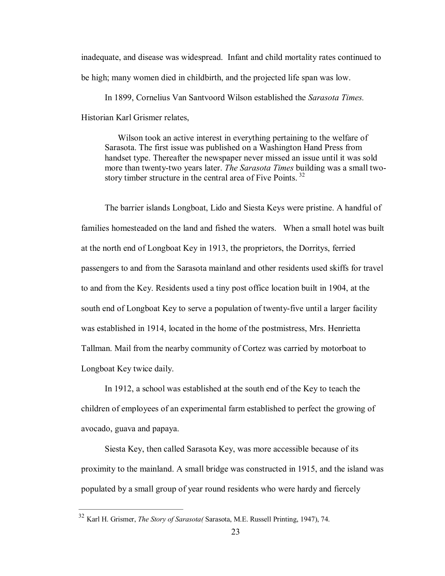inadequate, and disease was widespread. Infant and child mortality rates continued to be high; many women died in childbirth, and the projected life span was low.

In 1899, Cornelius Van Santvoord Wilson established the *Sarasota Times.* Historian Karl Grismer relates,

Wilson took an active interest in everything pertaining to the welfare of Sarasota. The first issue was published on a Washington Hand Press from handset type. Thereafter the newspaper never missed an issue until it was sold more than twenty-two years later. *The Sarasota Times* building was a small twostory timber structure in the central area of Five Points.  $32$ 

The barrier islands Longboat, Lido and Siesta Keys were pristine. A handful of families homesteaded on the land and fished the waters. When a small hotel was built at the north end of Longboat Key in 1913, the proprietors, the Dorritys, ferried passengers to and from the Sarasota mainland and other residents used skiffs for travel to and from the Key. Residents used a tiny post office location built in 1904, at the south end of Longboat Key to serve a population of twenty-five until a larger facility was established in 1914, located in the home of the postmistress, Mrs. Henrietta Tallman. Mail from the nearby community of Cortez was carried by motorboat to Longboat Key twice daily.

In 1912, a school was established at the south end of the Key to teach the children of employees of an experimental farm established to perfect the growing of avocado, guava and papaya.

Siesta Key, then called Sarasota Key, was more accessible because of its proximity to the mainland. A small bridge was constructed in 1915, and the island was populated by a small group of year round residents who were hardy and fiercely

<sup>32</sup> Karl H. Grismer, *The Story of Sarasota(* Sarasota, M.E. Russell Printing, 1947), 74.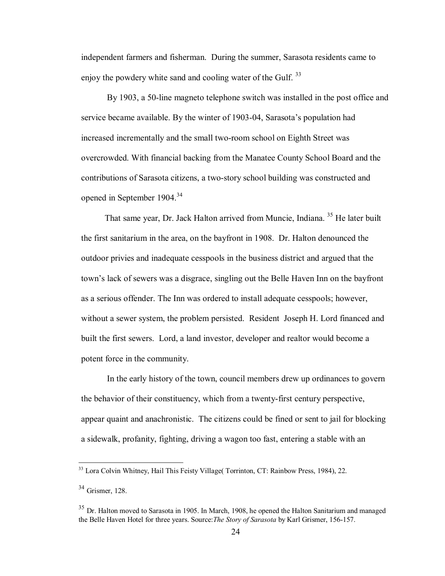independent farmers and fisherman. During the summer, Sarasota residents came to enjoy the powdery white sand and cooling water of the Gulf.  $33$ 

By 1903, a 50-line magneto telephone switch was installed in the post office and service became available. By the winter of 1903-04, Sarasota's population had increased incrementally and the small two-room school on Eighth Street was overcrowded. With financial backing from the Manatee County School Board and the contributions of Sarasota citizens, a two-story school building was constructed and opened in September 1904.<sup>34</sup>

That same year, Dr. Jack Halton arrived from Muncie, Indiana.<sup>35</sup> He later built the first sanitarium in the area, on the bayfront in 1908. Dr. Halton denounced the outdoor privies and inadequate cesspools in the business district and argued that the town's lack of sewers was a disgrace, singling out the Belle Haven Inn on the bayfront as a serious offender. The Inn was ordered to install adequate cesspools; however, without a sewer system, the problem persisted. Resident Joseph H. Lord financed and built the first sewers. Lord, a land investor, developer and realtor would become a potent force in the community.

In the early history of the town, council members drew up ordinances to govern the behavior of their constituency, which from a twenty-first century perspective, appear quaint and anachronistic. The citizens could be fined or sent to jail for blocking a sidewalk, profanity, fighting, driving a wagon too fast, entering a stable with an

<sup>&</sup>lt;sup>33</sup> Lora Colvin Whitney, Hail This Feisty Village( Torrinton, CT: Rainbow Press, 1984), 22.

 $34$  Grismer, 128.

 $35$  Dr. Halton moved to Sarasota in 1905. In March, 1908, he opened the Halton Sanitarium and managed the Belle Haven Hotel for three years. Source:*The Story of Sarasota* by Karl Grismer, 156-157.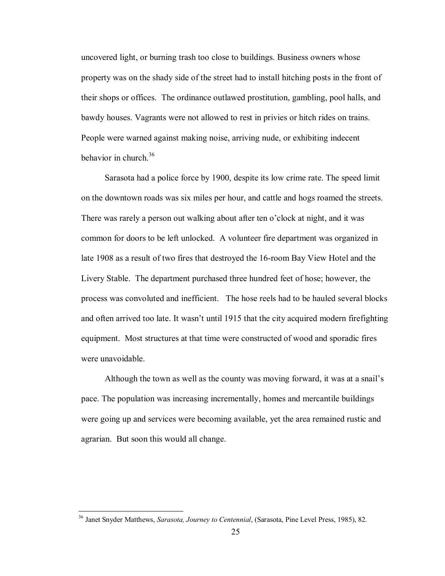uncovered light, or burning trash too close to buildings. Business owners whose property was on the shady side of the street had to install hitching posts in the front of their shops or offices. The ordinance outlawed prostitution, gambling, pool halls, and bawdy houses. Vagrants were not allowed to rest in privies or hitch rides on trains. People were warned against making noise, arriving nude, or exhibiting indecent behavior in church. $36$ 

Sarasota had a police force by 1900, despite its low crime rate. The speed limit on the downtown roads was six miles per hour, and cattle and hogs roamed the streets. There was rarely a person out walking about after ten o'clock at night, and it was common for doors to be left unlocked. A volunteer fire department was organized in late 1908 as a result of two fires that destroyed the 16-room Bay View Hotel and the Livery Stable. The department purchased three hundred feet of hose; however, the process was convoluted and inefficient. The hose reels had to be hauled several blocks and often arrived too late. It wasn't until 1915 that the city acquired modern firefighting equipment. Most structures at that time were constructed of wood and sporadic fires were unavoidable.

Although the town as well as the county was moving forward, it was at a snail's pace. The population was increasing incrementally, homes and mercantile buildings were going up and services were becoming available, yet the area remained rustic and agrarian. But soon this would all change.

<sup>36</sup> Janet Snyder Matthews, *Sarasota, Journey to Centennial*, (Sarasota, Pine Level Press, 1985), 82.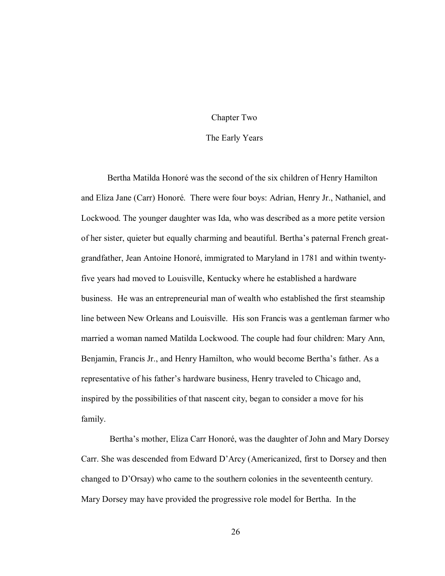#### Chapter Two

#### The Early Years

Bertha Matilda Honoré was the second of the six children of Henry Hamilton and Eliza Jane (Carr) Honoré. There were four boys: Adrian, Henry Jr., Nathaniel, and Lockwood. The younger daughter was Ida, who was described as a more petite version of her sister, quieter but equally charming and beautiful. Bertha's paternal French greatgrandfather, Jean Antoine Honoré, immigrated to Maryland in 1781 and within twentyfive years had moved to Louisville, Kentucky where he established a hardware business. He was an entrepreneurial man of wealth who established the first steamship line between New Orleans and Louisville. His son Francis was a gentleman farmer who married a woman named Matilda Lockwood. The couple had four children: Mary Ann, Benjamin, Francis Jr., and Henry Hamilton, who would become Bertha's father. As a representative of his father's hardware business, Henry traveled to Chicago and, inspired by the possibilities of that nascent city, began to consider a move for his family.

Bertha's mother, Eliza Carr Honoré, was the daughter of John and Mary Dorsey Carr. She was descended from Edward D'Arcy (Americanized, first to Dorsey and then changed to D'Orsay) who came to the southern colonies in the seventeenth century. Mary Dorsey may have provided the progressive role model for Bertha. In the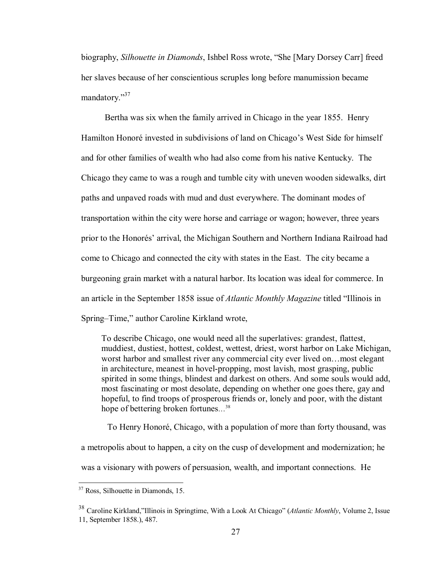biography, *Silhouette in Diamonds*, Ishbel Ross wrote, "She [Mary Dorsey Carr] freed her slaves because of her conscientious scruples long before manumission became mandatory. $^{37}$ 

Bertha was six when the family arrived in Chicago in the year 1855. Henry Hamilton Honoré invested in subdivisions of land on Chicago's West Side for himself and for other families of wealth who had also come from his native Kentucky. The Chicago they came to was a rough and tumble city with uneven wooden sidewalks, dirt paths and unpaved roads with mud and dust everywhere. The dominant modes of transportation within the city were horse and carriage or wagon; however, three years prior to the Honorés' arrival, the Michigan Southern and Northern Indiana Railroad had come to Chicago and connected the city with states in the East. The city became a burgeoning grain market with a natural harbor. Its location was ideal for commerce. In an article in the September 1858 issue of *Atlantic Monthly Magazine* titled "Illinois in Spring–Time," author Caroline Kirkland wrote,

To describe Chicago, one would need all the superlatives: grandest, flattest, muddiest, dustiest, hottest, coldest, wettest, driest, worst harbor on Lake Michigan, worst harbor and smallest river any commercial city ever lived on...most elegant in architecture, meanest in hovel-propping, most lavish, most grasping, public spirited in some things, blindest and darkest on others. And some souls would add, most fascinating or most desolate, depending on whether one goes there, gay and hopeful, to find troops of prosperous friends or, lonely and poor, with the distant hope of bettering broken fortunes… <sup>38</sup>

To Henry Honoré, Chicago, with a population of more than forty thousand, was a metropolis about to happen, a city on the cusp of development and modernization; he was a visionary with powers of persuasion, wealth, and important connections. He

<sup>&</sup>lt;sup>37</sup> Ross, Silhouette in Diamonds, 15.

<sup>38</sup> Caroline Kirkland,"Illinois in Springtime, With a Look At Chicago" (*Atlantic Monthly*, Volume 2, Issue 11, September 1858.), 487.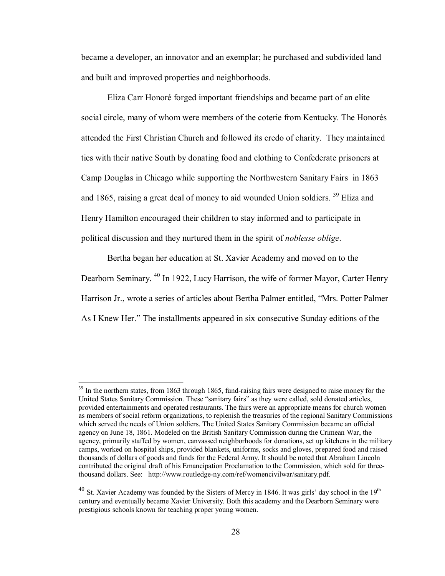became a developer, an innovator and an exemplar; he purchased and subdivided land and built and improved properties and neighborhoods.

Eliza Carr Honoré forged important friendships and became part of an elite social circle, many of whom were members of the coterie from Kentucky. The Honorés attended the First Christian Church and followed its credo of charity. They maintained ties with their native South by donating food and clothing to Confederate prisoners at Camp Douglas in Chicago while supporting the Northwestern Sanitary Fairs in 1863 and 1865, raising a great deal of money to aid wounded Union soldiers. <sup>39</sup> Eliza and Henry Hamilton encouraged their children to stay informed and to participate in political discussion and they nurtured them in the spirit of *noblesse oblige*.

Bertha began her education at St. Xavier Academy and moved on to the Dearborn Seminary. <sup>40</sup> In 1922, Lucy Harrison, the wife of former Mayor, Carter Henry Harrison Jr., wrote a series of articles about Bertha Palmer entitled, "Mrs. Potter Palmer As I Knew Her." The installments appeared in six consecutive Sunday editions of the

<sup>&</sup>lt;sup>39</sup> In the northern states, from 1863 through 1865, fund-raising fairs were designed to raise money for the United States Sanitary Commission. These "sanitary fairs" as they were called, sold donated articles, provided entertainments and operated restaurants. The fairs were an appropriate means for church women as members of social reform organizations, to replenish the treasuries of the regional Sanitary Commissions which served the needs of Union soldiers. The United States Sanitary Commission became an official agency on June 18, 1861. Modeled on the British Sanitary Commission during the Crimean War, the agency, primarily staffed by women, canvassed neighborhoods for donations, set up kitchens in the military camps, worked on hospital ships, provided blankets, uniforms, socks and gloves, prepared food and raised thousands of dollars of goods and funds for the Federal Army. It should be noted that Abraham Lincoln contributed the original draft of his Emancipation Proclamation to the Commission, which sold for three thousand dollars. See: http://www.routledge-ny.com/ref/womencivilwar/sanitary.pdf.

 $^{40}$  St. Xavier Academy was founded by the Sisters of Mercy in 1846. It was girls' day school in the 19<sup>th</sup> century and eventually became Xavier University. Both this academy and the Dearborn Seminary were prestigious schools known for teaching proper young women.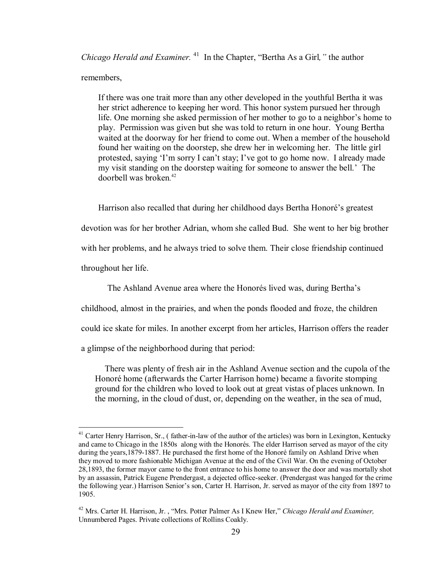*Chicago Herald and Examiner.* <sup>41</sup> In the Chapter, "Bertha As a Girl," the author

### remembers,

If there was one trait more than any other developed in the youthful Bertha it was her strict adherence to keeping her word. This honor system pursued her through life. One morning she asked permission of her mother to go to a neighbor's home to play. Permission was given but she was told to return in one hour. Young Bertha waited at the doorway for her friend to come out. When a member of the household found her waiting on the doorstep, she drew her in welcoming her. The little girl protested, saying 'I'm sorry I can't stay; I've got to go home now. I already made my visit standing on the doorstep waiting for someone to answer the bell.' The doorbell was broken<sup>42</sup>

Harrison also recalled that during her childhood days Bertha Honoré's greatest devotion was for her brother Adrian, whom she called Bud. She went to her big brother with her problems, and he always tried to solve them. Their close friendship continued throughout her life.

The Ashland Avenue area where the Honorés lived was, during Bertha's

childhood, almost in the prairies, and when the ponds flooded and froze, the children

could ice skate for miles. In another excerpt from her articles, Harrison offers the reader

a glimpse of the neighborhood during that period:

There was plenty of fresh air in the Ashland Avenue section and the cupola of the Honoré home (afterwards the Carter Harrison home) became a favorite stomping ground for the children who loved to look out at great vistas of places unknown. In the morning, in the cloud of dust, or, depending on the weather, in the sea of mud,

 $<sup>41</sup>$  Carter Henry Harrison, Sr., (father-in-law of the author of the articles) was born in Lexington, Kentucky</sup> and came to Chicago in the 1850s along with the Honorés. The elder Harrison served as mayor of the city during the years, 1879-1887. He purchased the first home of the Honoré family on Ashland Drive when they moved to more fashionable Michigan Avenue at the end of the Civil War. On the evening of October 28,1893, the former mayor came to the front entrance to his home to answer the door and was mortally shot by an assassin, Patrick Eugene Prendergast, a dejected office-seeker. (Prendergast was hanged for the crime the following year.) Harrison Senior's son, Carter H. Harrison, Jr. served as mayor of the city from 1897 to 1905.

<sup>42</sup> Mrs. Carter H. Harrison, Jr. , "Mrs. Potter Palmer As I Knew Her," *Chicago Herald and Examiner,* Unnumbered Pages. Private collections of Rollins Coakly.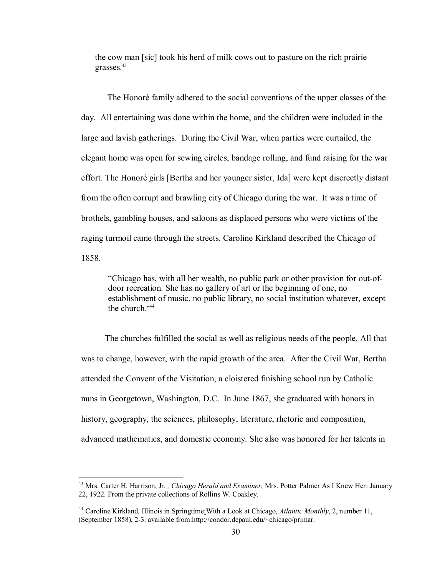the cow man [sic] took his herd of milk cows out to pasture on the rich prairie grasses.<sup>43</sup>

The Honoré family adhered to the social conventions of the upper classes of the day. All entertaining was done within the home, and the children were included in the large and lavish gatherings. During the Civil War, when parties were curtailed, the elegant home was open for sewing circles, bandage rolling, and fund raising for the war effort. The Honoré girls [Bertha and her younger sister, Ida] were kept discreetly distant from the often corrupt and brawling city of Chicago during the war. It was a time of brothels, gambling houses, and saloons as displaced persons who were victims of the raging turmoil came through the streets. Caroline Kirkland described the Chicago of 1858.

"Chicago has, with all her wealth, no public park or other provision for outof door recreation. She has no gallery of art or the beginning of one, no establishment of music, no public library, no social institution whatever, except the church." 44

The churches fulfilled the social as well as religious needs of the people. All that was to change, however, with the rapid growth of the area. After the Civil War, Bertha attended the Convent of the Visitation, a cloistered finishing school run by Catholic nuns in Georgetown, Washington, D.C. In June 1867, she graduated with honors in history, geography, the sciences, philosophy, literature, rhetoric and composition, advanced mathematics, and domestic economy. She also was honored for her talents in

<sup>43</sup> Mrs. Carter H. Harrison, Jr. *, Chicago Herald and Examiner*, Mrs. Potter Palmer As I Knew Her: January 22, 1922. From the private collections of Rollins W. Coakley.

<sup>44</sup> Caroline Kirkland*,* Illinois in Springtime:With a Look at Chicago, *Atlantic Monthly*, 2, number 11, (September 1858), 23. available from:http://condor.depaul.edu/~chicago/primar.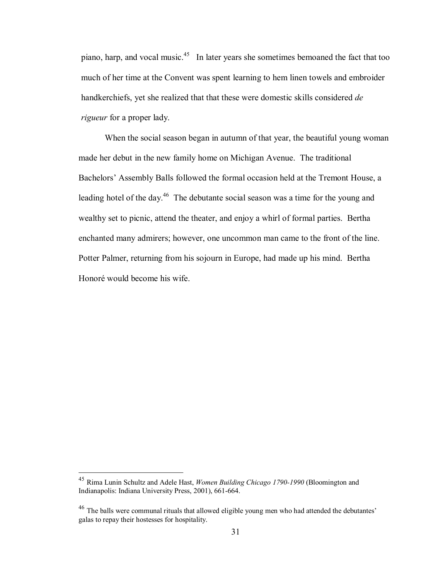piano, harp, and vocal music. <sup>45</sup> In later years she sometimes bemoaned the fact that too much of her time at the Convent was spent learning to hem linen towels and embroider handkerchiefs, yet she realized that that these were domestic skills considered *de rigueur* for a proper lady.

When the social season began in autumn of that year, the beautiful young woman made her debut in the new family home on Michigan Avenue. The traditional Bachelors' Assembly Balls followed the formal occasion held at the Tremont House, a leading hotel of the day.<sup>46</sup> The debutante social season was a time for the young and wealthy set to picnic, attend the theater, and enjoy a whirl of formal parties. Bertha enchanted many admirers; however, one uncommon man came to the front of the line. Potter Palmer, returning from his sojourn in Europe, had made up his mind. Bertha Honoré would become his wife.

<sup>&</sup>lt;sup>45</sup> Rima Lunin Schultz and Adele Hast, *Women Building Chicago 1790-1990* (Bloomington and Indianapolis: Indiana University Press, 2001), 661-664.

<sup>46</sup> The balls were communal rituals that allowed eligible young men who had attended the debutantes' galas to repay their hostesses for hospitality.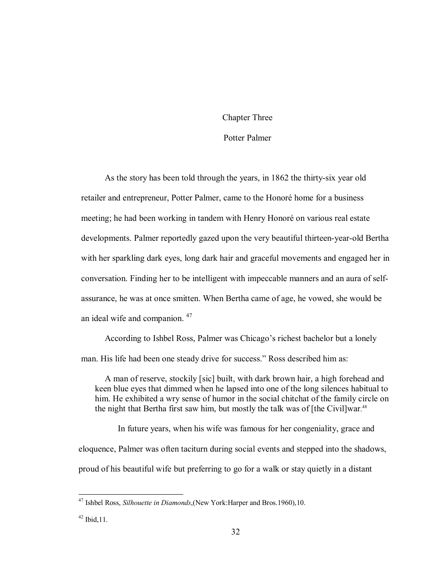# Chapter Three

# Potter Palmer

As the story has been told through the years, in 1862 the thirty-six year old retailer and entrepreneur, Potter Palmer, came to the Honoré home for a business meeting; he had been working in tandem with Henry Honoré on various real estate developments. Palmer reportedly gazed upon the very beautiful thirteen-year-old Bertha with her sparkling dark eyes, long dark hair and graceful movements and engaged her in conversation. Finding her to be intelligent with impeccable manners and an aura of selfassurance, he was at once smitten. When Bertha came of age, he vowed, she would be an ideal wife and companion.<sup>47</sup>

According to Ishbel Ross, Palmer was Chicago's richest bachelor but a lonely man. His life had been one steady drive for success." Ross described him as:

A man of reserve, stockily [sic] built, with dark brown hair, a high forehead and keen blue eyes that dimmed when he lapsed into one of the long silences habitual to him. He exhibited a wry sense of humor in the social chitchat of the family circle on the night that Bertha first saw him, but mostly the talk was of  $[$ the Civil]war.<sup>48</sup>

In future years, when his wife was famous for her congeniality, grace and eloquence, Palmer was often taciturn during social events and stepped into the shadows, proud of his beautiful wife but preferring to go for a walk or stay quietly in a distant

<sup>47</sup> Ishbel Ross, *Silhouette in Diamonds*,(New York:Harper and Bros.1960),10.

 $42$  Ibid, 11.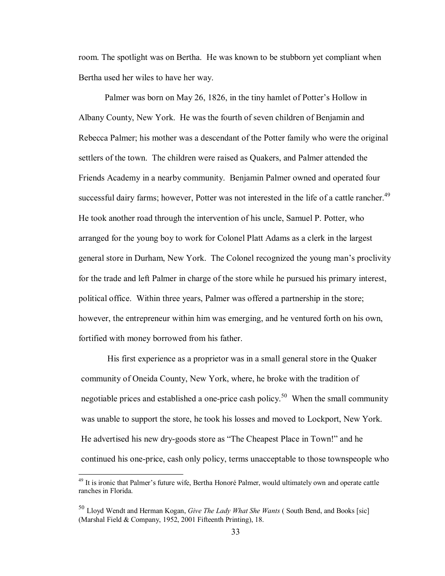room. The spotlight was on Bertha. He was known to be stubborn yet compliant when Bertha used her wiles to have her way.

Palmer was born on May 26, 1826, in the tiny hamlet of Potter's Hollow in Albany County, New York. He was the fourth of seven children of Benjamin and Rebecca Palmer; his mother was a descendant of the Potter family who were the original settlers of the town. The children were raised as Quakers, and Palmer attended the Friends Academy in a nearby community. Benjamin Palmer owned and operated four successful dairy farms; however, Potter was not interested in the life of a cattle rancher.<sup>49</sup> He took another road through the intervention of his uncle, Samuel P. Potter, who arranged for the young boy to work for Colonel Platt Adams as a clerk in the largest general store in Durham, New York. The Colonel recognized the young man's proclivity for the trade and left Palmer in charge of the store while he pursued his primary interest, political office. Within three years, Palmer was offered a partnership in the store; however, the entrepreneur within him was emerging, and he ventured forth on his own, fortified with money borrowed from his father.

His first experience as a proprietor was in a small general store in the Quaker community of Oneida County, New York, where, he broke with the tradition of negotiable prices and established a one-price cash policy.<sup>50</sup> When the small community was unable to support the store, he took his losses and moved to Lockport, New York. He advertised his new dry-goods store as "The Cheapest Place in Town!" and he continued his one-price, cash only policy, terms unacceptable to those townspeople who

<sup>&</sup>lt;sup>49</sup> It is ironic that Palmer's future wife, Bertha Honoré Palmer, would ultimately own and operate cattle ranches in Florida.

<sup>50</sup> Lloyd Wendt and Herman Kogan, *Give The Lady What She Wants* ( South Bend, and Books [sic] (Marshal Field & Company, 1952, 2001 Fifteenth Printing), 18.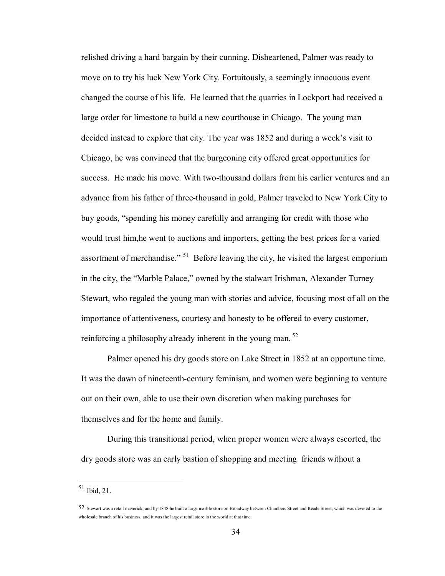relished driving a hard bargain by their cunning. Disheartened, Palmer was ready to move on to try his luck New York City. Fortuitously, a seemingly innocuous event changed the course of his life. He learned that the quarries in Lockport had received a large order for limestone to build a new courthouse in Chicago. The young man decided instead to explore that city. The year was 1852 and during a week's visit to Chicago, he was convinced that the burgeoning city offered great opportunities for success. He made his move. With two-thousand dollars from his earlier ventures and an advance from his father of three-thousand in gold, Palmer traveled to New York City to buy goods, "spending his money carefully and arranging for credit with those who would trust him,he went to auctions and importers, getting the best prices for a varied assortment of merchandise." <sup>51</sup> Before leaving the city, he visited the largest emporium in the city, the "Marble Palace," owned by the stalwart Irishman, Alexander Turney Stewart, who regaled the young man with stories and advice, focusing most of all on the importance of attentiveness, courtesy and honesty to be offered to every customer, reinforcing a philosophy already inherent in the young man.<sup>52</sup>

Palmer opened his dry goods store on Lake Street in 1852 at an opportune time. It was the dawn of nineteenth-century feminism, and women were beginning to venture out on their own, able to use their own discretion when making purchases for themselves and for the home and family.

During this transitional period, when proper women were always escorted, the dry goods store was an early bastion of shopping and meeting friends without a

<sup>51</sup> Ibid, 21.

<sup>52</sup> Stewart was a retail maverick, and by 1848 he built a large marble store on Broadway between Chambers Street and Reade Street, which was devoted to the wholesale branch of his business, and it was the largest retail store in the world at that time.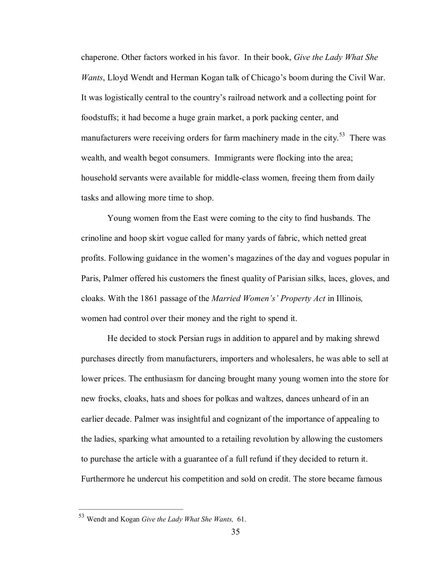chaperone. Other factors worked in his favor. In their book, *Give the Lady What She Wants*, Lloyd Wendt and Herman Kogan talk of Chicago's boom during the Civil War. It was logistically central to the country's railroad network and a collecting point for foodstuffs; it had become a huge grain market, a pork packing center, and manufacturers were receiving orders for farm machinery made in the city.<sup>53</sup> There was wealth, and wealth begot consumers. Immigrants were flocking into the area; household servants were available for middle-class women, freeing them from daily tasks and allowing more time to shop.

Young women from the East were coming to the city to find husbands. The crinoline and hoop skirt vogue called for many yards of fabric, which netted great profits. Following guidance in the women's magazines of the day and vogues popular in Paris, Palmer offered his customers the finest quality of Parisian silks, laces, gloves, and cloaks. With the 1861 passage of the *Married Women's' Property Act* in Illinois*,* women had control over their money and the right to spend it.

He decided to stock Persian rugs in addition to apparel and by making shrewd purchases directly from manufacturers, importers and wholesalers, he was able to sell at lower prices. The enthusiasm for dancing brought many young women into the store for new frocks, cloaks, hats and shoes for polkas and waltzes, dances unheard of in an earlier decade. Palmer was insightful and cognizant of the importance of appealing to the ladies, sparking what amounted to a retailing revolution by allowing the customers to purchase the article with a guarantee of a full refund if they decided to return it. Furthermore he undercut his competition and sold on credit. The store became famous

<sup>53</sup> Wendt and Kogan *Give the Lady What She Wants,* 61.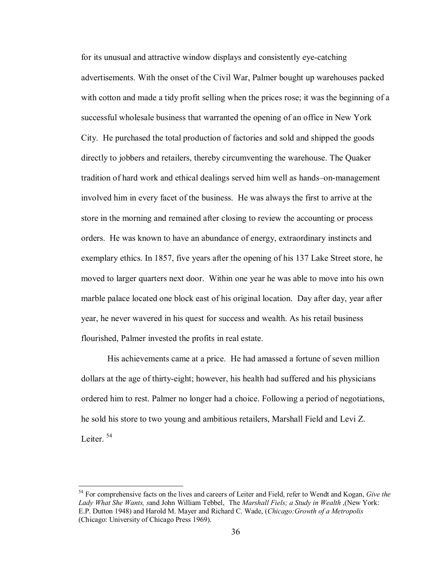for its unusual and attractive window displays and consistently eye-catching advertisements. With the onset of the Civil War, Palmer bought up warehouses packed with cotton and made a tidy profit selling when the prices rose; it was the beginning of a successful wholesale business that warranted the opening of an office in New York City. He purchased the total production of factories and sold and shipped the goods directly to jobbers and retailers, thereby circumventing the warehouse. The Quaker tradition of hard work and ethical dealings served him well as hands–on-management involved him in every facet of the business. He was always the first to arrive at the store in the morning and remained after closing to review the accounting or process orders. He was known to have an abundance of energy, extraordinary instincts and exemplary ethics. In 1857, five years after the opening of his 137 Lake Street store, he moved to larger quarters next door. Within one year he was able to move into his own marble palace located one block east of his original location. Day after day, year after year, he never wavered in his quest for success and wealth. As his retail business flourished, Palmer invested the profits in real estate.

His achievements came at a price. He had amassed a fortune of seven million dollars at the age of thirty-eight; however, his health had suffered and his physicians ordered him to rest. Palmer no longer had a choice. Following a period of negotiations, he sold his store to two young and ambitious retailers, Marshall Field and Levi Z. Leiter<sup>54</sup>

<sup>54</sup> For comprehensive facts on the lives and careers of Leiter and Field, refer to Wendt and Kogan, *Give the Lady What She Wants, s*and John William Tebbel, The *Marshall Fiels; a Study in Wealth* ,(New York: E.P. Dutton 1948) and Harold M. Mayer and Richard C. Wade, (*Chicago:Growth of a Metropolis* (Chicago: University of Chicago Press 1969).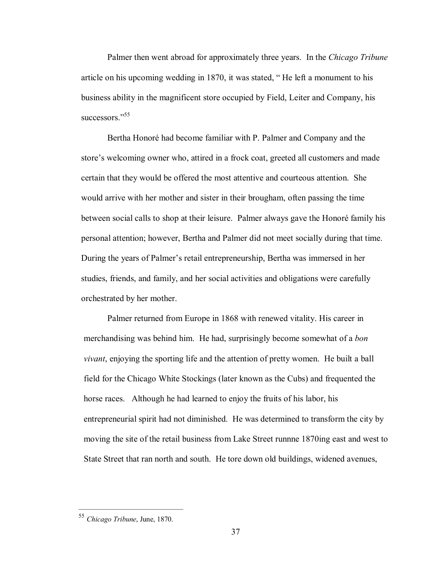Palmer then went abroad for approximately three years. In the *Chicago Tribune* article on his upcoming wedding in 1870, it was stated, " He left a monument to his business ability in the magnificent store occupied by Field, Leiter and Company, his successors<sup>"55</sup>

Bertha Honoré had become familiar with P. Palmer and Company and the store's welcoming owner who, attired in a frock coat, greeted all customers and made certain that they would be offered the most attentive and courteous attention. She would arrive with her mother and sister in their brougham, often passing the time between social calls to shop at their leisure. Palmer always gave the Honoré family his personal attention; however, Bertha and Palmer did not meet socially during that time. During the years of Palmer's retail entrepreneurship, Bertha was immersed in her studies, friends, and family, and her social activities and obligations were carefully orchestrated by her mother.

Palmer returned from Europe in 1868 with renewed vitality. His career in merchandising was behind him. He had, surprisingly become somewhat of a *bon vivant*, enjoying the sporting life and the attention of pretty women. He built a ball field for the Chicago White Stockings (later known as the Cubs) and frequented the horse races. Although he had learned to enjoy the fruits of his labor, his entrepreneurial spirit had not diminished. He was determined to transform the city by moving the site of the retail business from Lake Street runnne 1870ing east and west to State Street that ran north and south. He tore down old buildings, widened avenues,

<sup>55</sup> *Chicago Tribune*, June, 1870.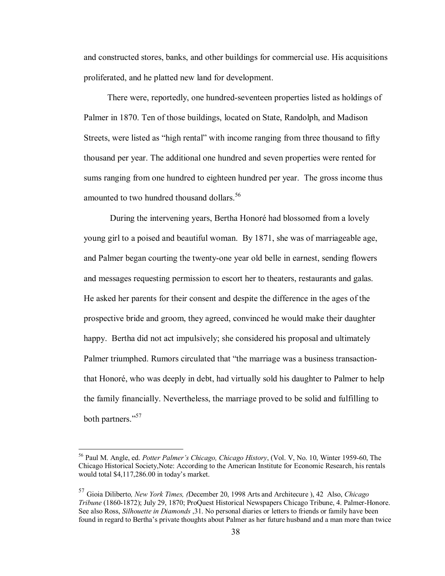and constructed stores, banks, and other buildings for commercial use. His acquisitions proliferated, and he platted new land for development.

There were, reportedly, one hundred-seventeen properties listed as holdings of Palmer in 1870. Ten of those buildings, located on State, Randolph, and Madison Streets, were listed as "high rental" with income ranging from three thousand to fifty thousand per year. The additional one hundred and seven properties were rented for sums ranging from one hundred to eighteen hundred per year. The gross income thus amounted to two hundred thousand dollars.<sup>56</sup>

During the intervening years, Bertha Honoré had blossomed from a lovely young girl to a poised and beautiful woman. By 1871, she was of marriageable age, and Palmer began courting the twenty-one year old belle in earnest, sending flowers and messages requesting permission to escort her to theaters, restaurants and galas. He asked her parents for their consent and despite the difference in the ages of the prospective bride and groom, they agreed, convinced he would make their daughter happy. Bertha did not act impulsively; she considered his proposal and ultimately Palmer triumphed. Rumors circulated that "the marriage was a business transactionthat Honoré, who was deeply in debt, had virtually sold his daughter to Palmer to help the family financially. Nevertheless, the marriage proved to be solid and fulfilling to both partners."<sup>57</sup>

<sup>&</sup>lt;sup>56</sup> Paul M. Angle, ed. *Potter Palmer's Chicago, Chicago History*, (Vol. V, No. 10, Winter 1959-60, The Chicago Historical Society,Note: According to the American Institute for Economic Research, his rentals would total \$4,117,286.00 in today's market.

<sup>57</sup> Gioia Diliberto*, New York Times, (*December 20, 1998 Arts and Architecure ), 42 Also, *Chicago Tribune* (1860-1872); July 29, 1870; ProQuest Historical Newspapers Chicago Tribune, 4. Palmer-Honore. See also Ross, *Silhouette in Diamonds* ,31. No personal diaries or letters to friends or family have been found in regard to Bertha's private thoughts about Palmer as her future husband and a man more than twice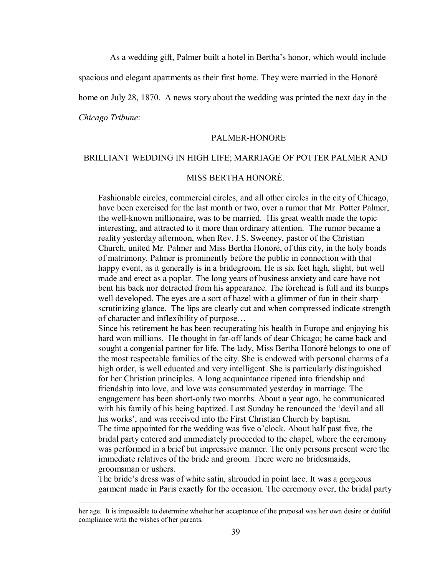As a wedding gift, Palmer built a hotel in Bertha's honor, which would include

spacious and elegant apartments as their first home. They were married in the Honoré

home on July 28, 1870. A news story about the wedding was printed the next day in the

*Chicago Tribune*:

#### PALMER-HONORE

# BRILLIANT WEDDING IN HIGH LIFE; MARRIAGE OF POTTER PALMER AND

# MISS BERTHA HONORÉ.

Fashionable circles, commercial circles, and all other circles in the city of Chicago, have been exercised for the last month or two, over a rumor that Mr. Potter Palmer, the well-known millionaire, was to be married. His great wealth made the topic interesting, and attracted to it more than ordinary attention. The rumor became a reality yesterday afternoon, when Rev. J.S. Sweeney, pastor of the Christian Church, united Mr. Palmer and Miss Bertha Honoré, of this city, in the holy bonds of matrimony. Palmer is prominently before the public in connection with that happy event, as it generally is in a bridegroom. He is six feet high, slight, but well made and erect as a poplar. The long years of business anxiety and care have not bent his back nor detracted from his appearance. The forehead is full and its bumps well developed. The eyes are a sort of hazel with a glimmer of fun in their sharp scrutinizing glance. The lips are clearly cut and when compressed indicate strength of character and inflexibility of purpose…

Since his retirement he has been recuperating his health in Europe and enjoying his hard won millions. He thought in far-off lands of dear Chicago; he came back and sought a congenial partner for life. The lady, Miss Bertha Honoré belongs to one of the most respectable families of the city. She is endowed with personal charms of a high order, is well educated and very intelligent. She is particularly distinguished for her Christian principles. A long acquaintance ripened into friendship and friendship into love, and love was consummated yesterday in marriage. The engagement has been short-only two months. About a year ago, he communicated with his family of his being baptized. Last Sunday he renounced the 'devil and all his works', and was received into the First Christian Church by baptism. The time appointed for the wedding was five o'clock. About half past five, the bridal party entered and immediately proceeded to the chapel, where the ceremony was performed in a brief but impressive manner. The only persons present were the immediate relatives of the bride and groom. There were no bridesmaids, groomsman or ushers.

The bride's dress was of white satin, shrouded in point lace. It was a gorgeous garment made in Paris exactly for the occasion. The ceremony over, the bridal party

her age. It is impossible to determine whether her acceptance of the proposal was her own desire or dutiful compliance with the wishes of her parents.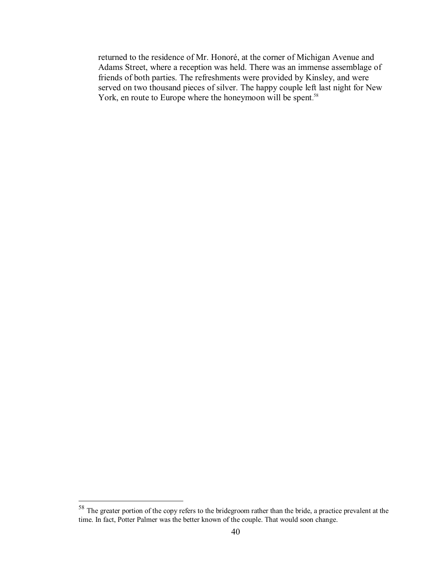returned to the residence of Mr. Honoré, at the corner of Michigan Avenue and Adams Street, where a reception was held. There was an immense assemblage of friends of both parties. The refreshments were provided by Kinsley, and were served on two thousand pieces of silver. The happy couple left last night for New York, en route to Europe where the honeymoon will be spent.<sup>58</sup>

<sup>58</sup> The greater portion of the copy refers to the bridegroom rather than the bride, a practice prevalent at the time. In fact, Potter Palmer was the better known of the couple. That would soon change.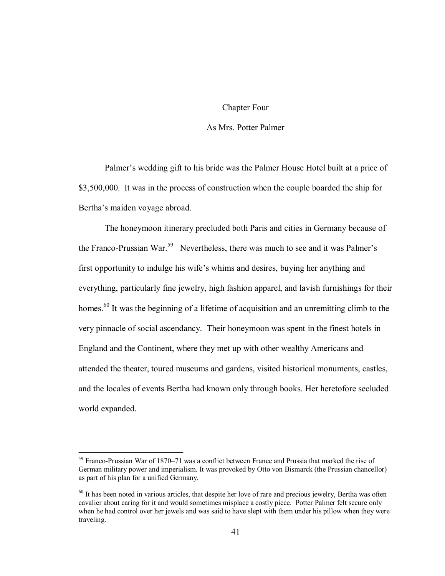#### Chapter Four

## As Mrs. Potter Palmer

Palmer's wedding gift to his bride was the Palmer House Hotel built at a price of \$3,500,000. It was in the process of construction when the couple boarded the ship for Bertha's maiden voyage abroad.

The honeymoon itinerary precluded both Paris and cities in Germany because of the Franco-Prussian War.<sup>59</sup> Nevertheless, there was much to see and it was Palmer's first opportunity to indulge his wife's whims and desires, buying her anything and everything, particularly fine jewelry, high fashion apparel, and lavish furnishings for their homes.<sup>60</sup> It was the beginning of a lifetime of acquisition and an unremitting climb to the very pinnacle of social ascendancy. Their honeymoon was spent in the finest hotels in England and the Continent, where they met up with other wealthy Americans and attended the theater, toured museums and gardens, visited historical monuments, castles, and the locales of events Bertha had known only through books. Her heretofore secluded world expanded.

<sup>&</sup>lt;sup>59</sup> Franco-Prussian War of 1870–71 was a conflict between France and Prussia that marked the rise of German military power and imperialism. It was provoked by Otto von Bismarck (the Prussian chancellor) as part of his plan for a unified Germany.

 $60$  It has been noted in various articles, that despite her love of rare and precious jewelry, Bertha was often cavalier about caring for it and would sometimes misplace a costly piece. Potter Palmer felt secure only when he had control over her jewels and was said to have slept with them under his pillow when they were traveling.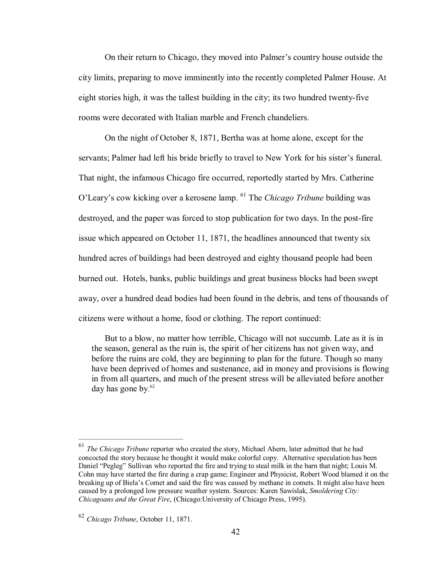On their return to Chicago, they moved into Palmer's country house outside the city limits, preparing to move imminently into the recently completed Palmer House. At eight stories high, it was the tallest building in the city; its two hundred twenty-five rooms were decorated with Italian marble and French chandeliers.

On the night of October 8, 1871, Bertha was at home alone, except for the servants; Palmer had left his bride briefly to travel to New York for his sister's funeral. That night, the infamous Chicago fire occurred, reportedly started by Mrs. Catherine O'Leary's cow kicking over a kerosene lamp. <sup>61</sup> The *Chicago Tribune* building was destroyed, and the paper was forced to stop publication for two days. In the post-fire issue which appeared on October 11, 1871, the headlines announced that twenty six hundred acres of buildings had been destroyed and eighty thousand people had been burned out. Hotels, banks, public buildings and great business blocks had been swept away, over a hundred dead bodies had been found in the debris, and tens of thousands of citizens were without a home, food or clothing. The report continued:

But to a blow, no matter how terrible, Chicago will not succumb. Late as it is in the season, general as the ruin is, the spirit of her citizens has not given way, and before the ruins are cold, they are beginning to plan for the future. Though so many have been deprived of homes and sustenance, aid in money and provisions is flowing in from all quarters, and much of the present stress will be alleviated before another day has gone by.<sup>62</sup>

<sup>61</sup> *The Chicago Tribune* reporter who created the story, Michael Ahern, later admitted that he had concocted the story because he thought it would make colorful copy. Alternative speculation has been Daniel "Pegleg" Sullivan who reported the fire and trying to steal milk in the barn that night; Louis M. Cohn may have started the fire during a crap game; Engineer and Physicist, Robert Wood blamed it on the breaking up of Biela's Comet and said the fire was caused by methane in comets. It might also have been caused by a prolonged low pressure weather system. Sources: Karen Sawislak, *Smoldering City: Chicagoans and the Great Fire*, (Chicago:University of Chicago Press, 1995).

<sup>62</sup> *Chicago Tribune*, October 11, 1871.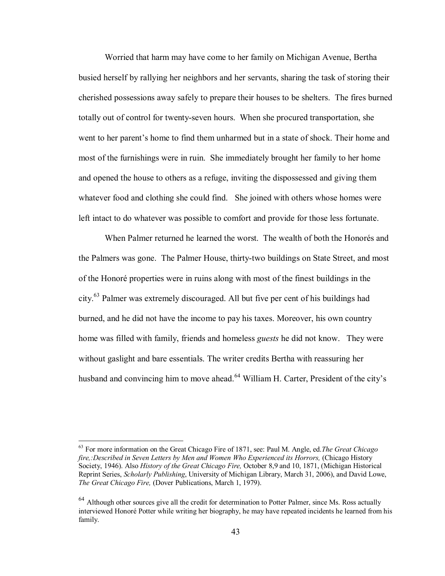Worried that harm may have come to her family on Michigan Avenue, Bertha busied herself by rallying her neighbors and her servants, sharing the task of storing their cherished possessions away safely to prepare their houses to be shelters. The fires burned totally out of control for twenty-seven hours. When she procured transportation, she went to her parent's home to find them unharmed but in a state of shock. Their home and most of the furnishings were in ruin. She immediately brought her family to her home and opened the house to others as a refuge, inviting the dispossessed and giving them whatever food and clothing she could find. She joined with others whose homes were left intact to do whatever was possible to comfort and provide for those less fortunate.

When Palmer returned he learned the worst. The wealth of both the Honorés and the Palmers was gone. The Palmer House, thirty-two buildings on State Street, and most of the Honoré properties were in ruins along with most of the finest buildings in the city.<sup>63</sup> Palmer was extremely discouraged. All but five per cent of his buildings had burned, and he did not have the income to pay his taxes. Moreover, his own country home was filled with family, friends and homeless *guests* he did not know. They were without gaslight and bare essentials. The writer credits Bertha with reassuring her husband and convincing him to move ahead.<sup>64</sup> William H. Carter, President of the city's

<sup>63</sup> For more information on the Great Chicago Fire of 1871, see: Paul M. Angle, ed.*The Great Chicago fire,:Described in Seven Letters by Men and Women Who Experienced its Horrors,* (Chicago History Society, 1946). Also *History of the Great Chicago Fire,* October 8,9 and 10, 1871, (Michigan Historical Reprint Series, *Scholarly Publishing*, University of Michigan Library, March 31, 2006), and David Lowe, *The Great Chicago Fire,* (Dover Publications, March 1, 1979).

<sup>&</sup>lt;sup>64</sup> Although other sources give all the credit for determination to Potter Palmer, since Ms. Ross actually interviewed Honoré Potter while writing her biography, he may have repeated incidents he learned from his family.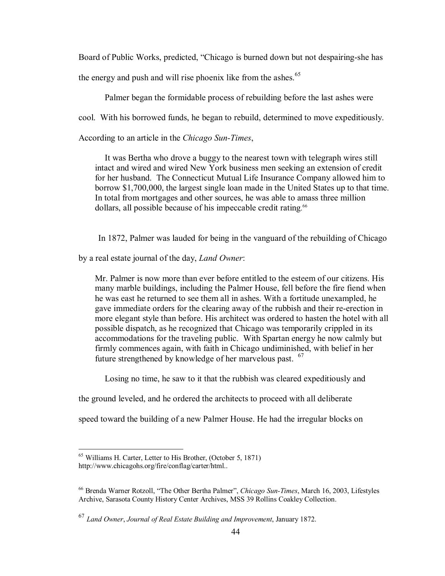Board of Public Works, predicted, "Chicago is burned down but not despairing-she has

the energy and push and will rise phoenix like from the ashes.<sup>65</sup>

Palmer began the formidable process of rebuilding before the last ashes were

cool. With his borrowed funds, he began to rebuild, determined to move expeditiously.

According to an article in the *Chicago Sun-Times*,

It was Bertha who drove a buggy to the nearest town with telegraph wires still intact and wired and wired New York business men seeking an extension of credit for her husband. The Connecticut Mutual Life Insurance Company allowed him to borrow \$1,700,000, the largest single loan made in the United States up to that time. In total from mortgages and other sources, he was able to amass three million dollars, all possible because of his impeccable credit rating.<sup>66</sup>

In 1872, Palmer was lauded for being in the vanguard of the rebuilding of Chicago

by a real estate journal of the day, *Land Owner*:

Mr. Palmer is now more than ever before entitled to the esteem of our citizens. His many marble buildings, including the Palmer House, fell before the fire fiend when he was east he returned to see them all in ashes. With a fortitude unexampled, he gave immediate orders for the clearing away of the rubbish and their re-erection in more elegant style than before. His architect was ordered to hasten the hotel with all possible dispatch, as he recognized that Chicago was temporarily crippled in its accommodations for the traveling public. With Spartan energy he now calmly but firmly commences again, with faith in Chicago undiminished, with belief in her future strengthened by knowledge of her marvelous past. <sup>67</sup>

Losing no time, he saw to it that the rubbish was cleared expeditiously and

the ground leveled, and he ordered the architects to proceed with all deliberate

speed toward the building of a new Palmer House. He had the irregular blocks on

<sup>65</sup> Williams H. Carter, Letter to His Brother, (October 5, 1871)

http://www.chicagohs.org/fire/conflag/carter/html..

<sup>&</sup>lt;sup>66</sup> Brenda Warner Rotzoll, "The Other Bertha Palmer", *Chicago Sun-Times*, March 16, 2003, Lifestyles Archive, Sarasota County History Center Archives, MSS 39 Rollins Coakley Collection.

<sup>67</sup> *Land Owner*, *Journal of Real Estate Building and Improvement*, January 1872.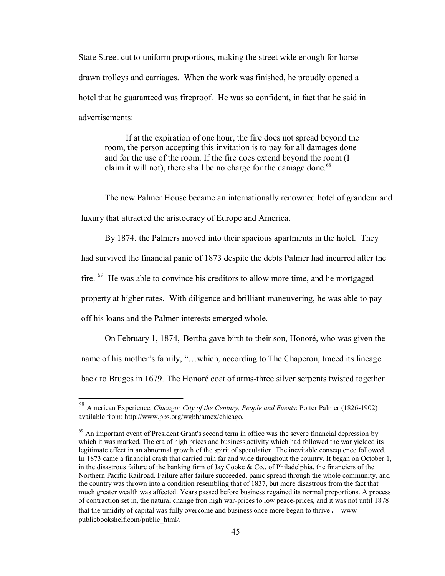State Street cut to uniform proportions, making the street wide enough for horse drawn trolleys and carriages. When the work was finished, he proudly opened a hotel that he guaranteed was fireproof. He was so confident, in fact that he said in advertisements:

If at the expiration of one hour, the fire does not spread beyond the room, the person accepting this invitation is to pay for all damages done and for the use of the room. If the fire does extend beyond the room (I claim it will not), there shall be no charge for the damage done.<sup>68</sup>

The new Palmer House became an internationally renowned hotel of grandeur and luxury that attracted the aristocracy of Europe and America.

By 1874, the Palmers moved into their spacious apartments in the hotel. They had survived the financial panic of 1873 despite the debts Palmer had incurred after the fire. <sup>69</sup> He was able to convince his creditors to allow more time, and he mortgaged property at higher rates. With diligence and brilliant maneuvering, he was able to pay off his loans and the Palmer interests emerged whole.

On February 1, 1874, Bertha gave birth to their son, Honoré, who was given the name of his mother's family, "…which, according to The Chaperon, traced its lineage back to Bruges in 1679. The Honoré coat of arms-three silver serpents twisted together

<sup>68</sup> American Experience, *Chicago: City of the Century, People and Events*: Potter Palmer (18261902) available from: http://www.pbs.org/wgbh/amex/chicago.

 $69$  An important event of President Grant's second term in office was the severe financial depression by which it was marked. The era of high prices and business,activity which had followed the war yielded its legitimate effect in an abnormal growth of the spirit of speculation. The inevitable consequence followed. In 1873 came a financial crash that carried ruin far and wide throughout the country. It began on October 1, in the disastrous failure of the banking firm of Jay Cooke & Co., of Philadelphia, the financiers of the Northern Pacific Railroad. Failure after failure succeeded, panic spread through the whole community, and the country was thrown into a condition resembling that of 1837, but more disastrous from the fact that much greater wealth was affected. Years passed before business regained its normal proportions. A process of contraction set in, the natural change fron high war-prices to low peace-prices, and it was not until 1878 that the timidity of capital was fully overcome and business once more began to thrive. www publicbookshelf.com/public\_html/.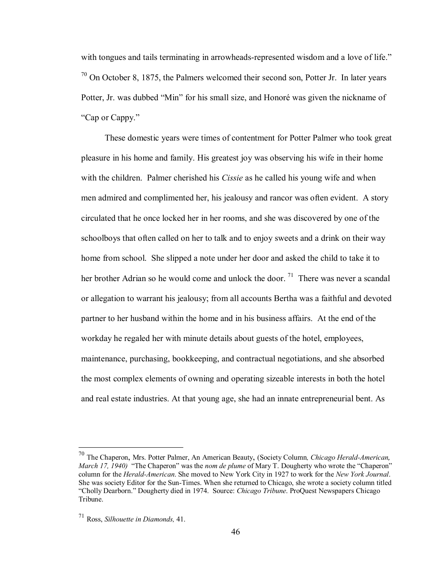with tongues and tails terminating in arrowheads-represented wisdom and a love of life."  $70$  On October 8, 1875, the Palmers welcomed their second son, Potter Jr. In later years Potter, Jr. was dubbed "Min" for his small size, and Honoré was given the nickname of "Cap or Cappy."

These domestic years were times of contentment for Potter Palmer who took great pleasure in his home and family. His greatest joy was observing his wife in their home with the children. Palmer cherished his *Cissie* as he called his young wife and when men admired and complimented her, his jealousy and rancor was often evident. A story circulated that he once locked her in her rooms, and she was discovered by one of the schoolboys that often called on her to talk and to enjoy sweets and a drink on their way home from school. She slipped a note under her door and asked the child to take it to her brother Adrian so he would come and unlock the door. <sup>71</sup> There was never a scandal or allegation to warrant his jealousy; from all accounts Bertha was a faithful and devoted partner to her husband within the home and in his business affairs. At the end of the workday he regaled her with minute details about guests of the hotel, employees, maintenance, purchasing, bookkeeping, and contractual negotiations, and she absorbed the most complex elements of owning and operating sizeable interests in both the hotel and real estate industries. At that young age, she had an innate entrepreneurial bent. As

<sup>&</sup>lt;sup>70</sup> The Chaperon, Mrs. Potter Palmer, An American Beauty, (Society Column, *Chicago Herald-American*, *March 17, 1940)* "The Chaperon" was the *nom de plume* of Mary T. Dougherty who wrote the "Chaperon" column for the *HeraldAmerican*. She moved to New York City in 1927 to work for the *New York Journal*. She was society Editor for the Sun-Times. When she returned to Chicago, she wrote a society column titled "Cholly Dearborn." Dougherty died in 1974. Source: *Chicago Tribune*. ProQuest Newspapers Chicago Tribune.

<sup>71</sup> Ross, *Silhouette in Diamonds,* 41.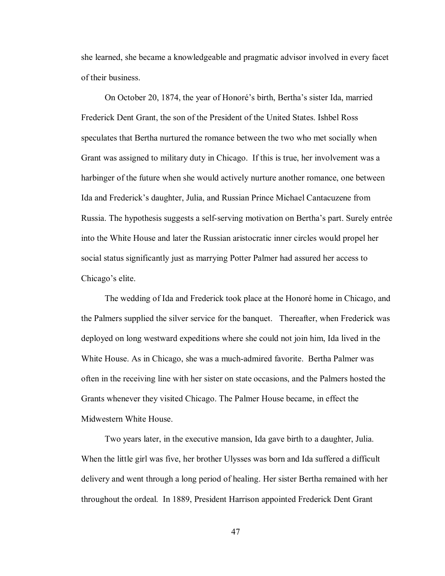she learned, she became a knowledgeable and pragmatic advisor involved in every facet of their business.

On October 20, 1874, the year of Honoré's birth, Bertha's sister Ida, married Frederick Dent Grant, the son of the President of the United States. Ishbel Ross speculates that Bertha nurtured the romance between the two who met socially when Grant was assigned to military duty in Chicago. If this is true, her involvement was a harbinger of the future when she would actively nurture another romance, one between Ida and Frederick's daughter, Julia, and Russian Prince Michael Cantacuzene from Russia. The hypothesis suggests a self-serving motivation on Bertha's part. Surely entrée into the White House and later the Russian aristocratic inner circles would propel her social status significantly just as marrying Potter Palmer had assured her access to Chicago's elite.

The wedding of Ida and Frederick took place at the Honoré home in Chicago, and the Palmers supplied the silver service for the banquet. Thereafter, when Frederick was deployed on long westward expeditions where she could not join him, Ida lived in the White House. As in Chicago, she was a much-admired favorite. Bertha Palmer was often in the receiving line with her sister on state occasions, and the Palmers hosted the Grants whenever they visited Chicago. The Palmer House became, in effect the Midwestern White House.

Two years later, in the executive mansion, Ida gave birth to a daughter, Julia. When the little girl was five, her brother Ulysses was born and Ida suffered a difficult delivery and went through a long period of healing. Her sister Bertha remained with her throughout the ordeal. In 1889, President Harrison appointed Frederick Dent Grant

47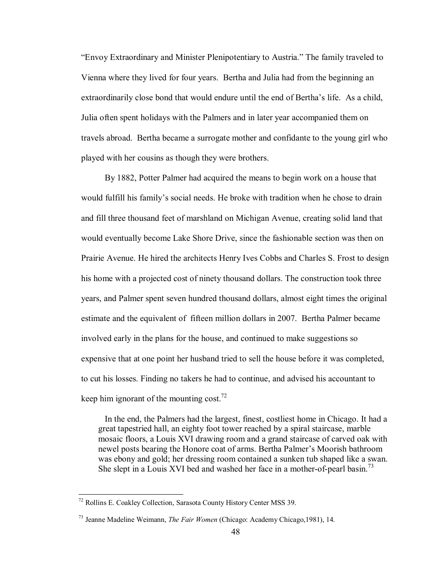"Envoy Extraordinary and Minister Plenipotentiary to Austria." The family traveled to Vienna where they lived for four years. Bertha and Julia had from the beginning an extraordinarily close bond that would endure until the end of Bertha's life. As a child, Julia often spent holidays with the Palmers and in later year accompanied them on travels abroad. Bertha became a surrogate mother and confidante to the young girl who played with her cousins as though they were brothers.

By 1882, Potter Palmer had acquired the means to begin work on a house that would fulfill his family's social needs. He broke with tradition when he chose to drain and fill three thousand feet of marshland on Michigan Avenue, creating solid land that would eventually become Lake Shore Drive, since the fashionable section was then on Prairie Avenue. He hired the architects Henry Ives Cobbs and Charles S. Frost to design his home with a projected cost of ninety thousand dollars. The construction took three years, and Palmer spent seven hundred thousand dollars, almost eight times the original estimate and the equivalent of fifteen million dollars in 2007. Bertha Palmer became involved early in the plans for the house, and continued to make suggestions so expensive that at one point her husband tried to sell the house before it was completed, to cut his losses. Finding no takers he had to continue, and advised his accountant to keep him ignorant of the mounting cost.<sup>72</sup>

In the end, the Palmers had the largest, finest, costliest home in Chicago. It had a great tapestried hall, an eighty foot tower reached by a spiral staircase, marble mosaic floors, a Louis XVI drawing room and a grand staircase of carved oak with newel posts bearing the Honore coat of arms. Bertha Palmer's Moorish bathroom was ebony and gold; her dressing room contained a sunken tub shaped like a swan. She slept in a Louis XVI bed and washed her face in a mother-of-pearl basin.<sup>73</sup>

<sup>72</sup> Rollins E. Coakley Collection, Sarasota County History Center MSS 39.

<sup>73</sup> Jeanne Madeline Weimann, *The Fair Women* (Chicago: Academy Chicago,1981), 14.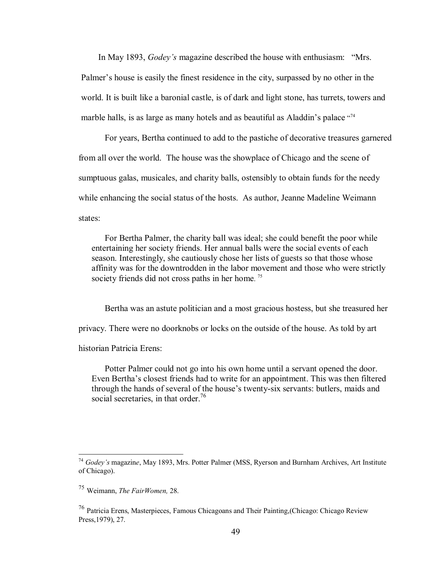In May 1893, *Godey's* magazine described the house with enthusiasm: "Mrs. Palmer's house is easily the finest residence in the city, surpassed by no other in the world. It is built like a baronial castle, is of dark and light stone, has turrets, towers and marble halls, is as large as many hotels and as beautiful as Aladdin's palace "<sup>74</sup>

For years, Bertha continued to add to the pastiche of decorative treasures garnered from all over the world. The house was the showplace of Chicago and the scene of sumptuous galas, musicales, and charity balls, ostensibly to obtain funds for the needy while enhancing the social status of the hosts. As author, Jeanne Madeline Weimann states:

For Bertha Palmer, the charity ball was ideal; she could benefit the poor while entertaining her society friends. Her annual balls were the social events of each season. Interestingly, she cautiously chose her lists of guests so that those whose affinity was for the downtrodden in the labor movement and those who were strictly society friends did not cross paths in her home.<sup>75</sup>

Bertha was an astute politician and a most gracious hostess, but she treasured her privacy. There were no doorknobs or locks on the outside of the house. As told by art historian Patricia Erens:

Potter Palmer could not go into his own home until a servant opened the door. Even Bertha's closest friends had to write for an appointment. This was then filtered through the hands of several of the house's twenty-six servants: butlers, maids and social secretaries, in that order.<sup>76</sup>

<sup>74</sup> *Godey's* magazin*e*, May 1893, Mrs. Potter Palmer (MSS, Ryerson and Burnham Archives, Art Institute of Chicago).

<sup>75</sup> Weimann, *The FairWomen,* 28.

<sup>76</sup> Patricia Erens, Masterpieces, Famous Chicagoans and Their Painting,(Chicago: Chicago Review Press,1979), 27.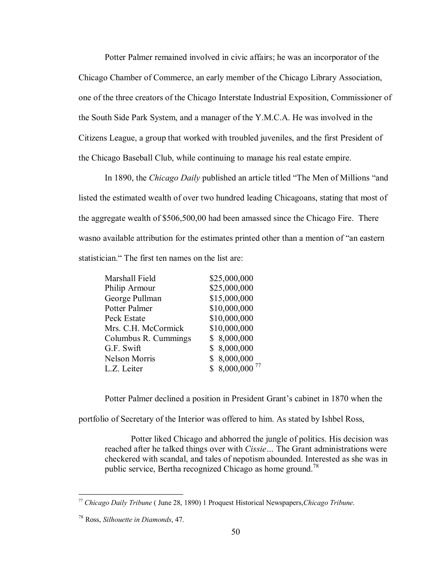Potter Palmer remained involved in civic affairs; he was an incorporator of the Chicago Chamber of Commerce, an early member of the Chicago Library Association, one of the three creators of the Chicago Interstate Industrial Exposition, Commissioner of the South Side Park System, and a manager of the Y.M.C.A. He was involved in the Citizens League, a group that worked with troubled juveniles, and the first President of the Chicago Baseball Club, while continuing to manage his real estate empire.

In 1890, the *Chicago Daily* published an article titled "The Men of Millions "and listed the estimated wealth of over two hundred leading Chicagoans, stating that most of the aggregate wealth of \$506,500,00 had been amassed since the Chicago Fire. There wasno available attribution for the estimates printed other than a mention of "an eastern statistician." The first ten names on the list are:

| Marshall Field       | \$25,000,000               |
|----------------------|----------------------------|
| Philip Armour        | \$25,000,000               |
| George Pullman       | \$15,000,000               |
| Potter Palmer        | \$10,000,000               |
| Peck Estate          | \$10,000,000               |
| Mrs. C.H. McCormick  | \$10,000,000               |
| Columbus R. Cummings | \$8,000,000                |
| G.F. Swift           | \$8,000,000                |
| <b>Nelson Morris</b> | \$8,000,000                |
| L.Z. Leiter          | $$8,000,000$ <sup>77</sup> |

Potter Palmer declined a position in President Grant's cabinet in 1870 when the

portfolio of Secretary of the Interior was offered to him. As stated by Ishbel Ross,

Potter liked Chicago and abhorred the jungle of politics. His decision was reached after he talked things over with *Cissie…* The Grant administrations were checkered with scandal, and tales of nepotism abounded. Interested as she was in public service, Bertha recognized Chicago as home ground.<sup>78</sup>

<sup>77</sup> *Chicago Daily Tribune* ( June 28, 1890) 1 Proquest Historical Newspapers,*Chicago Tribune*.

<sup>78</sup> Ross, *Silhouette in Diamonds*, 47.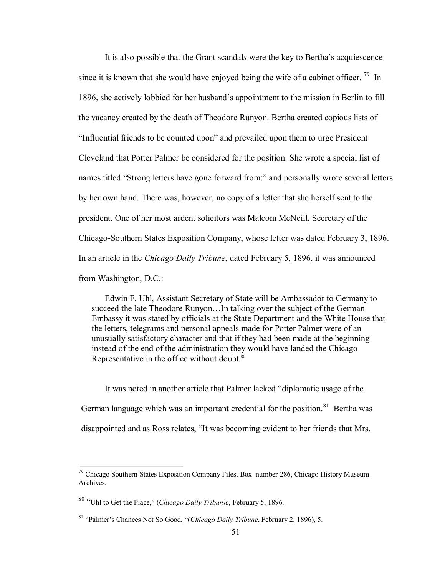It is also possible that the Grant scandal*s* were the key to Bertha's acquiescence since it is known that she would have enjoyed being the wife of a cabinet officer.  $^{79}$  In 1896, she actively lobbied for her husband's appointment to the mission in Berlin to fill the vacancy created by the death of Theodore Runyon. Bertha created copious lists of "Influential friends to be counted upon" and prevailed upon them to urge President Cleveland that Potter Palmer be considered for the position. She wrote a special list of names titled "Strong letters have gone forward from:" and personally wrote several letters by her own hand. There was, however, no copy of a letter that she herself sent to the president. One of her most ardent solicitors was Malcom McNeill, Secretary of the Chicago-Southern States Exposition Company, whose letter was dated February 3, 1896. In an article in the *Chicago Daily Tribune*, dated February 5, 1896, it was announced from Washington, D.C.:

Edwin F. Uhl, Assistant Secretary of State will be Ambassador to Germany to succeed the late Theodore Runyon…In talking over the subject of the German Embassy it was stated by officials at the State Department and the White House that the letters, telegrams and personal appeals made for Potter Palmer were of an unusually satisfactory character and that if they had been made at the beginning instead of the end of the administration they would have landed the Chicago Representative in the office without doubt.<sup>80</sup>

It was noted in another article that Palmer lacked "diplomatic usage of the German language which was an important credential for the position.<sup>81</sup> Bertha was disappointed and as Ross relates, "It was becoming evident to her friends that Mrs.

 $79$  Chicago Southern States Exposition Company Files, Box number 286, Chicago History Museum Archives.

<sup>80</sup> "Uhl to Get the Place," (*Chicago Daily Tribun)e*, February 5, 1896.

<sup>81</sup> "Palmer's Chances Not So Good, "(*Chicago Daily Tribune*, February 2, 1896), 5.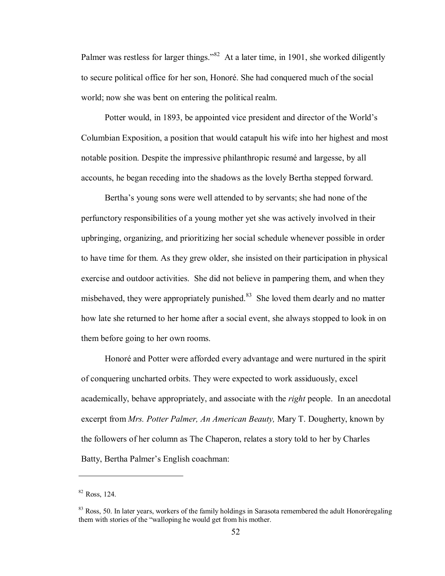Palmer was restless for larger things."<sup>82</sup> At a later time, in 1901, she worked diligently to secure political office for her son, Honoré. She had conquered much of the social world; now she was bent on entering the political realm.

Potter would, in 1893, be appointed vice president and director of the World's Columbian Exposition, a position that would catapult his wife into her highest and most notable position. Despite the impressive philanthropic resumé and largesse, by all accounts, he began receding into the shadows as the lovely Bertha stepped forward.

Bertha's young sons were well attended to by servants; she had none of the perfunctory responsibilities of a young mother yet she was actively involved in their upbringing, organizing, and prioritizing her social schedule whenever possible in order to have time for them. As they grew older, she insisted on their participation in physical exercise and outdoor activities. She did not believe in pampering them, and when they misbehaved, they were appropriately punished. <sup>83</sup> She loved them dearly and no matter how late she returned to her home after a social event, she always stopped to look in on them before going to her own rooms.

Honoré and Potter were afforded every advantage and were nurtured in the spirit of conquering uncharted orbits. They were expected to work assiduously, excel academically, behave appropriately, and associate with the *right* people. In an anecdotal excerpt from *Mrs. Potter Palmer, An American Beauty,* Mary T. Dougherty, known by the followers of her column as The Chaperon, relates a story told to her by Charles Batty, Bertha Palmer's English coachman:

<sup>82</sup> Ross, 124.

 $83$  Ross, 50. In later years, workers of the family holdings in Sarasota remembered the adult Honoréregaling them with stories of the "walloping he would get from his mother.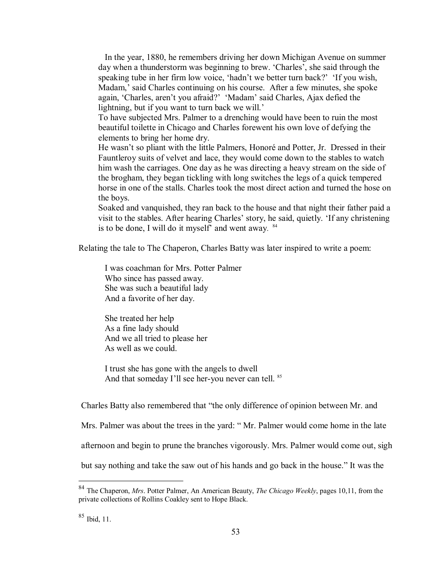In the year, 1880, he remembers driving her down Michigan Avenue on summer day when a thunderstorm was beginning to brew. 'Charles', she said through the speaking tube in her firm low voice, 'hadn't we better turn back?' 'If you wish, Madam,' said Charles continuing on his course. After a few minutes, she spoke again, 'Charles, aren't you afraid?' 'Madam' said Charles, Ajax defied the lightning, but if you want to turn back we will.'

To have subjected Mrs. Palmer to a drenching would have been to ruin the most beautiful toilette in Chicago and Charles forewent his own love of defying the elements to bring her home dry.

He wasn't so pliant with the little Palmers, Honoré and Potter, Jr. Dressed in their Fauntleroy suits of velvet and lace, they would come down to the stables to watch him wash the carriages. One day as he was directing a heavy stream on the side of the brogham, they began tickling with long switches the legs of a quick tempered horse in one of the stalls. Charles took the most direct action and turned the hose on the boys.

Soaked and vanquished, they ran back to the house and that night their father paid a visit to the stables. After hearing Charles' story, he said, quietly. 'If any christening is to be done, I will do it myself' and went away. <sup>84</sup>

Relating the tale to The Chaperon, Charles Batty was later inspired to write a poem:

I was coachman for Mrs. Potter Palmer Who since has passed away. She was such a beautiful lady And a favorite of her day.

She treated her help As a fine lady should And we all tried to please her As well as we could.

I trust she has gone with the angels to dwell And that someday I'll see her-you never can tell. <sup>85</sup>

Charles Batty also remembered that "the only difference of opinion between Mr. and

Mrs. Palmer was about the trees in the yard: " Mr. Palmer would come home in the late

afternoon and begin to prune the branches vigorously. Mrs. Palmer would come out, sigh

but say nothing and take the saw out of his hands and go back in the house." It was the

<sup>84</sup> The Chaperon, *Mrs*. Potter Palmer, An American Beauty, *The Chicago Weekly*, pages 10,11, from the private collections of Rollins Coakley sent to Hope Black.

<sup>85</sup> Ibid, 11.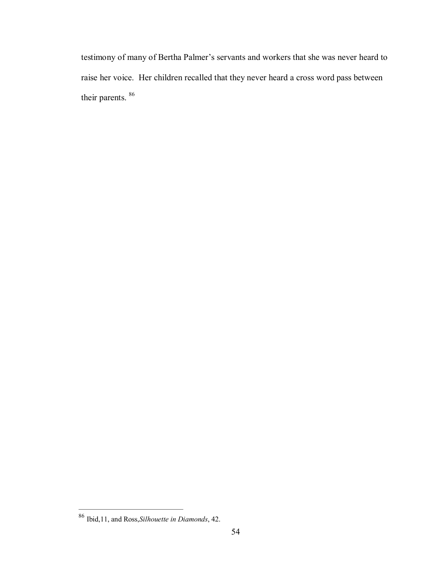testimony of many of Bertha Palmer's servants and workers that she was never heard to raise her voice. Her children recalled that they never heard a cross word pass between their parents. 86

<sup>86</sup> Ibid,11, and Ross,*Silhouette in Diamonds*, 42.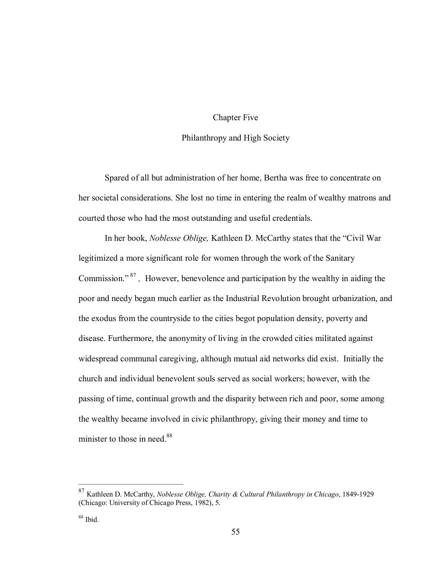### Chapter Five

### Philanthropy and High Society

Spared of all but administration of her home, Bertha was free to concentrate on her societal considerations. She lost no time in entering the realm of wealthy matrons and courted those who had the most outstanding and useful credentials.

In her book, *Noblesse Oblige,* Kathleen D. McCarthy states that the "Civil War legitimized a more significant role for women through the work of the Sanitary Commission."<sup>87</sup>, However, benevolence and participation by the wealthy in aiding the poor and needy began much earlier as the Industrial Revolution brought urbanization, and the exodus from the countryside to the cities begot population density, poverty and disease. Furthermore, the anonymity of living in the crowded cities militated against widespread communal caregiving, although mutual aid networks did exist. Initially the church and individual benevolent souls served as social workers; however, with the passing of time, continual growth and the disparity between rich and poor, some among the wealthy became involved in civic philanthropy, giving their money and time to minister to those in need.<sup>88</sup>

<sup>87</sup> Kathleen D. McCarthy, *Noblesse Oblige, Charity & Cultural Philanthropy in Chicago*, 18491929 (Chicago: University of Chicago Press, 1982), 5.

 $88$  Ibid.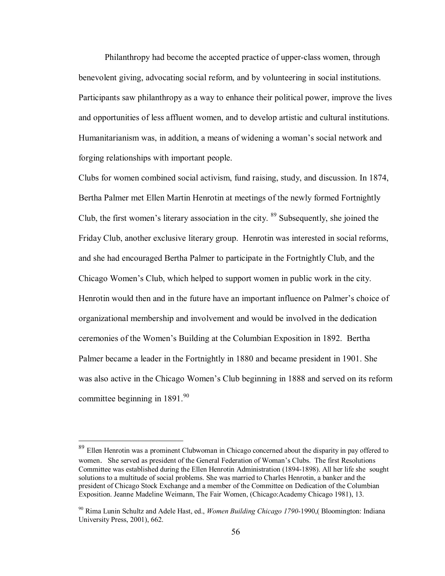Philanthropy had become the accepted practice of upperclass women, through benevolent giving, advocating social reform, and by volunteering in social institutions. Participants saw philanthropy as a way to enhance their political power, improve the lives and opportunities of less affluent women, and to develop artistic and cultural institutions. Humanitarianism was, in addition, a means of widening a woman's social network and forging relationships with important people.

Clubs for women combined social activism, fund raising, study, and discussion. In 1874, Bertha Palmer met Ellen Martin Henrotin at meetings of the newly formed Fortnightly Club, the first women's literary association in the city.  $89$  Subsequently, she joined the Friday Club, another exclusive literary group. Henrotin was interested in social reforms, and she had encouraged Bertha Palmer to participate in the Fortnightly Club, and the Chicago Women's Club, which helped to support women in public work in the city. Henrotin would then and in the future have an important influence on Palmer's choice of organizational membership and involvement and would be involved in the dedication ceremonies of the Women's Building at the Columbian Exposition in 1892. Bertha Palmer became a leader in the Fortnightly in 1880 and became president in 1901. She was also active in the Chicago Women's Club beginning in 1888 and served on its reform committee beginning in  $1891.^{90}$ 

<sup>&</sup>lt;sup>89</sup> Ellen Henrotin was a prominent Clubwoman in Chicago concerned about the disparity in pay offered to women. She served as president of the General Federation of Woman's Clubs. The first Resolutions Committee was established during the Ellen Henrotin Administration (1894-1898). All her life she sought solutions to a multitude of social problems. She was married to Charles Henrotin, a banker and the president of Chicago Stock Exchange and a member of the Committee on Dedication of the Columbian Exposition. Jeanne Madeline Weimann, The Fair Women, (Chicago:Academy Chicago 1981), 13.

<sup>90</sup> Rima Lunin Schultz and Adele Hast, ed., *Women Building Chicago 1790*1990,( Bloomington: Indiana University Press, 2001), 662.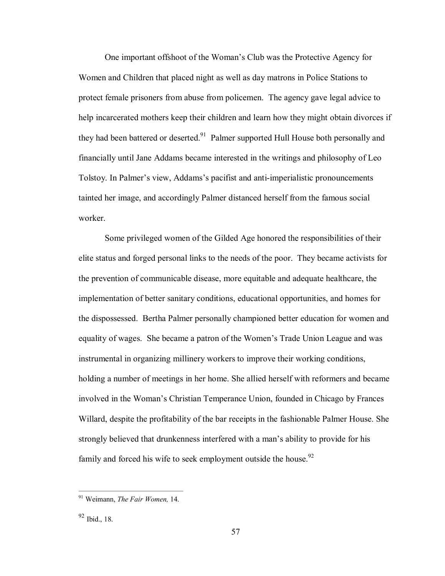One important offshoot of the Woman's Club was the Protective Agency for Women and Children that placed night as well as day matrons in Police Stations to protect female prisoners from abuse from policemen. The agency gave legal advice to help incarcerated mothers keep their children and learn how they might obtain divorces if they had been battered or deserted.<sup>91</sup> Palmer supported Hull House both personally and financially until Jane Addams became interested in the writings and philosophy of Leo Tolstoy. In Palmer's view, Addams's pacifist and anti-imperialistic pronouncements tainted her image, and accordingly Palmer distanced herself from the famous social worker.

Some privileged women of the Gilded Age honored the responsibilities of their elite status and forged personal links to the needs of the poor. They became activists for the prevention of communicable disease, more equitable and adequate healthcare, the implementation of better sanitary conditions, educational opportunities, and homes for the dispossessed. Bertha Palmer personally championed better education for women and equality of wages. She became a patron of the Women's Trade Union League and was instrumental in organizing millinery workers to improve their working conditions, holding a number of meetings in her home. She allied herself with reformers and became involved in the Woman's Christian Temperance Union, founded in Chicago by Frances Willard, despite the profitability of the bar receipts in the fashionable Palmer House. She strongly believed that drunkenness interfered with a man's ability to provide for his family and forced his wife to seek employment outside the house.  $92$ 

<sup>91</sup> Weimann, *The Fair Women,* 14.

<sup>92</sup> Ibid., 18.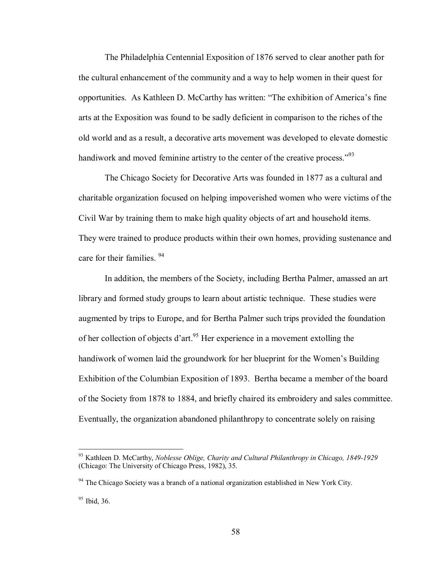The Philadelphia Centennial Exposition of 1876 served to clear another path for the cultural enhancement of the community and a way to help women in their quest for opportunities. As Kathleen D. McCarthy has written: "The exhibition of America's fine arts at the Exposition was found to be sadly deficient in comparison to the riches of the old world and as a result, a decorative arts movement was developed to elevate domestic handiwork and moved feminine artistry to the center of the creative process." $^{93}$ 

The Chicago Society for Decorative Arts was founded in 1877 as a cultural and charitable organization focused on helping impoverished women who were victims of the Civil War by training them to make high quality objects of art and household items. They were trained to produce products within their own homes, providing sustenance and care for their families. <sup>94</sup>

In addition, the members of the Society, including Bertha Palmer, amassed an art library and formed study groups to learn about artistic technique. These studies were augmented by trips to Europe, and for Bertha Palmer such trips provided the foundation of her collection of objects d'art.<sup>95</sup> Her experience in a movement extolling the handiwork of women laid the groundwork for her blueprint for the Women's Building Exhibition of the Columbian Exposition of 1893. Bertha became a member of the board of the Society from 1878 to 1884, and briefly chaired its embroidery and sales committee. Eventually, the organization abandoned philanthropy to concentrate solely on raising

<sup>&</sup>lt;sup>93</sup> Kathleen D. McCarthy, *Noblesse Oblige, Charity and Cultural Philanthropy in Chicago, 1849-1929* (Chicago: The University of Chicago Press, 1982), 35.

<sup>&</sup>lt;sup>94</sup> The Chicago Society was a branch of a national organization established in New York City.

<sup>95</sup> Ibid, 36.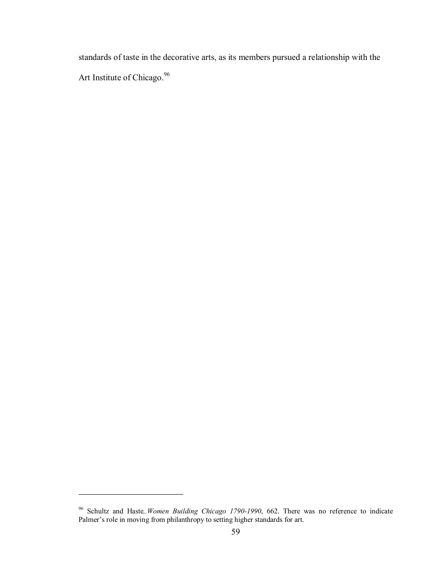standards of taste in the decorative arts, as its members pursued a relationship with the Art Institute of Chicago.<sup>96</sup>

<sup>&</sup>lt;sup>96</sup> Schultz and Haste,.Women Building Chicago 1790-1990, 662. There was no reference to indicate Palmer's role in moving from philanthropy to setting higher standards for art.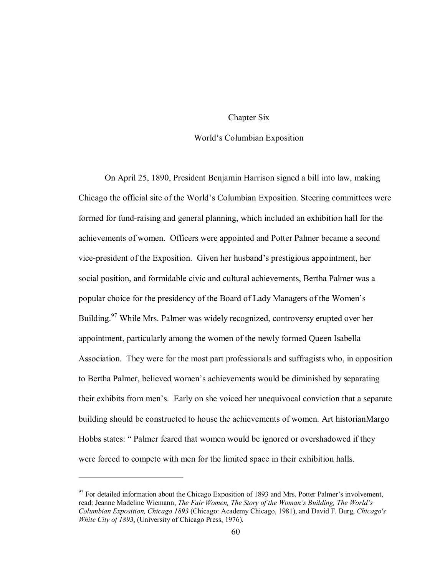### Chapter Six

#### World's Columbian Exposition

On April 25, 1890, President Benjamin Harrison signed a bill into law, making Chicago the official site of the World's Columbian Exposition. Steering committees were formed for fund-raising and general planning, which included an exhibition hall for the achievements of women. Officers were appointed and Potter Palmer became a second vice-president of the Exposition. Given her husband's prestigious appointment, her social position, and formidable civic and cultural achievements, Bertha Palmer was a popular choice for the presidency of the Board of Lady Managers of the Women's Building.<sup>97</sup> While Mrs. Palmer was widely recognized, controversy erupted over her appointment, particularly among the women of the newly formed Queen Isabella Association. They were for the most part professionals and suffragists who, in opposition to Bertha Palmer, believed women's achievements would be diminished by separating their exhibits from men's. Early on she voiced her unequivocal conviction that a separate building should be constructed to house the achievements of women. Art historianMargo Hobbs states: " Palmer feared that women would be ignored or overshadowed if they were forced to compete with men for the limited space in their exhibition halls.

 $97$  For detailed information about the Chicago Exposition of 1893 and Mrs. Potter Palmer's involvement, read: Jeanne Madeline Wiemann, *The Fair Women, The Story of the Woman's Building, The World's Columbian Exposition, Chicago 1893* (Chicago: Academy Chicago, 1981), and David F. Burg, *Chicago's White City of 1893*, (University of Chicago Press, 1976).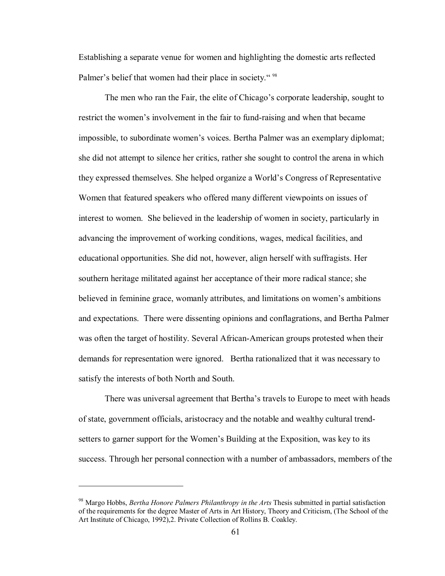Establishing a separate venue for women and highlighting the domestic arts reflected Palmer's belief that women had their place in society."<sup>98</sup>

The men who ran the Fair, the elite of Chicago's corporate leadership, sought to restrict the women's involvement in the fair to fundraising and when that became impossible, to subordinate women's voices. Bertha Palmer was an exemplary diplomat; she did not attempt to silence her critics, rather she sought to control the arena in which they expressed themselves. She helped organize a World's Congress of Representative Women that featured speakers who offered many different viewpoints on issues of interest to women. She believed in the leadership of women in society, particularly in advancing the improvement of working conditions, wages, medical facilities, and educational opportunities. She did not, however, align herself with suffragists. Her southern heritage militated against her acceptance of their more radical stance; she believed in feminine grace, womanly attributes, and limitations on women's ambitions and expectations. There were dissenting opinions and conflagrations, and Bertha Palmer was often the target of hostility. Several African-American groups protested when their demands for representation were ignored. Bertha rationalized that it was necessary to satisfy the interests of both North and South.

There was universal agreement that Bertha's travels to Europe to meet with heads of state, government officials, aristocracy and the notable and wealthy cultural trendsetters to garner support for the Women's Building at the Exposition, was key to its success. Through her personal connection with a number of ambassadors, members of the

<sup>98</sup> Margo Hobbs, *Bertha Honore Palmers Philanthropy in the Arts* Thesis submitted in partial satisfaction of the requirements for the degree Master of Arts in Art History, Theory and Criticism, (The School of the Art Institute of Chicago, 1992),2. Private Collection of Rollins B. Coakley.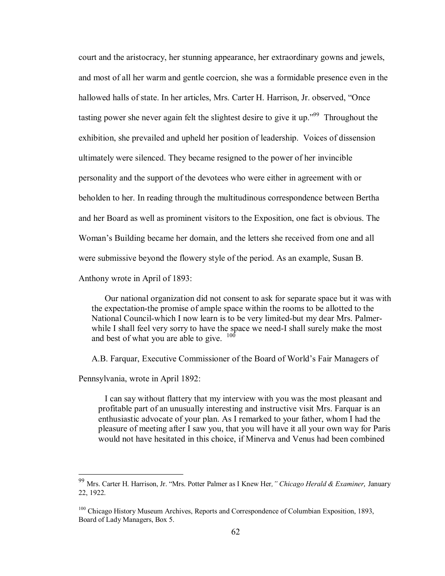court and the aristocracy, her stunning appearance, her extraordinary gowns and jewels, and most of all her warm and gentle coercion, she was a formidable presence even in the hallowed halls of state. In her articles, Mrs. Carter H. Harrison, Jr. observed, "Once tasting power she never again felt the slightest desire to give it up.<sup> $299$ </sup> Throughout the exhibition, she prevailed and upheld her position of leadership. Voices of dissension ultimately were silenced. They became resigned to the power of her invincible personality and the support of the devotees who were either in agreement with or beholden to her. In reading through the multitudinous correspondence between Bertha and her Board as well as prominent visitors to the Exposition, one fact is obvious. The Woman's Building became her domain, and the letters she received from one and all were submissive beyond the flowery style of the period. As an example, Susan B. Anthony wrote in April of 1893:

Our national organization did not consent to ask for separate space but it was with the expectation-the promise of ample space within the rooms to be allotted to the National Council-which I now learn is to be very limited-but my dear Mrs. Palmerwhile I shall feel very sorry to have the space we need-I shall surely make the most and best of what you are able to give.  $100$ 

A.B. Farquar, Executive Commissioner of the Board of World's Fair Managers of

Pennsylvania, wrote in April 1892:

I can say without flattery that my interview with you was the most pleasant and profitable part of an unusually interesting and instructive visit Mrs. Farquar is an enthusiastic advocate of your plan. As I remarked to your father, whom I had the pleasure of meeting after I saw you, that you will have it all your own way for Paris would not have hesitated in this choice, if Minerva and Venus had been combined

<sup>99</sup> Mrs. Carter H. Harrison, Jr. "Mrs. Potter Palmer as I Knew Her*," Chicago Herald & Examiner,* January 22, 1922.

<sup>&</sup>lt;sup>100</sup> Chicago History Museum Archives, Reports and Correspondence of Columbian Exposition, 1893, Board of Lady Managers, Box 5.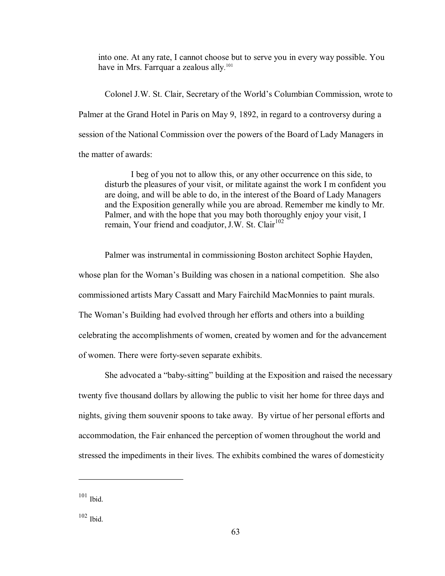into one. At any rate, I cannot choose but to serve you in every way possible. You have in Mrs. Farrquar a zealous ally.<sup>101</sup>

Colonel J.W. St. Clair, Secretary of the World's Columbian Commission, wrote to Palmer at the Grand Hotel in Paris on May 9, 1892, in regard to a controversy during a session of the National Commission over the powers of the Board of Lady Managers in the matter of awards:

I beg of you not to allow this, or any other occurrence on this side, to disturb the pleasures of your visit, or militate against the work I m confident you are doing, and will be able to do, in the interest of the Board of Lady Managers and the Exposition generally while you are abroad. Remember me kindly to Mr. Palmer, and with the hope that you may both thoroughly enjoy your visit, I remain, Your friend and coadjutor, J.W. St. Clair<sup>102</sup>

Palmer was instrumental in commissioning Boston architect Sophie Hayden, whose plan for the Woman's Building was chosen in a national competition. She also commissioned artists Mary Cassatt and Mary Fairchild MacMonnies to paint murals. The Woman's Building had evolved through her efforts and others into a building celebrating the accomplishments of women, created by women and for the advancement of women. There were forty-seven separate exhibits.

She advocated a "baby-sitting" building at the Exposition and raised the necessary twenty five thousand dollars by allowing the public to visit her home for three days and nights, giving them souvenir spoons to take away. By virtue of her personal efforts and accommodation, the Fair enhanced the perception of women throughout the world and stressed the impediments in their lives. The exhibits combined the wares of domesticity

 $101$  Ibid.

 $102$  Ibid.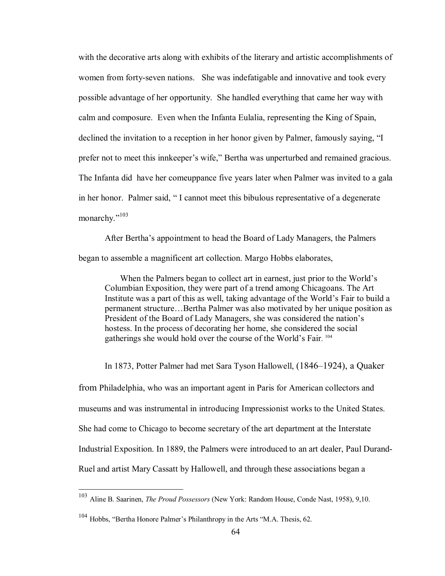with the decorative arts along with exhibits of the literary and artistic accomplishments of women from forty-seven nations. She was indefatigable and innovative and took every possible advantage of her opportunity. She handled everything that came her way with calm and composure. Even when the Infanta Eulalia, representing the King of Spain, declined the invitation to a reception in her honor given by Palmer, famously saying, "I prefer not to meet this innkeeper's wife," Bertha was unperturbed and remained gracious. The Infanta did have her comeuppance five years later when Palmer was invited to a gala in her honor. Palmer said, " I cannot meet this bibulous representative of a degenerate monarchy." $103$ 

After Bertha's appointment to head the Board of Lady Managers, the Palmers began to assemble a magnificent art collection. Margo Hobbs elaborates,

When the Palmers began to collect art in earnest, just prior to the World's Columbian Exposition, they were part of a trend among Chicagoans. The Art Institute was a part of this as well, taking advantage of the World's Fair to build a permanent structure…Bertha Palmer was also motivated by her unique position as President of the Board of Lady Managers, she was considered the nation's hostess. In the process of decorating her home, she considered the social gatherings she would hold over the course of the World's Fair. <sup>104</sup>

In 1873, Potter Palmer had met Sara Tyson Hallowell, (1846–1924), a Quaker

from Philadelphia, who was an important agent in Paris for American collectors and museums and was instrumental in introducing Impressionist works to the United States. She had come to Chicago to become secretary of the art department at the Interstate Industrial Exposition. In 1889, the Palmers were introduced to an art dealer, Paul Durand-Ruel and artist Mary Cassatt by Hallowell, and through these associations began a

<sup>103</sup> Aline B. Saarinen, *The Proud Possessors* (New York: Random House, Conde Nast, 1958), 9,10.

<sup>104</sup> Hobbs, "Bertha Honore Palmer's Philanthropy in the Arts "M.A. Thesis, 62.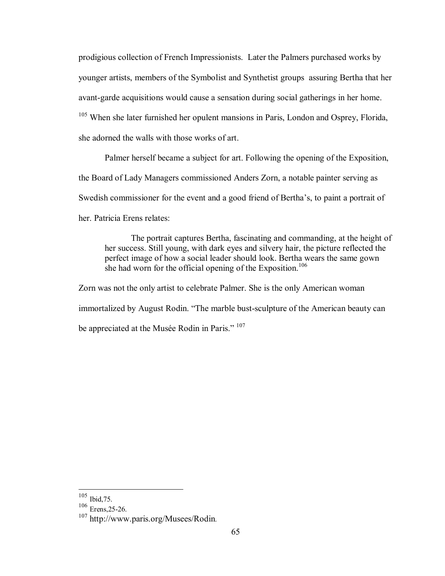prodigious collection of French Impressionists. Later the Palmers purchased works by younger artists, members of the Symbolist and Synthetist groups assuring Bertha that her avant-garde acquisitions would cause a sensation during social gatherings in her home. <sup>105</sup> When she later furnished her opulent mansions in Paris, London and Osprey, Florida, she adorned the walls with those works of art.

Palmer herself became a subject for art. Following the opening of the Exposition, the Board of Lady Managers commissioned Anders Zorn, a notable painter serving as Swedish commissioner for the event and a good friend of Bertha's, to paint a portrait of her. Patricia Erens relates:

The portrait captures Bertha, fascinating and commanding, at the height of her success. Still young, with dark eyes and silvery hair, the picture reflected the perfect image of how a social leader should look. Bertha wears the same gown she had worn for the official opening of the Exposition.<sup>106</sup>

Zorn was not the only artist to celebrate Palmer. She is the only American woman immortalized by August Rodin. "The marble bust-sculpture of the American beauty can be appreciated at the Musée Rodin in Paris." <sup>107</sup>

 $105$  Ibid, 75.

 $\frac{106}{107}$  Erens,25-26.<br> $\frac{107}{107}$  http://www.paris.org/Musees/Rodin.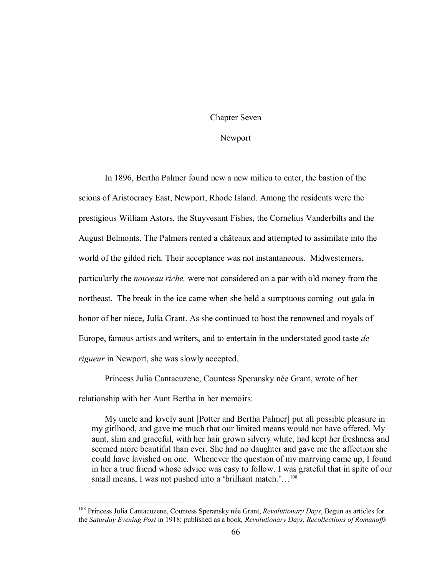# Chapter Seven

#### Newport

In 1896, Bertha Palmer found new a new milieu to enter, the bastion of the scions of Aristocracy East, Newport, Rhode Island. Among the residents were the prestigious William Astors, the Stuyvesant Fishes, the Cornelius Vanderbilts and the August Belmonts. The Palmers rented a châteaux and attempted to assimilate into the world of the gilded rich. Their acceptance was not instantaneous. Midwesterners, particularly the *nouveau riche,* were not considered on a par with old money from the northeast. The break in the ice came when she held a sumptuous coming–out gala in honor of her niece, Julia Grant. As she continued to host the renowned and royals of Europe, famous artists and writers, and to entertain in the understated good taste *de rigueur* in Newport, she was slowly accepted.

Princess Julia Cantacuzene, Countess Speransky née Grant, wrote of her relationship with her Aunt Bertha in her memoirs:

My uncle and lovely aunt [Potter and Bertha Palmer] put all possible pleasure in my girlhood, and gave me much that our limited means would not have offered. My aunt, slim and graceful, with her hair grown silvery white, had kept her freshness and seemed more beautiful than ever. She had no daughter and gave me the affection she could have lavished on one. Whenever the question of my marrying came up, I found in her a true friend whose advice was easy to follow. I was grateful that in spite of our small means, I was not pushed into a 'brilliant match.'...<sup>108</sup>

<sup>108</sup> Princess Julia Cantacuzene, Countess Speransky née Grant, *Revolutionary Days*, Begun as articles for the *Saturday Evening Post* in 1918; published as a book*, Revolutionary Days. Recollections of Romanoffs*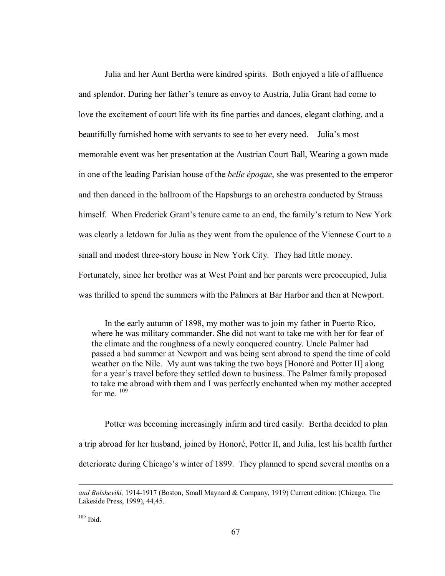Julia and her Aunt Bertha were kindred spirits. Both enjoyed a life of affluence and splendor. During her father's tenure as envoy to Austria, Julia Grant had come to love the excitement of court life with its fine parties and dances, elegant clothing, and a beautifully furnished home with servants to see to her every need. Julia's most memorable event was her presentation at the Austrian Court Ball, Wearing a gown made in one of the leading Parisian house of the *belle époque*, she was presented to the emperor and then danced in the ballroom of the Hapsburgs to an orchestra conducted by Strauss himself. When Frederick Grant's tenure came to an end, the family's return to New York was clearly a letdown for Julia as they went from the opulence of the Viennese Court to a small and modest three-story house in New York City. They had little money. Fortunately, since her brother was at West Point and her parents were preoccupied, Julia was thrilled to spend the summers with the Palmers at Bar Harbor and then at Newport.

In the early autumn of 1898, my mother was to join my father in Puerto Rico, where he was military commander. She did not want to take me with her for fear of the climate and the roughness of a newly conquered country. Uncle Palmer had passed a bad summer at Newport and was being sent abroad to spend the time of cold weather on the Nile. My aunt was taking the two boys [Honoré and Potter II] along for a year's travel before they settled down to business. The Palmer family proposed to take me abroad with them and I was perfectly enchanted when my mother accepted for me.  $109$ 

Potter was becoming increasingly infirm and tired easily. Bertha decided to plan a trip abroad for her husband, joined by Honoré, Potter II, and Julia, lest his health further deteriorate during Chicago's winter of 1899. They planned to spend several months on a

 $109$  Ibid.

and Bolsheviki, 1914-1917 (Boston, Small Maynard & Company, 1919) Current edition: (Chicago, The Lakeside Press, 1999), 44,45.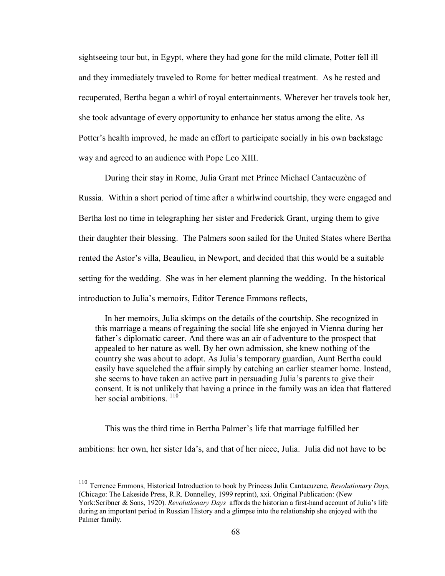sightseeing tour but, in Egypt, where they had gone for the mild climate, Potter fell ill and they immediately traveled to Rome for better medical treatment. As he rested and recuperated, Bertha began a whirl of royal entertainments. Wherever her travels took her, she took advantage of every opportunity to enhance her status among the elite. As Potter's health improved, he made an effort to participate socially in his own backstage way and agreed to an audience with Pope Leo XIII.

During their stay in Rome, Julia Grant met Prince Michael Cantacuzène of Russia. Within a short period of time after a whirlwind courtship, they were engaged and Bertha lost no time in telegraphing her sister and Frederick Grant, urging them to give their daughter their blessing. The Palmers soon sailed for the United States where Bertha rented the Astor's villa, Beaulieu, in Newport, and decided that this would be a suitable setting for the wedding. She was in her element planning the wedding. In the historical introduction to Julia's memoirs, Editor Terence Emmons reflects,

In her memoirs, Julia skimps on the details of the courtship. She recognized in this marriage a means of regaining the social life she enjoyed in Vienna during her father's diplomatic career. And there was an air of adventure to the prospect that appealed to her nature as well. By her own admission, she knew nothing of the country she was about to adopt. As Julia's temporary guardian, Aunt Bertha could easily have squelched the affair simply by catching an earlier steamer home. Instead, she seems to have taken an active part in persuading Julia's parents to give their consent. It is not unlikely that having a prince in the family was an idea that flattered her social ambitions.  $110$ 

This was the third time in Bertha Palmer's life that marriage fulfilled her

ambitions: her own, her sister Ida's, and that of her niece, Julia. Julia did not have to be

<sup>110</sup> Terrence Emmons, Historical Introduction to book by Princess Julia Cantacuzene, *Revolutionary Days,* (Chicago: The Lakeside Press, R.R. Donnelley, 1999 reprint), xxi. Original Publication: (New York:Scribner & Sons, 1920). *Revolutionary Days* affords the historian a firsthand account of Julia's life during an important period in Russian History and a glimpse into the relationship she enjoyed with the Palmer family.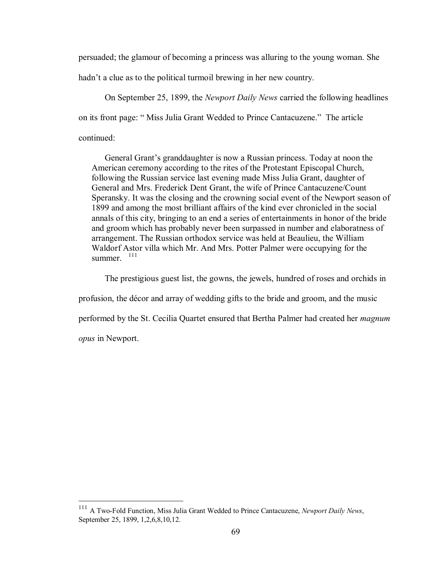persuaded; the glamour of becoming a princess was alluring to the young woman. She

hadn't a clue as to the political turmoil brewing in her new country.

On September 25, 1899, the *Newport Daily News* carried the following headlines on its front page: " Miss Julia Grant Wedded to Prince Cantacuzene." The article continued:

General Grant's granddaughter is now a Russian princess. Today at noon the American ceremony according to the rites of the Protestant Episcopal Church, following the Russian service last evening made Miss Julia Grant, daughter of General and Mrs. Frederick Dent Grant, the wife of Prince Cantacuzene/Count Speransky. It was the closing and the crowning social event of the Newport season of 1899 and among the most brilliant affairs of the kind ever chronicled in the social annals of this city, bringing to an end a series of entertainments in honor of the bride and groom which has probably never been surpassed in number and elaboratness of arrangement. The Russian orthodox service was held at Beaulieu, the William Waldorf Astor villa which Mr. And Mrs. Potter Palmer were occupying for the summer. 111

The prestigious guest list, the gowns, the jewels, hundred of roses and orchids in

profusion, the décor and array of wedding gifts to the bride and groom, and the music

performed by the St. Cecilia Quartet ensured that Bertha Palmer had created her *magnum* 

*opus* in Newport.

<sup>&</sup>lt;sup>111</sup> A Two-Fold Function, Miss Julia Grant Wedded to Prince Cantacuzene, *Newport Daily News*, September 25, 1899, 1,2,6,8,10,12.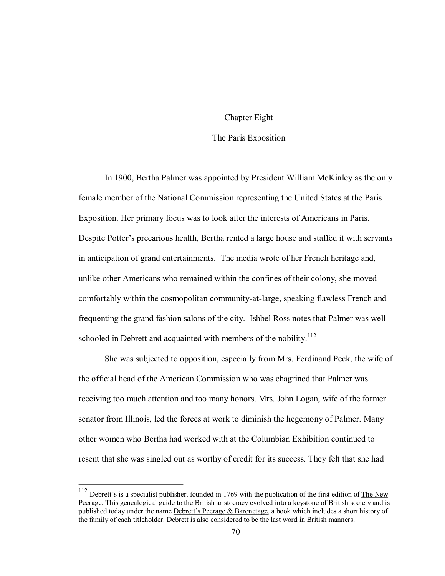## Chapter Eight

# The Paris Exposition

In 1900, Bertha Palmer was appointed by President William McKinley as the only female member of the National Commission representing the United States at the Paris Exposition. Her primary focus was to look after the interests of Americans in Paris. Despite Potter's precarious health, Bertha rented a large house and staffed it with servants in anticipation of grand entertainments. The media wrote of her French heritage and, unlike other Americans who remained within the confines of their colony, she moved comfortably within the cosmopolitan community-at-large, speaking flawless French and frequenting the grand fashion salons of the city. Ishbel Ross notes that Palmer was well schooled in Debrett and acquainted with members of the nobility.<sup>112</sup>

She was subjected to opposition, especially from Mrs. Ferdinand Peck, the wife of the official head of the American Commission who was chagrined that Palmer was receiving too much attention and too many honors. Mrs. John Logan, wife of the former senator from Illinois, led the forces at work to diminish the hegemony of Palmer. Many other women who Bertha had worked with at the Columbian Exhibition continued to resent that she was singled out as worthy of credit for its success. They felt that she had

<sup>&</sup>lt;sup>112</sup> Debrett's is a specialist publisher, founded in 1769 with the publication of the first edition of **The New** Peerage. This genealogical guide to the British aristocracy evolved into a keystone of British society and is published today under the name Debrett's Peerage & Baronetage, a book which includes a short history of the family of each titleholder. Debrett is also considered to be the last word in British manners.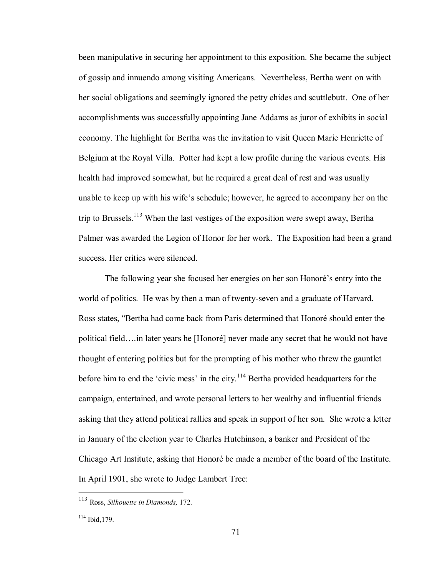been manipulative in securing her appointment to this exposition. She became the subject of gossip and innuendo among visiting Americans. Nevertheless, Bertha went on with her social obligations and seemingly ignored the petty chides and scuttlebutt. One of her accomplishments was successfully appointing Jane Addams as juror of exhibits in social economy. The highlight for Bertha was the invitation to visit Queen Marie Henriette of Belgium at the Royal Villa. Potter had kept a low profile during the various events. His health had improved somewhat, but he required a great deal of rest and was usually unable to keep up with his wife's schedule; however, he agreed to accompany her on the trip to Brussels.<sup>113</sup> When the last vestiges of the exposition were swept away, Bertha Palmer was awarded the Legion of Honor for her work. The Exposition had been a grand success. Her critics were silenced.

The following year she focused her energies on her son Honoré's entry into the world of politics. He was by then a man of twenty-seven and a graduate of Harvard. Ross states, "Bertha had come back from Paris determined that Honoré should enter the political field….in later years he [Honoré] never made any secret that he would not have thought of entering politics but for the prompting of his mother who threw the gauntlet before him to end the 'civic mess' in the city.<sup>114</sup> Bertha provided headquarters for the campaign, entertained, and wrote personal letters to her wealthy and influential friends asking that they attend political rallies and speak in support of her son. She wrote a letter in January of the election year to Charles Hutchinson, a banker and President of the Chicago Art Institute, asking that Honoré be made a member of the board of the Institute. In April 1901, she wrote to Judge Lambert Tree:

<sup>113</sup> Ross, *Silhouette in Diamonds,* 172.

 $114$  Ibid, 179.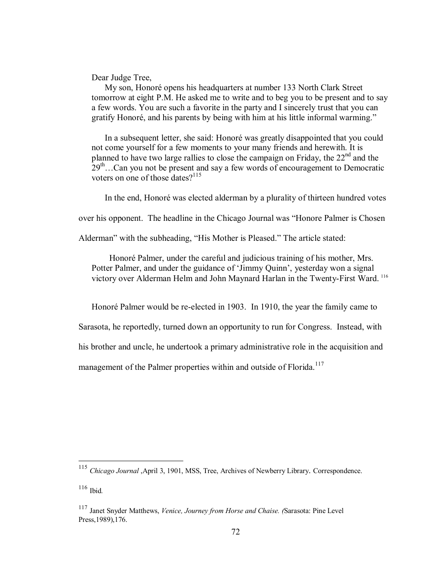Dear Judge Tree,

My son, Honoré opens his headquarters at number 133 North Clark Street tomorrow at eight P.M. He asked me to write and to beg you to be present and to say a few words. You are such a favorite in the party and I sincerely trust that you can gratify Honoré, and his parents by being with him at his little informal warming."

In a subsequent letter, she said: Honoré was greatly disappointed that you could not come yourself for a few moments to your many friends and herewith. It is planned to have two large rallies to close the campaign on Friday, the  $22<sup>nd</sup>$  and the  $29<sup>th</sup>$ ...Can you not be present and say a few words of encouragement to Democratic voters on one of those dates?<sup>115</sup>

In the end, Honoré was elected alderman by a plurality of thirteen hundred votes

over his opponent. The headline in the Chicago Journal was "Honore Palmer is Chosen

Alderman" with the subheading, "His Mother is Pleased." The article stated:

Honoré Palmer, under the careful and judicious training of his mother, Mrs. Potter Palmer, and under the guidance of 'Jimmy Quinn', yesterday won a signal victory over Alderman Helm and John Maynard Harlan in the Twenty-First Ward.<sup>116</sup>

Honoré Palmer would be re-elected in 1903. In 1910, the year the family came to

Sarasota, he reportedly, turned down an opportunity to run for Congress. Instead, with

his brother and uncle, he undertook a primary administrative role in the acquisition and

management of the Palmer properties within and outside of Florida.<sup>117</sup>

<sup>115</sup> *Chicago Journal* ,April 3, 1901, MSS, Tree, Archives of Newberry Library. Correspondence.

<sup>116</sup> Ibid*.*

<sup>117</sup> Janet Snyder Matthews, *Venice, Journey from Horse and Chaise. (*Sarasota: Pine Level Press,1989),176.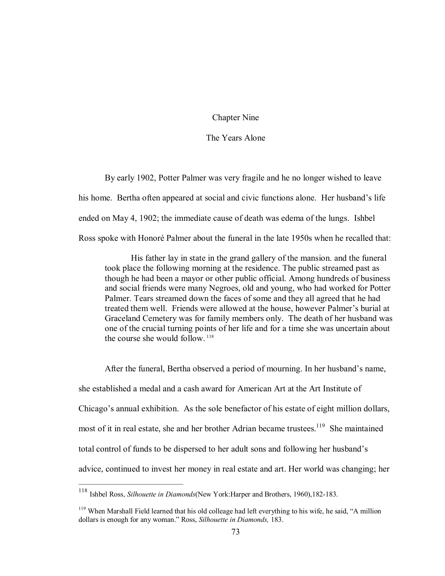Chapter Nine

The Years Alone

By early 1902, Potter Palmer was very fragile and he no longer wished to leave his home. Bertha often appeared at social and civic functions alone. Her husband's life ended on May 4, 1902; the immediate cause of death was edema of the lungs. Ishbel Ross spoke with Honoré Palmer about the funeral in the late 1950s when he recalled that:

His father lay in state in the grand gallery of the mansion. and the funeral took place the following morning at the residence. The public streamed past as though he had been a mayor or other public official. Among hundreds of business and social friends were many Negroes, old and young, who had worked for Potter Palmer. Tears streamed down the faces of some and they all agreed that he had treated them well. Friends were allowed at the house, however Palmer's burial at Graceland Cemetery was for family members only. The death of her husband was one of the crucial turning points of her life and for a time she was uncertain about the course she would follow.  $118$ 

After the funeral, Bertha observed a period of mourning. In her husband's name, she established a medal and a cash award for American Art at the Art Institute of Chicago's annual exhibition. As the sole benefactor of his estate of eight million dollars, most of it in real estate, she and her brother Adrian became trustees.<sup>119</sup> She maintained total control of funds to be dispersed to her adult sons and following her husband's advice, continued to invest her money in real estate and art. Her world was changing; her

<sup>&</sup>lt;sup>118</sup> Ishbel Ross, *Silhouette in Diamonds* (New York: Harper and Brothers, 1960), 182-183.

<sup>&</sup>lt;sup>119</sup> When Marshall Field learned that his old colleage had left everything to his wife, he said, "A million dollars is enough for any woman." Ross, *Silhouette in Diamonds,* 183.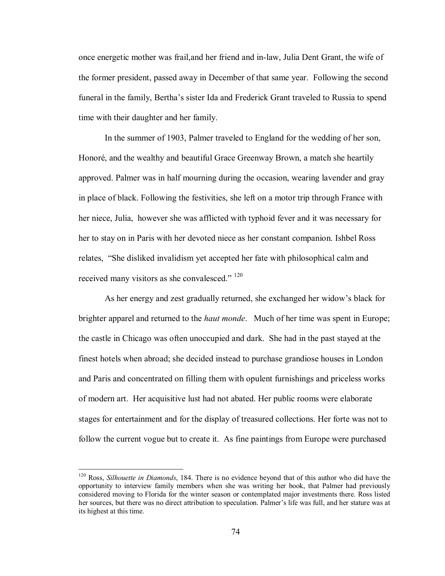once energetic mother was frail, and her friend and in-law, Julia Dent Grant, the wife of the former president, passed away in December of that same year. Following the second funeral in the family, Bertha's sister Ida and Frederick Grant traveled to Russia to spend time with their daughter and her family.

In the summer of 1903, Palmer traveled to England for the wedding of her son, Honoré, and the wealthy and beautiful Grace Greenway Brown, a match she heartily approved. Palmer was in half mourning during the occasion, wearing lavender and gray in place of black. Following the festivities, she left on a motor trip through France with her niece, Julia, however she was afflicted with typhoid fever and it was necessary for her to stay on in Paris with her devoted niece as her constant companion. Ishbel Ross relates, "She disliked invalidism yet accepted her fate with philosophical calm and received many visitors as she convalesced." <sup>120</sup>

As her energy and zest gradually returned, she exchanged her widow's black for brighter apparel and returned to the *haut monde*. Much of her time was spent in Europe; the castle in Chicago was often unoccupied and dark. She had in the past stayed at the finest hotels when abroad; she decided instead to purchase grandiose houses in London and Paris and concentrated on filling them with opulent furnishings and priceless works of modern art. Her acquisitive lust had not abated. Her public rooms were elaborate stages for entertainment and for the display of treasured collections. Her forte was not to follow the current vogue but to create it. As fine paintings from Europe were purchased

<sup>120</sup> Ross, *Silhouette in Diamonds*, 184. There is no evidence beyond that of this author who did have the opportunity to interview family members when she was writing her book, that Palmer had previously considered moving to Florida for the winter season or contemplated major investments there. Ross listed her sources, but there was no direct attribution to speculation. Palmer's life was full, and her stature was at its highest at this time.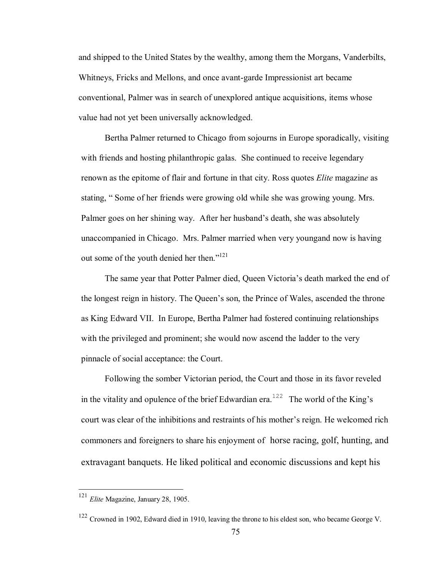and shipped to the United States by the wealthy, among them the Morgans, Vanderbilts, Whitneys, Fricks and Mellons, and once avant-garde Impressionist art became conventional, Palmer was in search of unexplored antique acquisitions, items whose value had not yet been universally acknowledged.

Bertha Palmer returned to Chicago from sojourns in Europe sporadically, visiting with friends and hosting philanthropic galas. She continued to receive legendary renown as the epitome of flair and fortune in that city. Ross quotes *Elite* magazin*e* as stating, " Some of her friends were growing old while she was growing young. Mrs. Palmer goes on her shining way. After her husband's death, she was absolutely unaccompanied in Chicago. Mrs. Palmer married when very youngand now is having out some of the youth denied her then."<sup>121</sup>

The same year that Potter Palmer died, Queen Victoria's death marked the end of the longest reign in history. The Queen's son, the Prince of Wales, ascended the throne as King Edward VII. In Europe, Bertha Palmer had fostered continuing relationships with the privileged and prominent; she would now ascend the ladder to the very pinnacle of social acceptance: the Court.

Following the somber Victorian period, the Court and those in its favor reveled in the vitality and opulence of the brief Edwardian era.<sup>122</sup> The world of the King's court was clear of the inhibitions and restraints of his mother's reign. He welcomed rich commoners and foreigners to share his enjoyment of horse racing, golf, hunting, and extravagant banquets. He liked political and economic discussions and kept his

<sup>121</sup> *Elite* Magazine, January 28, 1905.

<sup>122</sup> Crowned in 1902, Edward died in 1910, leaving the throne to his eldest son, who became George V.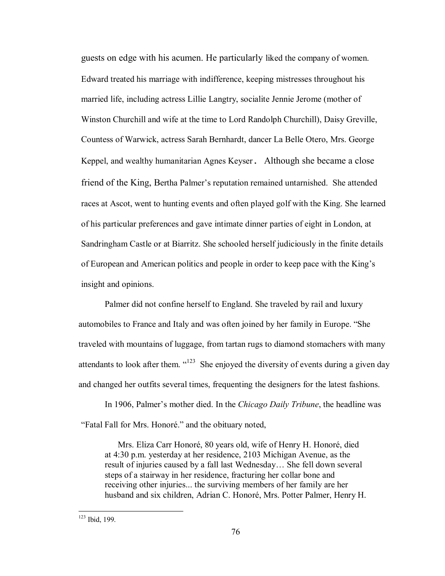guests on edge with his acumen. He particularly liked the company of women. Edward treated his marriage with indifference, keeping mistresses throughout his married life, including actress Lillie Langtry, socialite Jennie Jerome (mother of Winston Churchill and wife at the time to Lord Randolph Churchill), Daisy Greville, Countess of Warwick, actress Sarah Bernhardt, dancer La Belle Otero, Mrs. George Keppel, and wealthy humanitarian Agnes Keyser. Although she became a close friend of the King, Bertha Palmer's reputation remained untarnished. She attended races at Ascot, went to hunting events and often played golf with the King. She learned of his particular preferences and gave intimate dinner parties of eight in London, at Sandringham Castle or at Biarritz. She schooled herself judiciously in the finite details of European and American politics and people in order to keep pace with the King's insight and opinions.

Palmer did not confine herself to England. She traveled by rail and luxury automobiles to France and Italy and was often joined by her family in Europe. "She traveled with mountains of luggage, from tartan rugs to diamond stomachers with many attendants to look after them.  $423$  She enjoyed the diversity of events during a given day and changed her outfits several times, frequenting the designers for the latest fashions.

In 1906, Palmer's mother died. In the *Chicago Daily Tribune*, the headline was "Fatal Fall for Mrs. Honoré." and the obituary noted,

Mrs. Eliza Carr Honoré, 80 years old, wife of Henry H. Honoré, died at 4:30 p.m. yesterday at her residence, 2103 Michigan Avenue, as the result of injuries caused by a fall last Wednesday… She fell down several steps of a stairway in her residence, fracturing her collar bone and receiving other injuries... the surviving members of her family are her husband and six children, Adrian C. Honoré, Mrs. Potter Palmer, Henry H.

<sup>123</sup> Ibid, 199.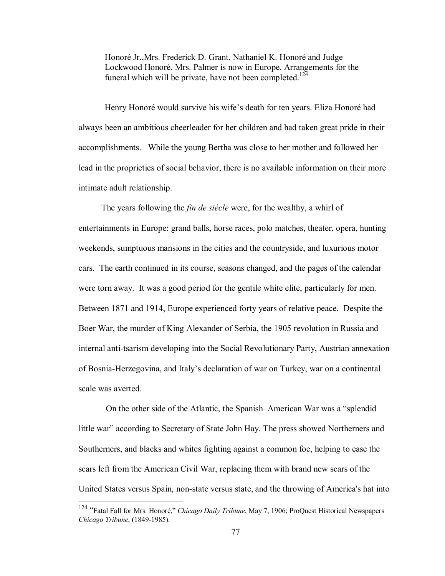Honoré Jr.,Mrs. Frederick D. Grant, Nathaniel K. Honoré and Judge Lockwood Honoré. Mrs. Palmer is now in Europe. Arrangements for the funeral which will be private, have not been completed.<sup>124</sup>

Henry Honoré would survive his wife's death for ten years. Eliza Honoré had always been an ambitious cheerleader for her children and had taken great pride in their accomplishments. While the young Bertha was close to her mother and followed her lead in the proprieties of social behavior, there is no available information on their more intimate adult relationship.

The years following the *fin de siécle* were, for the wealthy, a whirl of entertainments in Europe: grand balls, horse races, polo matches, theater, opera, hunting weekends, sumptuous mansions in the cities and the countryside, and luxurious motor cars. The earth continued in its course, seasons changed, and the pages of the calendar were torn away. It was a good period for the gentile white elite, particularly for men. Between 1871 and 1914, Europe experienced forty years of relative peace. Despite the Boer War, the murder of King Alexander of Serbia, the 1905 revolution in Russia and internal anti-tsarism developing into the Social Revolutionary Party, Austrian annexation of BosniaHerzegovina, and Italy's declaration of war on Turkey, war on a continental scale was averted.

On the other side of the Atlantic, the Spanish–American War was a "splendid little war" according to Secretary of State John Hay. The press showed Northerners and Southerners, and blacks and whites fighting against a common foe, helping to ease the scars left from the American Civil War, replacing them with brand new scars of the United States versus Spain, non-state versus state, and the throwing of America's hat into

<sup>124</sup> "Fatal Fall for Mrs. Honoré," *Chicago Daily Tribune*, May 7, 1906; ProQuest Historical Newspapers *Chicago Tribune*, (1849-1985).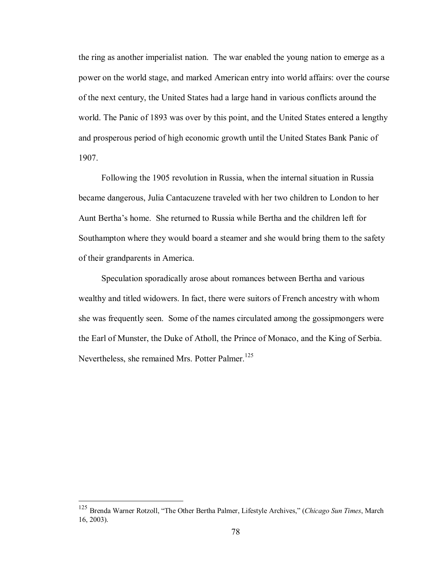the ring as another imperialist nation. The war enabled the young nation to emerge as a power on the world stage, and marked American entry into world affairs: over the course of the next century, the United States had a large hand in various conflicts around the world. The Panic of 1893 was over by this point, and the United States entered a lengthy and prosperous period of high economic growth until the United States Bank Panic of 1907.

Following the 1905 revolution in Russia, when the internal situation in Russia became dangerous, Julia Cantacuzene traveled with her two children to London to her Aunt Bertha's home. She returned to Russia while Bertha and the children left for Southampton where they would board a steamer and she would bring them to the safety of their grandparents in America.

Speculation sporadically arose about romances between Bertha and various wealthy and titled widowers. In fact, there were suitors of French ancestry with whom she was frequently seen. Some of the names circulated among the gossipmongers were the Earl of Munster, the Duke of Atholl, the Prince of Monaco, and the King of Serbia. Nevertheless, she remained Mrs. Potter Palmer.<sup>125</sup>

<sup>125</sup> Brenda Warner Rotzoll, "The Other Bertha Palmer, Lifestyle Archives," (*Chicago Sun Times*, March 16, 2003).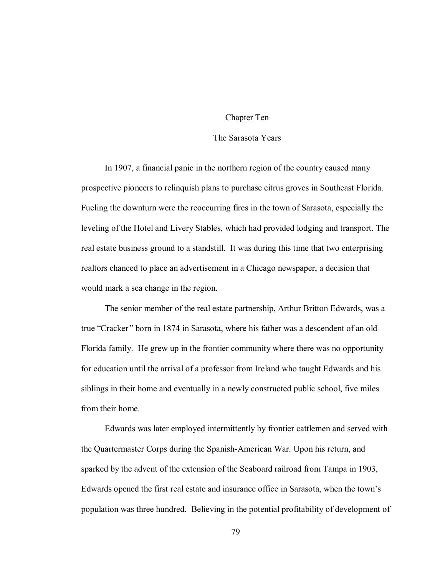# Chapter Ten

## The Sarasota Years

In 1907, a financial panic in the northern region of the country caused many prospective pioneers to relinquish plans to purchase citrus groves in Southeast Florida. Fueling the downturn were the reoccurring fires in the town of Sarasota, especially the leveling of the Hotel and Livery Stables, which had provided lodging and transport. The real estate business ground to a standstill. It was during this time that two enterprising realtors chanced to place an advertisement in a Chicago newspaper, a decision that would mark a sea change in the region.

The senior member of the real estate partnership, Arthur Britton Edwards, was a true "Cracker*"* born in 1874 in Sarasota, where his father was a descendent of an old Florida family. He grew up in the frontier community where there was no opportunity for education until the arrival of a professor from Ireland who taught Edwards and his siblings in their home and eventually in a newly constructed public school, five miles from their home.

Edwards was later employed intermittently by frontier cattlemen and served with the Quartermaster Corps during the Spanish-American War. Upon his return, and sparked by the advent of the extension of the Seaboard railroad from Tampa in 1903, Edwards opened the first real estate and insurance office in Sarasota, when the town's population was three hundred. Believing in the potential profitability of development of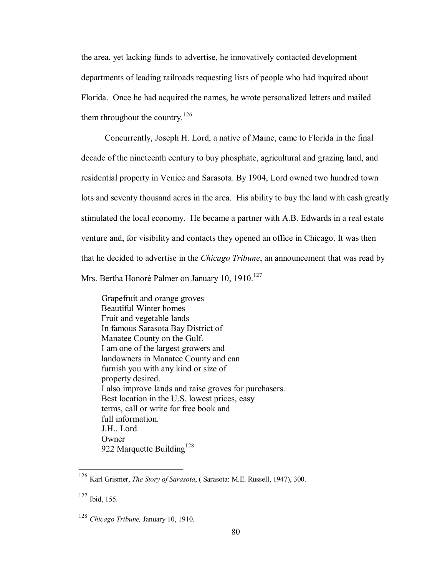the area, yet lacking funds to advertise, he innovatively contacted development departments of leading railroads requesting lists of people who had inquired about Florida. Once he had acquired the names, he wrote personalized letters and mailed them throughout the country.<sup>126</sup>

Concurrently, Joseph H. Lord, a native of Maine, came to Florida in the final decade of the nineteenth century to buy phosphate, agricultural and grazing land, and residential property in Venice and Sarasota. By 1904, Lord owned two hundred town lots and seventy thousand acres in the area. His ability to buy the land with cash greatly stimulated the local economy. He became a partner with A.B. Edwards in a real estate venture and, for visibility and contacts they opened an office in Chicago. It was then that he decided to advertise in the *Chicago Tribune*, an announcement that was read by Mrs. Bertha Honoré Palmer on January 10, 1910.<sup>127</sup>

Grapefruit and orange groves Beautiful Winter homes Fruit and vegetable lands In famous Sarasota Bay District of Manatee County on the Gulf. I am one of the largest growers and landowners in Manatee County and can furnish you with any kind or size of property desired. I also improve lands and raise groves for purchasers. Best location in the U.S. lowest prices, easy terms, call or write for free book and full information. J.H.. Lord **Owner** 922 Marquette Building<sup>128</sup>

<sup>126</sup> Karl Grismer, *The Story of Sarasota*, ( Sarasota: M.E. Russell, 1947), 300.

<sup>127</sup> Ibid, 155.

<sup>128</sup> *Chicago Tribune,* January 10, 1910.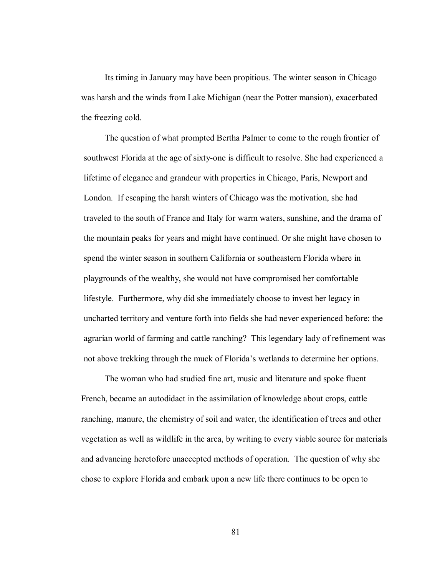Its timing in January may have been propitious. The winter season in Chicago was harsh and the winds from Lake Michigan (near the Potter mansion), exacerbated the freezing cold.

The question of what prompted Bertha Palmer to come to the rough frontier of southwest Florida at the age of sixty-one is difficult to resolve. She had experienced a lifetime of elegance and grandeur with properties in Chicago, Paris, Newport and London. If escaping the harsh winters of Chicago was the motivation, she had traveled to the south of France and Italy for warm waters, sunshine, and the drama of the mountain peaks for years and might have continued. Or she might have chosen to spend the winter season in southern California or southeastern Florida where in playgrounds of the wealthy, she would not have compromised her comfortable lifestyle. Furthermore, why did she immediately choose to invest her legacy in uncharted territory and venture forth into fields she had never experienced before: the agrarian world of farming and cattle ranching? This legendary lady of refinement was not above trekking through the muck of Florida's wetlands to determine her options.

The woman who had studied fine art, music and literature and spoke fluent French, became an autodidact in the assimilation of knowledge about crops, cattle ranching, manure, the chemistry of soil and water, the identification of trees and other vegetation as well as wildlife in the area, by writing to every viable source for materials and advancing heretofore unaccepted methods of operation. The question of why she chose to explore Florida and embark upon a new life there continues to be open to

81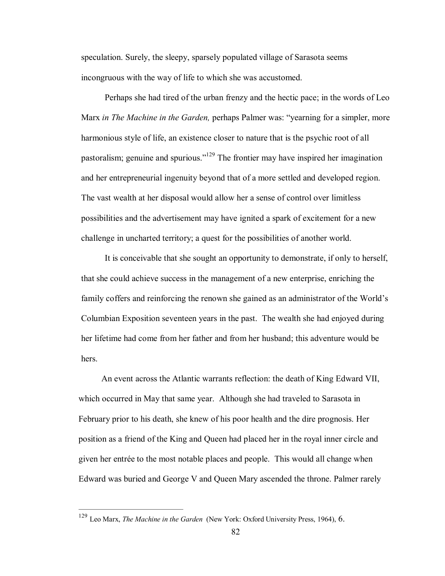speculation. Surely, the sleepy, sparsely populated village of Sarasota seems incongruous with the way of life to which she was accustomed.

Perhaps she had tired of the urban frenzy and the hectic pace; in the words of Leo Marx *in The Machine in the Garden,* perhaps Palmer was: "yearning for a simpler, more harmonious style of life, an existence closer to nature that is the psychic root of all pastoralism; genuine and spurious."<sup>129</sup> The frontier may have inspired her imagination and her entrepreneurial ingenuity beyond that of a more settled and developed region. The vast wealth at her disposal would allow her a sense of control over limitless possibilities and the advertisement may have ignited a spark of excitement for a new challenge in uncharted territory; a quest for the possibilities of another world.

It is conceivable that she sought an opportunity to demonstrate, if only to herself, that she could achieve success in the management of a new enterprise, enriching the family coffers and reinforcing the renown she gained as an administrator of the World's Columbian Exposition seventeen years in the past. The wealth she had enjoyed during her lifetime had come from her father and from her husband; this adventure would be hers.

An event across the Atlantic warrants reflection: the death of King Edward VII, which occurred in May that same year. Although she had traveled to Sarasota in February prior to his death, she knew of his poor health and the dire prognosis. Her position as a friend of the King and Queen had placed her in the royal inner circle and given her entrée to the most notable places and people. This would all change when Edward was buried and George V and Queen Mary ascended the throne. Palmer rarely

<sup>129</sup> Leo Marx, *The Machine in the Garden* (New York: Oxford University Press, 1964), 6.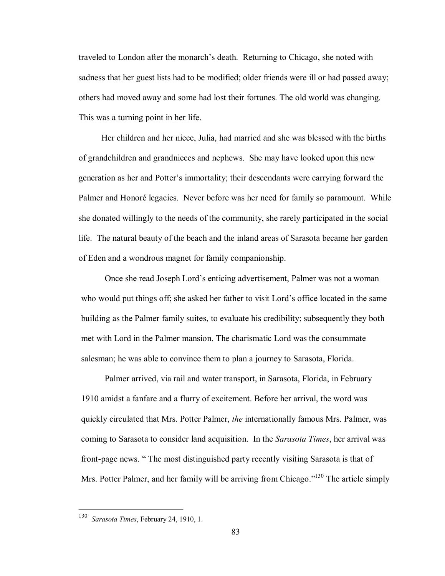traveled to London after the monarch's death. Returning to Chicago, she noted with sadness that her guest lists had to be modified; older friends were ill or had passed away; others had moved away and some had lost their fortunes. The old world was changing. This was a turning point in her life.

Her children and her niece, Julia, had married and she was blessed with the births of grandchildren and grandnieces and nephews. She may have looked upon this new generation as her and Potter's immortality; their descendants were carrying forward the Palmer and Honoré legacies. Never before was her need for family so paramount. While she donated willingly to the needs of the community, she rarely participated in the social life. The natural beauty of the beach and the inland areas of Sarasota became her garden of Eden and a wondrous magnet for family companionship.

Once she read Joseph Lord's enticing advertisement, Palmer was not a woman who would put things off; she asked her father to visit Lord's office located in the same building as the Palmer family suites, to evaluate his credibility; subsequently they both met with Lord in the Palmer mansion. The charismatic Lord was the consummate salesman; he was able to convince them to plan a journey to Sarasota, Florida.

Palmer arrived, via rail and water transport, in Sarasota, Florida, in February 1910 amidst a fanfare and a flurry of excitement. Before her arrival, the word was quickly circulated that Mrs. Potter Palmer, *the* internationally famous Mrs. Palmer, was coming to Sarasota to consider land acquisition. In the *Sarasota Times*, her arrival was front-page news. " The most distinguished party recently visiting Sarasota is that of Mrs. Potter Palmer, and her family will be arriving from Chicago."<sup>130</sup> The article simply

<sup>130</sup> *Sarasota Times*, February 24, 1910, 1.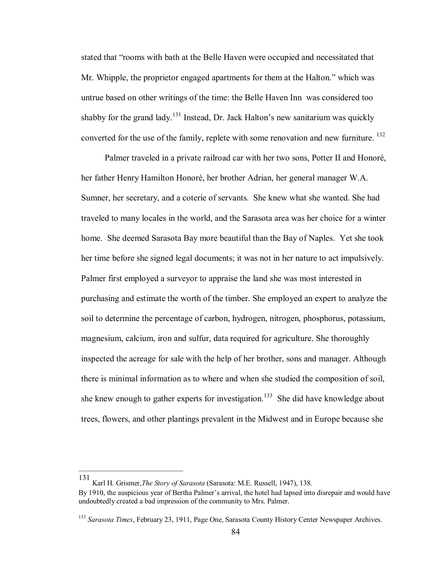stated that "rooms with bath at the Belle Haven were occupied and necessitated that Mr. Whipple, the proprietor engaged apartments for them at the Halton." which was untrue based on other writings of the time: the Belle Haven Inn was considered too shabby for the grand lady.<sup>131</sup> Instead, Dr. Jack Halton's new sanitarium was quickly converted for the use of the family, replete with some renovation and new furniture. <sup>132</sup>

Palmer traveled in a private railroad car with her two sons, Potter II and Honoré, her father Henry Hamilton Honoré, her brother Adrian, her general manager W.A. Sumner, her secretary, and a coterie of servants. She knew what she wanted. She had traveled to many locales in the world, and the Sarasota area was her choice for a winter home. She deemed Sarasota Bay more beautiful than the Bay of Naples. Yet she took her time before she signed legal documents; it was not in her nature to act impulsively. Palmer first employed a surveyor to appraise the land she was most interested in purchasing and estimate the worth of the timber. She employed an expert to analyze the soil to determine the percentage of carbon, hydrogen, nitrogen, phosphorus, potassium, magnesium, calcium, iron and sulfur, data required for agriculture. She thoroughly inspected the acreage for sale with the help of her brother, sons and manager. Although there is minimal information as to where and when she studied the composition of soil, she knew enough to gather experts for investigation.<sup>133</sup> She did have knowledge about trees, flowers, and other plantings prevalent in the Midwest and in Europe because she

131

Karl H. Grismer,*The Story of Sarasota* (Sarasota: M.E. Russell, 1947), 138.

By 1910, the auspicious year of Bertha Palmer's arrival, the hotel had lapsed into disrepair and would have undoubtedly created a bad impression of the community to Mrs. Palmer.

<sup>133</sup> *Sarasota Times*, February 23, 1911, Page One, Sarasota County History Center Newspaper Archives.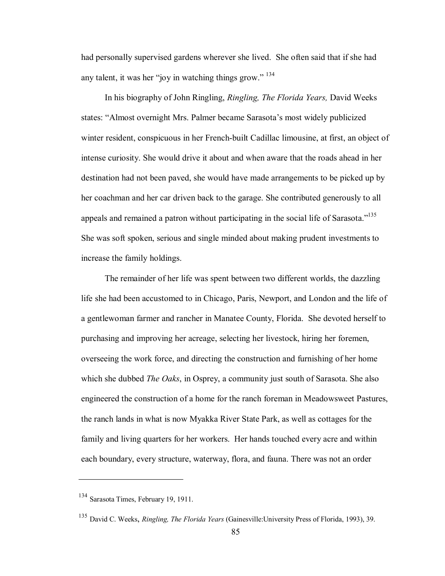had personally supervised gardens wherever she lived. She often said that if she had any talent, it was her "joy in watching things grow." <sup>134</sup>

In his biography of John Ringling, *Ringling, The Florida Years,* David Weeks states: "Almost overnight Mrs. Palmer became Sarasota's most widely publicized winter resident, conspicuous in her French-built Cadillac limousine, at first, an object of intense curiosity. She would drive it about and when aware that the roads ahead in her destination had not been paved, she would have made arrangements to be picked up by her coachman and her car driven back to the garage. She contributed generously to all appeals and remained a patron without participating in the social life of Sarasota."<sup>135</sup> She was soft spoken, serious and single minded about making prudent investments to increase the family holdings.

The remainder of her life was spent between two different worlds, the dazzling life she had been accustomed to in Chicago, Paris, Newport, and London and the life of a gentlewoman farmer and rancher in Manatee County, Florida. She devoted herself to purchasing and improving her acreage, selecting her livestock, hiring her foremen, overseeing the work force, and directing the construction and furnishing of her home which she dubbed *The Oaks*, in Osprey, a community just south of Sarasota. She also engineered the construction of a home for the ranch foreman in Meadowsweet Pastures, the ranch lands in what is now Myakka River State Park, as well as cottages for the family and living quarters for her workers. Her hands touched every acre and within each boundary, every structure, waterway, flora, and fauna. There was not an order

<sup>134</sup> Sarasota Times, February 19, 1911.

<sup>135</sup> David C. Weeks, *Ringling, The Florida Years* (Gainesville:University Press of Florida, 1993), 39.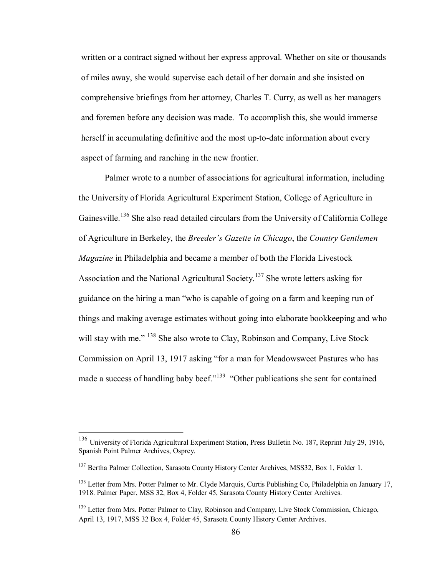written or a contract signed without her express approval. Whether on site or thousands of miles away, she would supervise each detail of her domain and she insisted on comprehensive briefings from her attorney, Charles T. Curry, as well as her managers and foremen before any decision was made. To accomplish this, she would immerse herself in accumulating definitive and the most up-to-date information about every aspect of farming and ranching in the new frontier.

Palmer wrote to a number of associations for agricultural information, including the University of Florida Agricultural Experiment Station, College of Agriculture in Gainesville.<sup>136</sup> She also read detailed circulars from the University of California College of Agriculture in Berkeley, the *Breeder's Gazette in Chicago*, the *Country Gentlemen Magazine* in Philadelphia and became a member of both the Florida Livestock Association and the National Agricultural Society.<sup>137</sup> She wrote letters asking for guidance on the hiring a man "who is capable of going on a farm and keeping run of things and making average estimates without going into elaborate bookkeeping and who will stay with me." <sup>138</sup> She also wrote to Clay, Robinson and Company, Live Stock Commission on April 13, 1917 asking "for a man for Meadowsweet Pastures who has made a success of handling baby beef."<sup>139</sup> "Other publications she sent for contained

<sup>136</sup> University of Florida Agricultural Experiment Station, Press Bulletin No. 187, Reprint July 29, 1916, Spanish Point Palmer Archives, Osprey.

<sup>&</sup>lt;sup>137</sup> Bertha Palmer Collection, Sarasota County History Center Archives, MSS32, Box 1, Folder 1.

<sup>&</sup>lt;sup>138</sup> Letter from Mrs. Potter Palmer to Mr. Clyde Marquis, Curtis Publishing Co, Philadelphia on January 17, 1918. Palmer Paper, MSS 32, Box 4, Folder 45, Sarasota County History Center Archives.

<sup>&</sup>lt;sup>139</sup> Letter from Mrs. Potter Palmer to Clay, Robinson and Company, Live Stock Commission, Chicago, April 13, 1917, MSS 32 Box 4, Folder 45, Sarasota County History Center Archives.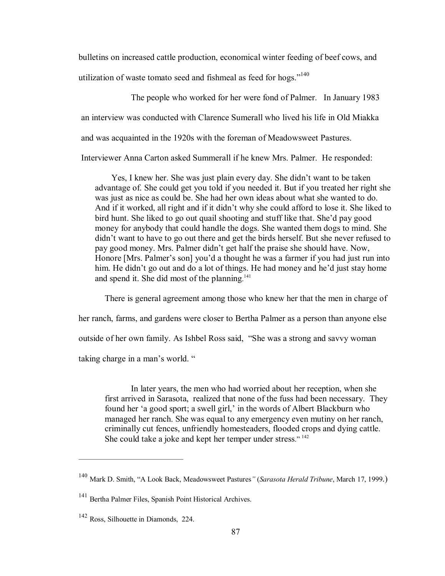bulletins on increased cattle production, economical winter feeding of beef cows, and utilization of waste tomato seed and fishmeal as feed for hogs."<sup>140</sup>

The people who worked for her were fond of Palmer. In January 1983 an interview was conducted with Clarence Sumerall who lived his life in Old Miakka and was acquainted in the 1920s with the foreman of Meadowsweet Pastures. Interviewer Anna Carton asked Summerall if he knew Mrs. Palmer. He responded:

Yes, I knew her. She was just plain every day. She didn't want to be taken advantage of. She could get you told if you needed it. But if you treated her right she was just as nice as could be. She had her own ideas about what she wanted to do. And if it worked, all right and if it didn't why she could afford to lose it. She liked to bird hunt. She liked to go out quail shooting and stuff like that. She'd pay good money for anybody that could handle the dogs. She wanted them dogs to mind. She didn't want to have to go out there and get the birds herself. But she never refused to pay good money. Mrs. Palmer didn't get half the praise she should have. Now, Honore [Mrs. Palmer's son] you'd a thought he was a farmer if you had just run into him. He didn't go out and do a lot of things. He had money and he'd just stay home and spend it. She did most of the planning.<sup>141</sup>

There is general agreement among those who knew her that the men in charge of her ranch, farms, and gardens were closer to Bertha Palmer as a person than anyone else outside of her own family. As Ishbel Ross said, "She was a strong and savvy woman taking charge in a man's world. "

In later years, the men who had worried about her reception, when she first arrived in Sarasota, realized that none of the fuss had been necessary. They found her 'a good sport; a swell girl,' in the words of Albert Blackburn who managed her ranch. She was equal to any emergency even mutiny on her ranch, criminally cut fences, unfriendly homesteaders, flooded crops and dying cattle. She could take a joke and kept her temper under stress."<sup>142</sup>

<sup>140</sup> Mark D. Smith, "A Look Back, Meadowsweet Pastures*"* (*Sarasota Herald Tribune*, March 17, <sup>1999</sup>.)

<sup>141</sup> Bertha Palmer Files, Spanish Point Historical Archives.

<sup>142</sup> Ross, Silhouette in Diamonds, 224.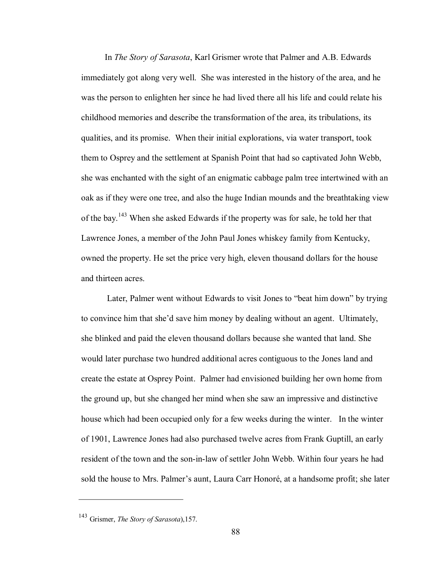In *The Story of Sarasota*, Karl Grismer wrote that Palmer and A.B. Edwards immediately got along very well. She was interested in the history of the area, and he was the person to enlighten her since he had lived there all his life and could relate his childhood memories and describe the transformation of the area, its tribulations, its qualities, and its promise. When their initial explorations, via water transport, took them to Osprey and the settlement at Spanish Point that had so captivated John Webb, she was enchanted with the sight of an enigmatic cabbage palm tree intertwined with an oak as if they were one tree, and also the huge Indian mounds and the breathtaking view of the bay.<sup>143</sup> When she asked Edwards if the property was for sale, he told her that Lawrence Jones, a member of the John Paul Jones whiskey family from Kentucky, owned the property. He set the price very high, eleven thousand dollars for the house and thirteen acres.

Later, Palmer went without Edwards to visit Jones to "beat him down" by trying to convince him that she'd save him money by dealing without an agent. Ultimately, she blinked and paid the eleven thousand dollars because she wanted that land. She would later purchase two hundred additional acres contiguous to the Jones land and create the estate at Osprey Point. Palmer had envisioned building her own home from the ground up, but she changed her mind when she saw an impressive and distinctive house which had been occupied only for a few weeks during the winter. In the winter of 1901, Lawrence Jones had also purchased twelve acres from Frank Guptill, an early resident of the town and the son-in-law of settler John Webb. Within four years he had sold the house to Mrs. Palmer's aunt, Laura Carr Honoré, at a handsome profit; she later

<sup>143</sup> Grismer, *The Story of Sarasota*),157.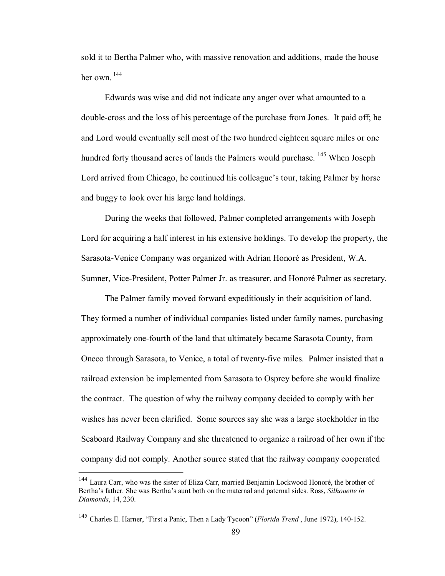sold it to Bertha Palmer who, with massive renovation and additions, made the house her own  $144$ 

Edwards was wise and did not indicate any anger over what amounted to a double-cross and the loss of his percentage of the purchase from Jones. It paid off; he and Lord would eventually sell most of the two hundred eighteen square miles or one hundred forty thousand acres of lands the Palmers would purchase. <sup>145</sup> When Joseph Lord arrived from Chicago, he continued his colleague's tour, taking Palmer by horse and buggy to look over his large land holdings.

During the weeks that followed, Palmer completed arrangements with Joseph Lord for acquiring a half interest in his extensive holdings. To develop the property, the Sarasota-Venice Company was organized with Adrian Honoré as President, W.A. Sumner, Vice-President, Potter Palmer Jr. as treasurer, and Honoré Palmer as secretary.

The Palmer family moved forward expeditiously in their acquisition of land. They formed a number of individual companies listed under family names, purchasing approximately one-fourth of the land that ultimately became Sarasota County, from Oneco through Sarasota, to Venice, a total of twenty-five miles. Palmer insisted that a railroad extension be implemented from Sarasota to Osprey before she would finalize the contract. The question of why the railway company decided to comply with her wishes has never been clarified. Some sources say she was a large stockholder in the Seaboard Railway Company and she threatened to organize a railroad of her own if the company did not comply. Another source stated that the railway company cooperated

<sup>&</sup>lt;sup>144</sup> Laura Carr, who was the sister of Eliza Carr, married Benjamin Lockwood Honoré, the brother of Bertha's father. She was Bertha's aunt both on the maternal and paternal sides. Ross, *Silhouette in Diamonds*, 14, 230.

<sup>&</sup>lt;sup>145</sup> Charles E. Harner, "First a Panic, Then a Lady Tycoon" (*Florida Trend*, June 1972), 140-152.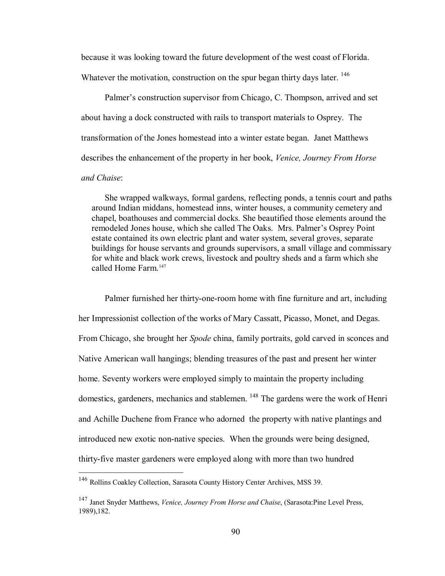because it was looking toward the future development of the west coast of Florida. Whatever the motivation, construction on the spur began thirty days later. <sup>146</sup>

Palmer's construction supervisor from Chicago, C. Thompson, arrived and set about having a dock constructed with rails to transport materials to Osprey. The transformation of the Jones homestead into a winter estate began. Janet Matthews describes the enhancement of the property in her book, *Venice, Journey From Horse and Chaise*:

She wrapped walkways, formal gardens, reflecting ponds, a tennis court and paths around Indian middans, homestead inns, winter houses, a community cemetery and chapel, boathouses and commercial docks. She beautified those elements around the remodeled Jones house, which she called The Oaks. Mrs. Palmer's Osprey Point estate contained its own electric plant and water system, several groves, separate buildings for house servants and grounds supervisors, a small village and commissary for white and black work crews, livestock and poultry sheds and a farm which she called Home Farm.<sup>147</sup>

Palmer furnished her thirty-one-room home with fine furniture and art, including her Impressionist collection of the works of Mary Cassatt, Picasso, Monet, and Degas. From Chicago, she brought her *Spode* china, family portraits, gold carved in sconces and Native American wall hangings; blending treasures of the past and present her winter home. Seventy workers were employed simply to maintain the property including domestics, gardeners, mechanics and stablemen. <sup>148</sup> The gardens were the work of Henri and Achille Duchene from France who adorned the property with native plantings and introduced new exotic non-native species. When the grounds were being designed, thirty-five master gardeners were employed along with more than two hundred

<sup>146</sup> Rollins Coakley Collection, Sarasota County History Center Archives, MSS 39.

<sup>147</sup> Janet Snyder Matthews, *Venice, Journey From Horse and Chaise*, (Sarasota:Pine Level Press, 1989),182.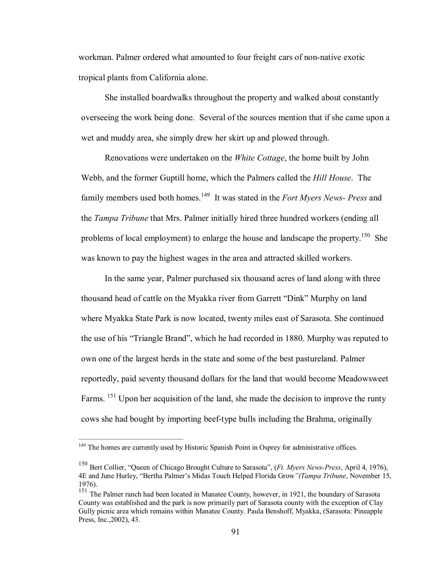workman. Palmer ordered what amounted to four freight cars of non-native exotic tropical plants from California alone.

She installed boardwalks throughout the property and walked about constantly overseeing the work being done. Several of the sources mention that if she came upon a wet and muddy area, she simply drew her skirt up and plowed through.

Renovations were undertaken on the *White Cottage*, the home built by John Webb, and the former Guptill home, which the Palmers called the *Hill House*. The family members used both homes.<sup>149</sup> It was stated in the *Fort Myers News- Press* and the *Tampa Tribune* that Mrs. Palmer initially hired three hundred workers (ending all problems of local employment) to enlarge the house and landscape the property.<sup>150</sup> She was known to pay the highest wages in the area and attracted skilled workers.

In the same year, Palmer purchased six thousand acres of land along with three thousand head of cattle on the Myakka river from Garrett "Dink" Murphy on land where Myakka State Park is now located, twenty miles east of Sarasota. She continued the use of his "Triangle Brand", which he had recorded in 1880. Murphy was reputed to own one of the largest herds in the state and some of the best pastureland. Palmer reportedly, paid seventy thousand dollars for the land that would become Meadowsweet Farms. <sup>151</sup> Upon her acquisition of the land, she made the decision to improve the runty cows she had bought by importing beef-type bulls including the Brahma, originally

<sup>&</sup>lt;sup>149</sup> The homes are currently used by Historic Spanish Point in Osprey for administrative offices.

<sup>&</sup>lt;sup>150</sup> Bert Collier, "Queen of Chicago Brought Culture to Sarasota", (*Ft. Myers News-Press*, April 4, 1976), 4E and June Hurley, "Bertha Palmer's Midas Touch Helped Florida Grow*"(Tampa Tribune*, November 15, 1976).

<sup>&</sup>lt;sup>151</sup> The Palmer ranch had been located in Manatee County, however, in 1921, the boundary of Sarasota County was established and the park is now primarily part of Sarasota county with the exception of Clay Gully picnic area which remains within Manatee County. Paula Benshoff, Myakka, (Sarasota: Pineapple Press, Inc.,2002), 43.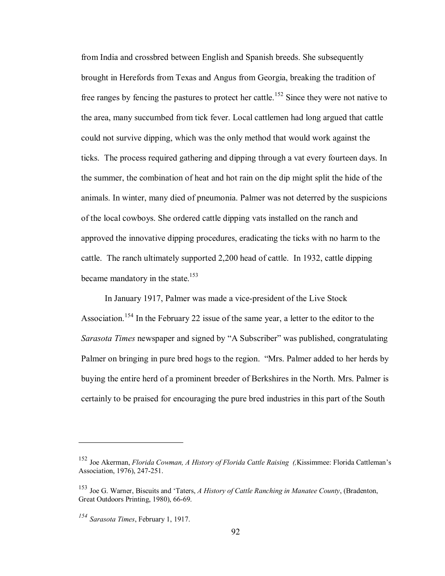from India and crossbred between English and Spanish breeds. She subsequently brought in Herefords from Texas and Angus from Georgia, breaking the tradition of free ranges by fencing the pastures to protect her cattle. <sup>152</sup> Since they were not native to the area, many succumbed from tick fever. Local cattlemen had long argued that cattle could not survive dipping, which was the only method that would work against the ticks. The process required gathering and dipping through a vat every fourteen days. In the summer, the combination of heat and hot rain on the dip might split the hide of the animals. In winter, many died of pneumonia. Palmer was not deterred by the suspicions of the local cowboys. She ordered cattle dipping vats installed on the ranch and approved the innovative dipping procedures, eradicating the ticks with no harm to the cattle. The ranch ultimately supported 2,200 head of cattle. In 1932, cattle dipping became mandatory in the state.<sup>153</sup>

In January 1917, Palmer was made a vice-president of the Live Stock Association.<sup>154</sup> In the February 22 issue of the same year, a letter to the editor to the *Sarasota Times* newspaper and signed by "A Subscriber" was published, congratulating Palmer on bringing in pure bred hogs to the region. "Mrs. Palmer added to her herds by buying the entire herd of a prominent breeder of Berkshires in the North. Mrs. Palmer is certainly to be praised for encouraging the pure bred industries in this part of the South

<sup>152</sup> Joe Akerman, *Florida Cowman, A History of Florida Cattle Raising (,*Kissimmee: Florida Cattleman's Association, 1976), 247-251.

<sup>153</sup> Joe G. Warner, Biscuits and 'Taters, *A History of Cattle Ranching in Manatee County*, (Bradenton, Great Outdoors Printing, 1980), 66-69.

*<sup>154</sup> Sarasota Times*, February 1, 1917.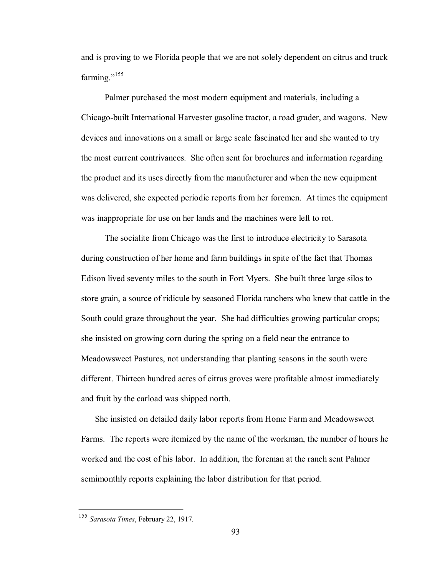and is proving to we Florida people that we are not solely dependent on citrus and truck farming." $155$ 

Palmer purchased the most modern equipment and materials, including a Chicago-built International Harvester gasoline tractor, a road grader, and wagons. New devices and innovations on a small or large scale fascinated her and she wanted to try the most current contrivances. She often sent for brochures and information regarding the product and its uses directly from the manufacturer and when the new equipment was delivered, she expected periodic reports from her foremen. At times the equipment was inappropriate for use on her lands and the machines were left to rot.

The socialite from Chicago was the first to introduce electricity to Sarasota during construction of her home and farm buildings in spite of the fact that Thomas Edison lived seventy miles to the south in Fort Myers. She built three large silos to store grain, a source of ridicule by seasoned Florida ranchers who knew that cattle in the South could graze throughout the year. She had difficulties growing particular crops; she insisted on growing corn during the spring on a field near the entrance to Meadowsweet Pastures, not understanding that planting seasons in the south were different. Thirteen hundred acres of citrus groves were profitable almost immediately and fruit by the carload was shipped north.

She insisted on detailed daily labor reports from Home Farm and Meadowsweet Farms. The reports were itemized by the name of the workman, the number of hours he worked and the cost of his labor. In addition, the foreman at the ranch sent Palmer semimonthly reports explaining the labor distribution for that period.

<sup>155</sup> *Sarasota Times*, February 22, 1917.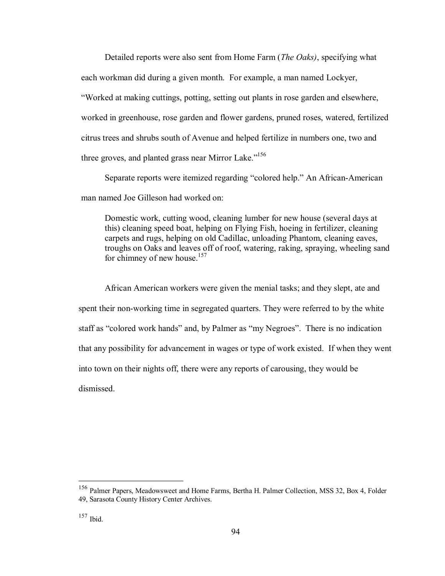Detailed reports were also sent from Home Farm (*The Oaks)*, specifying what each workman did during a given month. For example, a man named Lockyer, "Worked at making cuttings, potting, setting out plants in rose garden and elsewhere, worked in greenhouse, rose garden and flower gardens, pruned roses, watered, fertilized citrus trees and shrubs south of Avenue and helped fertilize in numbers one, two and three groves, and planted grass near Mirror Lake. $156$ 

Separate reports were itemized regarding "colored help." An African-American man named Joe Gilleson had worked on:

Domestic work, cutting wood, cleaning lumber for new house (several days at this) cleaning speed boat, helping on Flying Fish, hoeing in fertilizer, cleaning carpets and rugs, helping on old Cadillac, unloading Phantom, cleaning eaves, troughs on Oaks and leaves off of roof, watering, raking, spraying, wheeling sand for chimney of new house.<sup>157</sup>

African American workers were given the menial tasks; and they slept, ate and spent their non-working time in segregated quarters. They were referred to by the white staff as "colored work hands" and, by Palmer as "my Negroes". There is no indication that any possibility for advancement in wages or type of work existed. If when they went into town on their nights off, there were any reports of carousing, they would be dismissed.

<sup>156</sup> Palmer Papers, Meadowsweet and Home Farms, Bertha H. Palmer Collection, MSS 32, Box 4, Folder 49, Sarasota County History Center Archives.

<sup>157</sup> Ibid.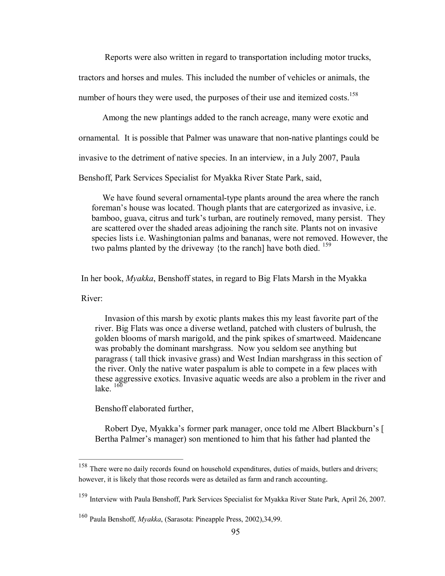Reports were also written in regard to transportation including motor trucks, tractors and horses and mules. This included the number of vehicles or animals, the number of hours they were used, the purposes of their use and itemized costs.<sup>158</sup>

Among the new plantings added to the ranch acreage, many were exotic and

ornamental. It is possible that Palmer was unaware that non-native plantings could be

invasive to the detriment of native species. In an interview, in a July 2007, Paula

Benshoff, Park Services Specialist for Myakka River State Park, said,

We have found several ornamental-type plants around the area where the ranch foreman's house was located. Though plants that are catergorized as invasive, i.e. bamboo, guava, citrus and turk's turban, are routinely removed, many persist. They are scattered over the shaded areas adjoining the ranch site. Plants not on invasive species lists i.e. Washingtonian palms and bananas, were not removed. However, the two palms planted by the driveway {to the ranch] have both died.  $159$ 

In her book, *Myakka*, Benshoff states, in regard to Big Flats Marsh in the Myakka

River:

Invasion of this marsh by exotic plants makes this my least favorite part of the river. Big Flats was once a diverse wetland, patched with clusters of bulrush, the golden blooms of marsh marigold, and the pink spikes of smartweed. Maidencane was probably the dominant marshgrass. Now you seldom see anything but paragrass ( tall thick invasive grass) and West Indian marshgrass in this section of the river. Only the native water paspalum is able to compete in a few places with these aggressive exotics. Invasive aquatic weeds are also a problem in the river and lake $160$ 

Benshoff elaborated further,

Robert Dye, Myakka's former park manager, once told me Albert Blackburn's [ Bertha Palmer's manager) son mentioned to him that his father had planted the

<sup>&</sup>lt;sup>158</sup> There were no daily records found on household expenditures, duties of maids, butlers and drivers; however, it is likely that those records were as detailed as farm and ranch accounting.

<sup>&</sup>lt;sup>159</sup> Interview with Paula Benshoff, Park Services Specialist for Myakka River State Park, April 26, 2007.

<sup>160</sup> Paula Benshoff, *Myakka*, (Sarasota: Pineapple Press, 2002),34,99.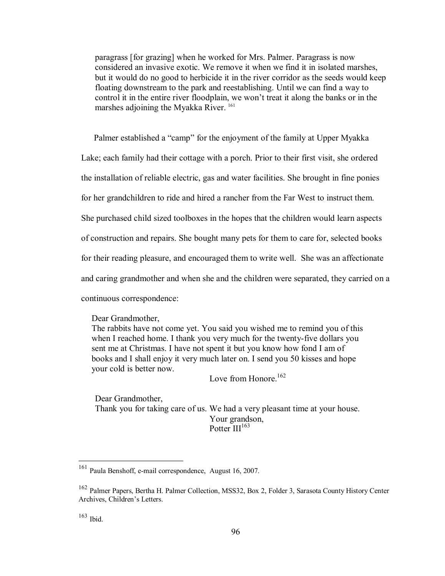paragrass [for grazing] when he worked for Mrs. Palmer. Paragrass is now considered an invasive exotic. We remove it when we find it in isolated marshes, but it would do no good to herbicide it in the river corridor as the seeds would keep floating downstream to the park and reestablishing. Until we can find a way to control it in the entire river floodplain, we won't treat it along the banks or in the marshes adjoining the Myakka River.<sup>161</sup>

Palmer established a "camp" for the enjoyment of the family at Upper Myakka

Lake; each family had their cottage with a porch. Prior to their first visit, she ordered

the installation of reliable electric, gas and water facilities. She brought in fine ponies

for her grandchildren to ride and hired a rancher from the Far West to instruct them.

She purchased child sized toolboxes in the hopes that the children would learn aspects

of construction and repairs. She bought many pets for them to care for, selected books

for their reading pleasure, and encouraged them to write well. She was an affectionate

and caring grandmother and when she and the children were separated, they carried on a

continuous correspondence:

Dear Grandmother,

The rabbits have not come yet. You said you wished me to remind you of this when I reached home. I thank you very much for the twenty-five dollars you sent me at Christmas. I have not spent it but you know how fond I am of books and I shall enjoy it very much later on. I send you 50 kisses and hope your cold is better now.

Love from Honore  $^{162}$ 

Dear Grandmother, Thank you for taking care of us. We had a very pleasant time at your house. Your grandson, Potter III<sup>163</sup>

<sup>161</sup> Paula Benshoff, email correspondence, August 16, 2007.

<sup>162</sup> Palmer Papers, Bertha H. Palmer Collection, MSS32, Box 2, Folder 3, Sarasota County History Center Archives, Children's Letters.

 $163$  Ibid.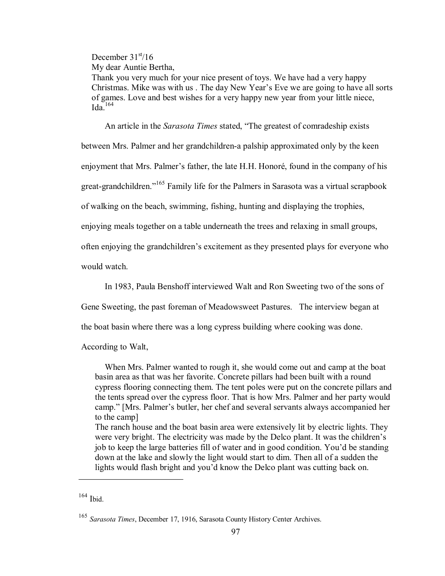December  $31<sup>st</sup>/16$ 

My dear Auntie Bertha,

Thank you very much for your nice present of toys. We have had a very happy Christmas. Mike was with us . The day New Year's Eve we are going to have all sorts of games. Love and best wishes for a very happy new year from your little niece,  $Ida^{-164}$ 

An article in the *Sarasota Times* stated, "The greatest of comradeship exists between Mrs. Palmer and her grandchildren-a palship approximated only by the keen enjoyment that Mrs. Palmer's father, the late H.H. Honoré, found in the company of his great-grandchildren." <sup>165</sup> Family life for the Palmers in Sarasota was a virtual scrapbook of walking on the beach, swimming, fishing, hunting and displaying the trophies, enjoying meals together on a table underneath the trees and relaxing in small groups, often enjoying the grandchildren's excitement as they presented plays for everyone who would watch.

In 1983, Paula Benshoff interviewed Walt and Ron Sweeting two of the sons of

Gene Sweeting, the past foreman of Meadowsweet Pastures. The interview began at

the boat basin where there was a long cypress building where cooking was done.

According to Walt,

When Mrs. Palmer wanted to rough it, she would come out and camp at the boat basin area as that was her favorite. Concrete pillars had been built with a round cypress flooring connecting them. The tent poles were put on the concrete pillars and the tents spread over the cypress floor. That is how Mrs. Palmer and her party would camp." [Mrs. Palmer's butler, her chef and several servants always accompanied her to the camp]

The ranch house and the boat basin area were extensively lit by electric lights. They were very bright. The electricity was made by the Delco plant. It was the children's job to keep the large batteries fill of water and in good condition. You'd be standing down at the lake and slowly the light would start to dim. Then all of a sudden the lights would flash bright and you'd know the Delco plant was cutting back on.

<sup>164</sup> Ibid.

<sup>165</sup> *Sarasota Times*, December 17, 1916, Sarasota County History Center Archives.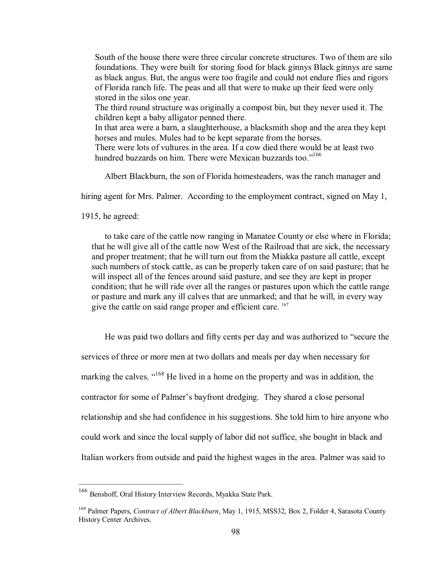South of the house there were three circular concrete structures. Two of them are silo foundations. They were built for storing food for black ginnys Black ginnys are same as black angus. But, the angus were too fragile and could not endure flies and rigors of Florida ranch life. The peas and all that were to make up their feed were only stored in the silos one year.

The third round structure was originally a compost bin, but they never used it. The children kept a baby alligator penned there.

In that area were a barn, a slaughterhouse, a blacksmith shop and the area they kept horses and mules. Mules had to be kept separate from the horses.

There were lots of vultures in the area. If a cow died there would be at least two hundred buzzards on him. There were Mexican buzzards too."<sup>166</sup>

Albert Blackburn, the son of Florida homesteaders, was the ranch manager and

hiring agent for Mrs. Palmer. According to the employment contract, signed on May 1,

1915, he agreed:

to take care of the cattle now ranging in Manatee County or else where in Florida; that he will give all of the cattle now West of the Railroad that are sick, the necessary and proper treatment; that he will turn out from the Miakka pasture all cattle, except such numbers of stock cattle, as can be properly taken care of on said pasture; that he will inspect all of the fences around said pasture, and see they are kept in proper condition; that he will ride over all the ranges or pastures upon which the cattle range or pasture and mark any ill calves that are unmarked; and that he will, in every way give the cattle on said range proper and efficient care. <sup>167</sup>

He was paid two dollars and fifty cents per day and was authorized to "secure the services of three or more men at two dollars and meals per day when necessary for marking the calves. "<sup>168</sup> He lived in a home on the property and was in addition, the contractor for some of Palmer's bayfront dredging. They shared a close personal relationship and she had confidence in his suggestions. She told him to hire anyone who could work and since the local supply of labor did not suffice, she bought in black and Italian workers from outside and paid the highest wages in the area. Palmer was said to

<sup>166</sup> Benshoff, Oral History Interview Records, Myakka State Park.

<sup>168</sup> Palmer Papers, *Contract of Albert Blackburn*, May 1, 1915, MSS32, Box 2, Folder 4, Sarasota County History Center Archives.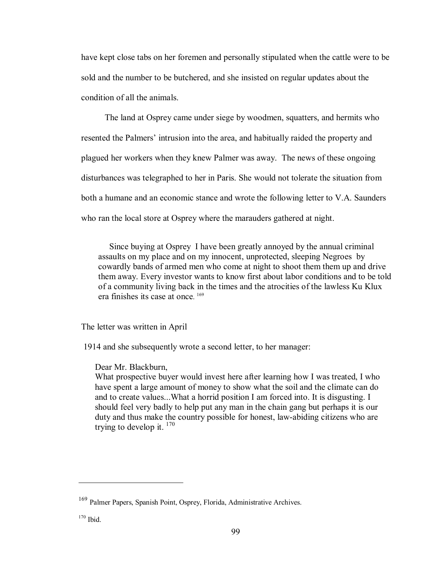have kept close tabs on her foremen and personally stipulated when the cattle were to be sold and the number to be butchered, and she insisted on regular updates about the condition of all the animals.

The land at Osprey came under siege by woodmen, squatters, and hermits who resented the Palmers' intrusion into the area, and habitually raided the property and plagued her workers when they knew Palmer was away. The news of these ongoing disturbances was telegraphed to her in Paris. She would not tolerate the situation from both a humane and an economic stance and wrote the following letter to V.A. Saunders who ran the local store at Osprey where the marauders gathered at night.

Since buying at Osprey I have been greatly annoyed by the annual criminal assaults on my place and on my innocent, unprotected, sleeping Negroes by cowardly bands of armed men who come at night to shoot them them up and drive them away. Every investor wants to know first about labor conditions and to be told of a community living back in the times and the atrocities of the lawless Ku Klux era finishes its case at once. <sup>169</sup>

The letter was written in April

1914 and she subsequently wrote a second letter, to her manager:

Dear Mr. Blackburn,

What prospective buyer would invest here after learning how I was treated, I who have spent a large amount of money to show what the soil and the climate can do and to create values...What a horrid position Iam forced into. It is disgusting. I should feel very badly to help put any man in the chain gang but perhaps it is our duty and thus make the country possible for honest, law-abiding citizens who are trying to develop it.  $170$ 

<sup>169</sup> Palmer Papers, Spanish Point, Osprey, Florida, Administrative Archives.

<sup>170</sup> Ibid.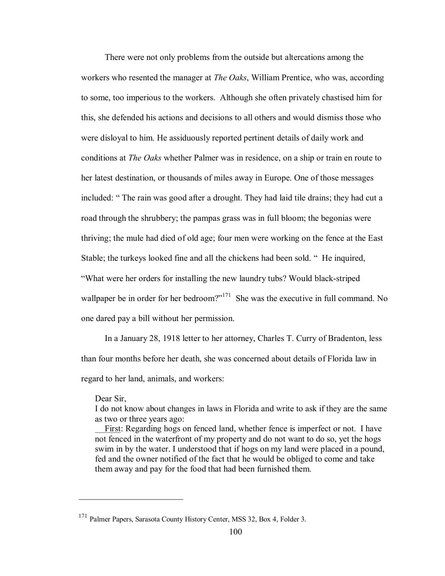There were not only problems from the outside but altercations among the workers who resented the manager at *The Oaks*, William Prentice, who was, according to some, too imperious to the workers. Although she often privately chastised him for this, she defended his actions and decisions to all others and would dismiss those who were disloyal to him. He assiduously reported pertinent details of daily work and conditions at *The Oaks* whether Palmer was in residence, on a ship or train en route to her latest destination, or thousands of miles away in Europe. One of those messages included: " The rain was good after a drought. They had laid tile drains; they had cut a road through the shrubbery; the pampas grass was in full bloom; the begonias were thriving; the mule had died of old age; four men were working on the fence at the East Stable; the turkeys looked fine and all the chickens had been sold. " He inquired, "What were her orders for installing the new laundry tubs? Would black-striped wallpaper be in order for her bedroom?"<sup>171</sup> She was the executive in full command. No one dared pay a bill without her permission.

In a January 28, 1918 letter to her attorney, Charles T. Curry of Bradenton, less than four months before her death, she was concerned about details of Florida law in regard to her land, animals, and workers:

#### Dear Sir,

I do not know about changes in laws in Florida and write to ask if they are the same as two or three years ago:

First: Regarding hogs on fenced land, whether fence is imperfect or not. I have not fenced in the waterfront of my property and do not want to do so, yet the hogs swim in by the water. I understood that if hogs on my land were placed in a pound, fed and the owner notified of the fact that he would be obliged to come and take them away and pay for the food that had been furnished them.

<sup>&</sup>lt;sup>171</sup> Palmer Papers, Sarasota County History Center, MSS 32, Box 4, Folder 3.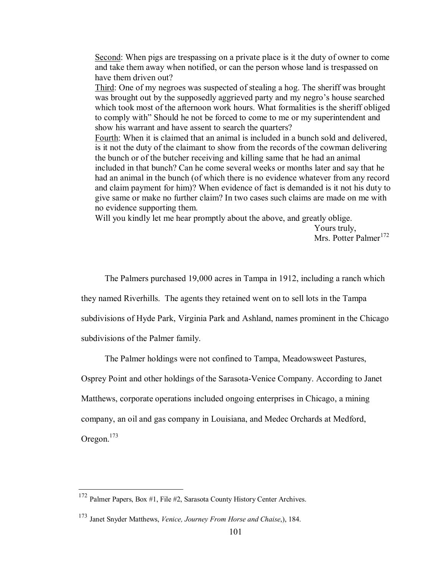Second: When pigs are trespassing on a private place is it the duty of owner to come and take them away when notified, or can the person whose land is trespassed on have them driven out?

Third: One of my negroes was suspected of stealing a hog. The sheriff was brought was brought out by the supposedly aggrieved party and my negro's house searched which took most of the afternoon work hours. What formalities is the sheriff obliged to comply with" Should he not be forced to come to me or my superintendent and show his warrant and have assent to search the quarters?

Fourth: When it is claimed that an animal is included in a bunch sold and delivered, is it not the duty of the claimant to show from the records of the cowman delivering the bunch or of the butcher receiving and killing same that he had an animal included in that bunch? Can he come several weeks or months later and say that he had an animal in the bunch (of which there is no evidence whatever from any record and claim payment for him)? When evidence of fact is demanded is it not his duty to give same or make no further claim? In two cases such claims are made on me with no evidence supporting them.

Will you kindly let me hear promptly about the above, and greatly oblige.

Yours truly, Mrs. Potter Palmer<sup>172</sup>

The Palmers purchased 19,000 acres in Tampa in 1912, including a ranch which

they named Riverhills. The agents they retained went on to sell lots in the Tampa

subdivisions of Hyde Park, Virginia Park and Ashland, names prominent in the Chicago

subdivisions of the Palmer family.

The Palmer holdings were not confined to Tampa, Meadowsweet Pastures,

Osprey Point and other holdings of the Sarasota-Venice Company. According to Janet

Matthews, corporate operations included ongoing enterprises in Chicago, a mining

company, an oil and gas company in Louisiana, and Medec Orchards at Medford,

Oregon.<sup>173</sup>

<sup>172</sup> Palmer Papers, Box #1, File #2, Sarasota County History Center Archives.

<sup>173</sup> Janet Snyder Matthews, *Venice, Journey From Horse and Chaise*,), 184.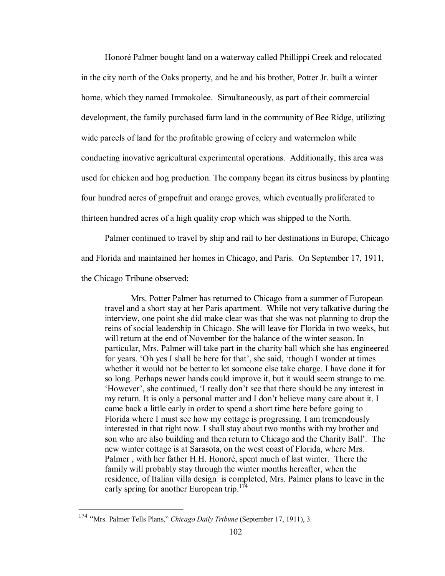Honoré Palmer bought land on a waterway called Phillippi Creek and relocated in the city north of the Oaks property, and he and his brother, Potter Jr. built a winter home, which they named Immokolee. Simultaneously, as part of their commercial development, the family purchased farm land in the community of Bee Ridge, utilizing wide parcels of land for the profitable growing of celery and watermelon while conducting inovative agricultural experimental operations. Additionally, this area was used for chicken and hog production. The company began its citrus business by planting four hundred acres of grapefruit and orange groves, which eventually proliferated to thirteen hundred acres of a high quality crop which was shipped to the North.

Palmer continued to travel by ship and rail to her destinations in Europe, Chicago and Florida and maintained her homes in Chicago, and Paris. On September 17, 1911,

the Chicago Tribune observed:

Mrs. Potter Palmer has returned to Chicago from a summer of European travel and a short stay at her Paris apartment. While not very talkative during the interview, one point she did make clear was that she was not planning to drop the reins of social leadership in Chicago. She will leave for Florida in two weeks, but will return at the end of November for the balance of the winter season. In particular, Mrs. Palmer will take part in the charity ball which she has engineered for years. 'Oh yes I shall be here for that', she said, 'though I wonder at times whether it would not be better to let someone else take charge. I have done it for so long. Perhaps newer hands could improve it, but it would seem strange to me. 'However', she continued, 'I really don't see that there should be any interest in my return. It is only a personal matter and I don't believe many care about it. I came back a little early in order to spend a short time here before going to Florida where I must see how my cottage is progressing. I am tremendously interested in that right now. I shall stay about two months with my brother and son who are also building and then return to Chicago and the Charity Ball'. The new winter cottage is at Sarasota, on the west coast of Florida, where Mrs. Palmer , with her father H.H. Honoré, spent much of last winter. There the family will probably stay through the winter months hereafter, when the residence, of Italian villa design is completed, Mrs. Palmer plans to leave in the early spring for another European trip.<sup>174</sup>

<sup>174</sup> "Mrs. Palmer Tells Plans," *Chicago Daily Tribune* (September 17, 1911), 3.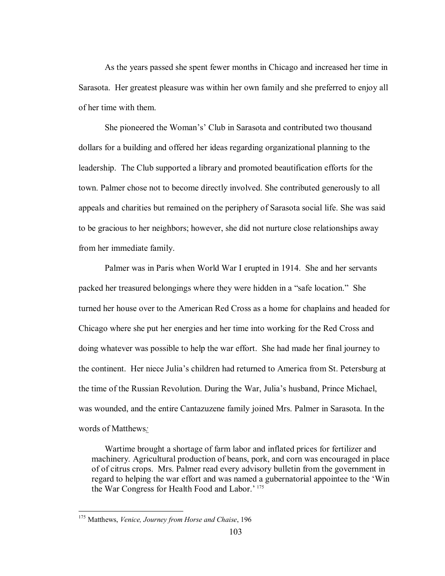As the years passed she spent fewer months in Chicago and increased her time in Sarasota. Her greatest pleasure was within her own family and she preferred to enjoy all of her time with them.

She pioneered the Woman's' Club in Sarasota and contributed two thousand dollars for a building and offered her ideas regarding organizational planning to the leadership. The Club supported a library and promoted beautification efforts for the town. Palmer chose not to become directly involved. She contributed generously to all appeals and charities but remained on the periphery of Sarasota social life. She was said to be gracious to her neighbors; however, she did not nurture close relationships away from her immediate family.

Palmer was in Paris when World War I erupted in 1914. She and her servants packed her treasured belongings where they were hidden in a "safe location." She turned her house over to the American Red Cross as a home for chaplains and headed for Chicago where she put her energies and her time into working for the Red Cross and doing whatever was possible to help the war effort. She had made her final journey to the continent. Her niece Julia's children had returned to America from St. Petersburg at the time of the Russian Revolution. During the War, Julia's husband, Prince Michael, was wounded, and the entire Cantazuzene family joined Mrs. Palmer in Sarasota. In the words of Matthews*:*

Wartime brought a shortage of farm labor and inflated prices for fertilizer and machinery. Agricultural production of beans, pork, and corn was encouraged in place of of citrus crops. Mrs. Palmer read every advisory bulletin from the government in regard to helping the war effort and was named a gubernatorial appointee to the 'Win the War Congress for Health Food and Labor.' 175

<sup>175</sup> Matthews, *Venice, Journey from Horse and Chaise*, 196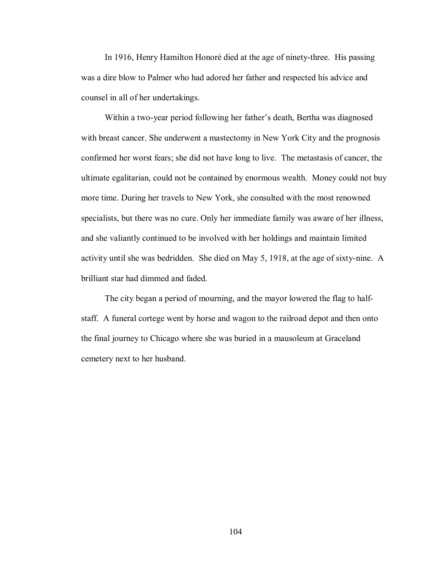In 1916, Henry Hamilton Honoré died at the age of ninety-three. His passing was a dire blow to Palmer who had adored her father and respected his advice and counsel in all of her undertakings.

Within a two-year period following her father's death, Bertha was diagnosed with breast cancer. She underwent a mastectomy in New York City and the prognosis confirmed her worst fears; she did not have long to live. The metastasis of cancer, the ultimate egalitarian, could not be contained by enormous wealth. Money could not buy more time. During her travels to New York, she consulted with the most renowned specialists, but there was no cure. Only her immediate family was aware of her illness, and she valiantly continued to be involved with her holdings and maintain limited activity until she was bedridden. She died on May 5, 1918, at the age of sixty-nine. A brilliant star had dimmed and faded.

The city began a period of mourning, and the mayor lowered the flag to halfstaff. A funeral cortege went by horse and wagon to the railroad depot and then onto the final journey to Chicago where she was buried in a mausoleum at Graceland cemetery next to her husband.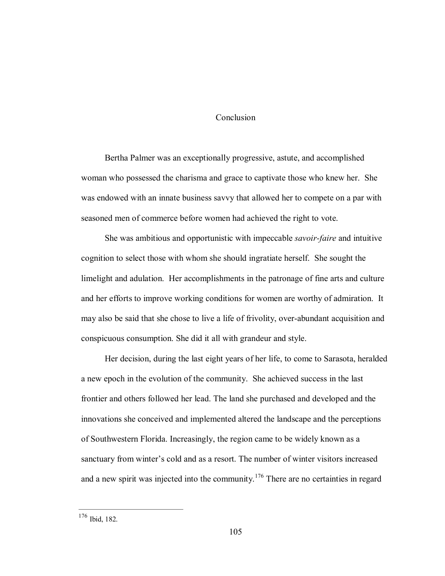## Conclusion

Bertha Palmer was an exceptionally progressive, astute, and accomplished woman who possessed the charisma and grace to captivate those who knew her. She was endowed with an innate business savvy that allowed her to compete on a par with seasoned men of commerce before women had achieved the right to vote.

She was ambitious and opportunistic with impeccable *savoir-faire* and intuitive cognition to select those with whom she should ingratiate herself. She sought the limelight and adulation. Her accomplishments in the patronage of fine arts and culture and her efforts to improve working conditions for women are worthy of admiration. It may also be said that she chose to live a life of frivolity, overabundant acquisition and conspicuous consumption. She did it all with grandeur and style.

Her decision, during the last eight years of her life, to come to Sarasota, heralded a new epoch in the evolution of the community. She achieved success in the last frontier and others followed her lead. The land she purchased and developed and the innovations she conceived and implemented altered the landscape and the perceptions of Southwestern Florida. Increasingly, the region came to be widely known as a sanctuary from winter's cold and as a resort. The number of winter visitors increased and a new spirit was injected into the community.<sup>176</sup> There are no certainties in regard

<sup>176</sup> Ibid, 182.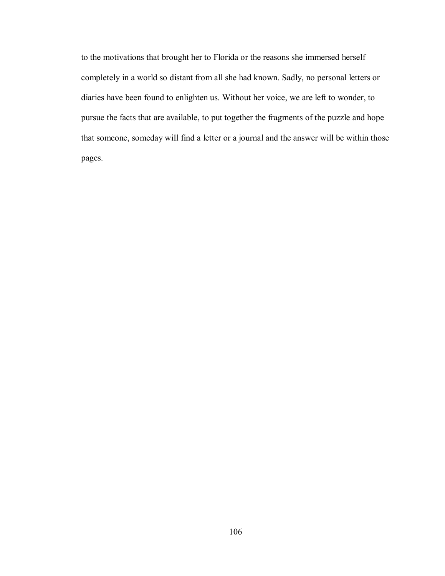to the motivations that brought her to Florida or the reasons she immersed herself completely in a world so distant from all she had known. Sadly, no personal letters or diaries have been found to enlighten us. Without her voice, we are left to wonder, to pursue the facts that are available, to put together the fragments of the puzzle and hope that someone, someday will find a letter or a journal and the answer will be within those pages.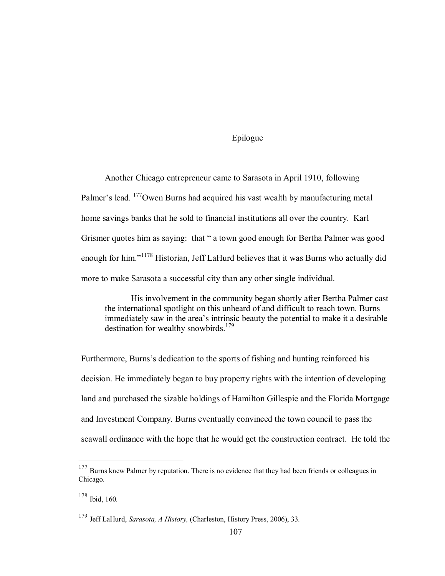## Epilogue

Another Chicago entrepreneur came to Sarasota in April 1910, following Palmer's lead. <sup>177</sup>Owen Burns had acquired his vast wealth by manufacturing metal home savings banks that he sold to financial institutions all over the country. Karl Grismer quotes him as saying: that " a town good enough for Bertha Palmer was good enough for him."<sup>1178</sup> Historian, Jeff LaHurd believes that it was Burns who actually did more to make Sarasota a successful city than any other single individual.

His involvement in the community began shortly after Bertha Palmer cast the international spotlight on this unheard of and difficult to reach town. Burns immediately saw in the area's intrinsic beauty the potential to make it a desirable destination for wealthy snowbirds.<sup>179</sup>

Furthermore, Burns's dedication to the sports of fishing and hunting reinforced his decision. He immediately began to buy property rights with the intention of developing land and purchased the sizable holdings of Hamilton Gillespie and the Florida Mortgage and Investment Company. Burns eventually convinced the town council to pass the seawall ordinance with the hope that he would get the construction contract. He told the

<sup>&</sup>lt;sup>177</sup> Burns knew Palmer by reputation. There is no evidence that they had been friends or colleagues in Chicago.

<sup>178</sup> Ibid, 160.

<sup>179</sup> Jeff LaHurd, *Sarasota, A History,* (Charleston, History Press, 2006), 33.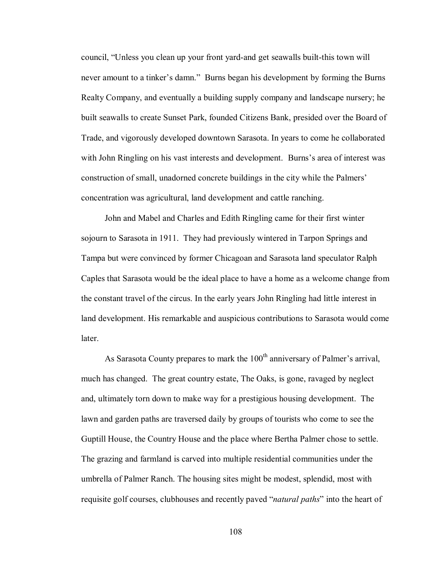council, "Unless you clean up your front yard-and get seawalls built-this town will never amount to a tinker's damn." Burns began his development by forming the Burns Realty Company, and eventually a building supply company and landscape nursery; he built seawalls to create Sunset Park, founded Citizens Bank, presided over the Board of Trade, and vigorously developed downtown Sarasota. In years to come he collaborated with John Ringling on his vast interests and development. Burns's area of interest was construction of small, unadorned concrete buildings in the city while the Palmers' concentration was agricultural, land development and cattle ranching.

John and Mabel and Charles and Edith Ringling came for their first winter sojourn to Sarasota in 1911. They had previously wintered in Tarpon Springs and Tampa but were convinced by former Chicagoan and Sarasota land speculator Ralph Caples that Sarasota would be the ideal place to have a home as a welcome change from the constant travel of the circus. In the early years John Ringling had little interest in land development. His remarkable and auspicious contributions to Sarasota would come **later** 

As Sarasota County prepares to mark the  $100<sup>th</sup>$  anniversary of Palmer's arrival, much has changed. The great country estate, The Oaks, is gone, ravaged by neglect and, ultimately torn down to make way for a prestigious housing development. The lawn and garden paths are traversed daily by groups of tourists who come to see the Guptill House, the Country House and the place where Bertha Palmer chose to settle. The grazing and farmland is carved into multiple residential communities under the umbrella of Palmer Ranch. The housing sites might be modest, splendid, most with requisite golf courses, clubhouses and recently paved "*natural paths*" into the heart of

108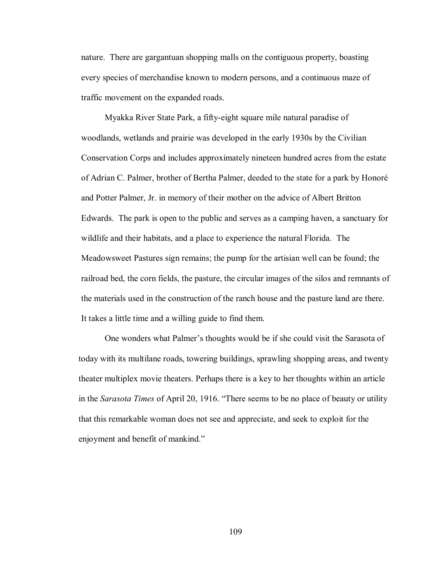nature. There are gargantuan shopping malls on the contiguous property, boasting every species of merchandise known to modern persons, and a continuous maze of traffic movement on the expanded roads.

Myakka River State Park, a fifty-eight square mile natural paradise of woodlands, wetlands and prairie was developed in the early 1930s by the Civilian Conservation Corps and includes approximately nineteen hundred acres from the estate of Adrian C. Palmer, brother of Bertha Palmer, deeded to the state for a park by Honoré and Potter Palmer, Jr. in memory of their mother on the advice of Albert Britton Edwards. The park is open to the public and serves as a camping haven, a sanctuary for wildlife and their habitats, and a place to experience the natural Florida. The Meadowsweet Pastures sign remains; the pump for the artisian well can be found; the railroad bed, the corn fields, the pasture, the circular images of the silos and remnants of the materials used in the construction of the ranch house and the pasture land are there. It takes a little time and a willing guide to find them.

One wonders what Palmer's thoughts would be if she could visit the Sarasota of today with its multilane roads, towering buildings, sprawling shopping areas, and twenty theater multiplex movie theaters. Perhaps there is a key to her thoughts within an article in the *Sarasota Times* of April 20, 1916. "There seems to be no place of beauty or utility that this remarkable woman does not see and appreciate, and seek to exploit for the enjoyment and benefit of mankind."

109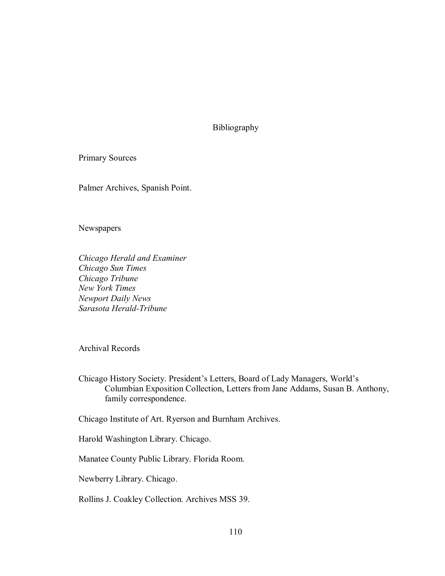Bibliography

Primary Sources

Palmer Archives, Spanish Point.

Newspapers

*Chicago Herald and Examiner Chicago Sun Times Chicago Tribune New York Times Newport Daily News* Sarasota Herald-Tribune

Archival Records

Chicago History Society. President's Letters, Board of Lady Managers, World's Columbian Exposition Collection, Letters from Jane Addams, Susan B. Anthony, family correspondence.

Chicago Institute of Art. Ryerson and Burnham Archives.

Harold Washington Library. Chicago.

Manatee County Public Library. Florida Room.

Newberry Library. Chicago.

Rollins J. Coakley Collection. Archives MSS 39.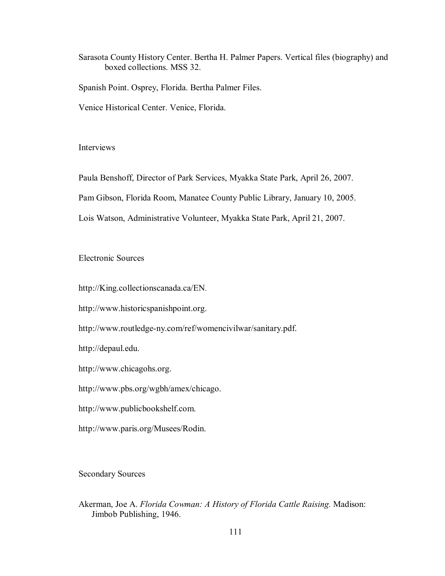Sarasota County History Center. Bertha H. Palmer Papers. Vertical files (biography) and boxed collections. MSS 32.

Spanish Point. Osprey, Florida. Bertha Palmer Files.

Venice Historical Center. Venice, Florida.

Interviews

Paula Benshoff, Director of Park Services, Myakka State Park, April 26, 2007.

Pam Gibson, Florida Room, Manatee County Public Library, January 10, 2005.

Lois Watson, Administrative Volunteer, Myakka State Park, April 21, 2007.

Electronic Sources

http://King.collectionscanada.ca/EN.

http://www.historicspanishpoint.org.

http://www.routledge-ny.com/ref/womencivilwar/sanitary.pdf.

http://depaul.edu.

http://www.chicagohs.org.

http://www.pbs.org/wgbh/amex/chicago.

http://www.publicbookshelf.com.

http://www.paris.org/Musees/Rodin.

Secondary Sources

Akerman, Joe A. *Florida Cowman: A History of Florida Cattle Raising.* Madison: Jimbob Publishing, 1946.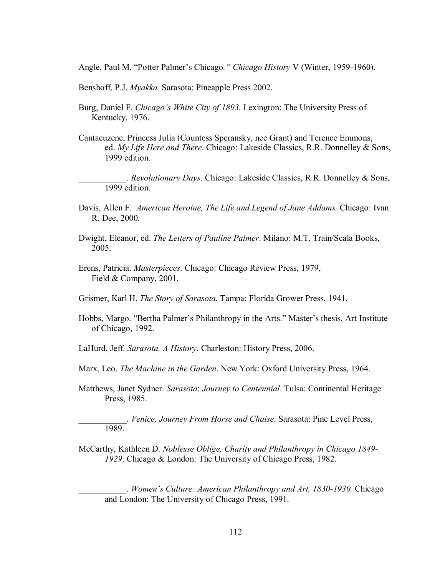Angle, Paul M. "Potter Palmer's Chicago." Chicago History V (Winter, 1959-1960).

- Benshoff, P.J. *Myakka.* Sarasota: Pineapple Press 2002.
- Burg, Daniel F. *Chicago's White City of 1893.* Lexington: The University Press of Kentucky, 1976.
- Cantacuzene, Princess Julia (Countess Speransky, nee Grant) and Terence Emmons, ed. *My Life Here and There*. Chicago: Lakeside Classics, R.R. Donnelley & Sons, 1999 edition.
	- \_\_\_\_\_\_\_\_\_\_\_. *Revolutionary Days*. Chicago: Lakeside Classics, R.R. Donnelley & Sons, 1999 edition.
- Davis, Allen F. *American Heroine, The Life and Legend of Jane Addams.* Chicago: Ivan R. Dee, 2000.
- Dwight, Eleanor, ed. *The Letters of Pauline Palmer*. Milano: M.T. Train/Scala Books, 2005.
- Erens, Patricia. *Masterpieces*. Chicago: Chicago Review Press, 1979, Field & Company, 2001.
- Grismer, Karl H. *The Story of Sarasota.* Tampa: Florida Grower Press, 1941.
- Hobbs, Margo. "Bertha Palmer's Philanthropy in the Arts." Master's thesis, Art Institute of Chicago, 1992.
- LaHurd, Jeff. *Sarasota, A History*. Charleston: History Press, 2006.
- Marx, Leo. *The Machine in the Garden*. New York: Oxford University Press, 1964.
- Matthews, Janet Sydner. *Sarasota*: *Journey to Centennial*. Tulsa: Continental Heritage Press, 1985.

\_\_\_\_\_\_\_\_\_\_\_. *Venice, Journey From Horse and Chaise*. Sarasota: Pine Level Press, 1989.

McCarthy, Kathleen D. *Noblesse Oblige, Charity and Philanthropy in Chicago 1849 1929*. Chicago & London: The University of Chicago Press, 1982.

\_\_\_\_\_\_\_\_\_\_\_. *Women's Culture: American Philanthropy and Art, 18301930.* Chicago and London: The University of Chicago Press, 1991.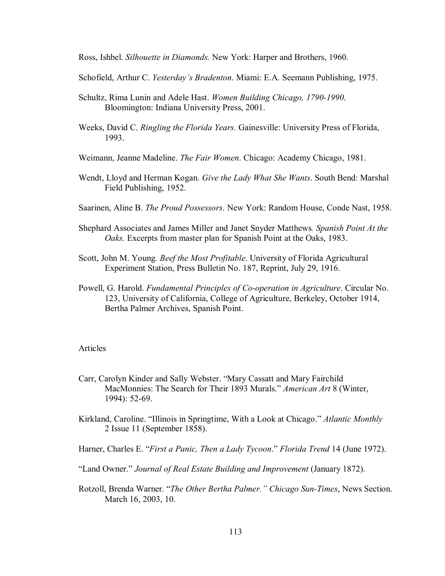Ross, Ishbel. *Silhouette in Diamonds.* New York: Harper and Brothers, 1960.

Schofield, Arthur C. *Yesterday's Bradenton*. Miami: E.A. Seemann Publishing, 1975.

- Schultz, Rima Lunin and Adele Hast. *Women Building Chicago, 1790-1990*. Bloomington: Indiana University Press, 2001.
- Weeks, David C. *Ringling the Florida Years*. Gainesville: University Press of Florida, 1993.
- Weimann, Jeanne Madeline. *The Fair Women*. Chicago: Academy Chicago, 1981.
- Wendt, Lloyd and Herman Kogan. *Give the Lady What She Wants*. South Bend: Marshal Field Publishing, 1952.
- Saarinen, Aline B. *The Proud Possessors*. New York: Random House, Conde Nast, 1958.
- Shephard Associates and James Miller and Janet Snyder Matthews*. Spanish Point At the Oaks.* Excerpts from master plan for Spanish Point at the Oaks, 1983.
- Scott, John M. Young*. Beef the Most Profitable*. University of Florida Agricultural Experiment Station, Press Bulletin No. 187, Reprint, July 29, 1916.
- Powell, G. Harold. *Fundamental Principles of Cooperation in Agriculture*. Circular No. 123, University of California, College of Agriculture, Berkeley, October 1914, Bertha Palmer Archives, Spanish Point.

## Articles

- Carr, Carolyn Kinder and Sally Webster. "Mary Cassatt and Mary Fairchild MacMonnies: The Search for Their 1893 Murals." *American Art* 8 (Winter, 1994): 52-69.
- Kirkland, Caroline. "Illinois in Springtime, With a Look at Chicago." *Atlantic Monthly* 2 Issue 11 (September 1858).

Harner, Charles E. "*First a Panic, Then a Lady Tycoon*." *Florida Trend* 14 (June 1972).

"Land Owner." *Journal of Real Estate Building and Improvement* (January 1872).

Rotzoll, Brenda Warner. "The Other Bertha Palmer." Chicago Sun-Times, News Section. March 16, 2003, 10.